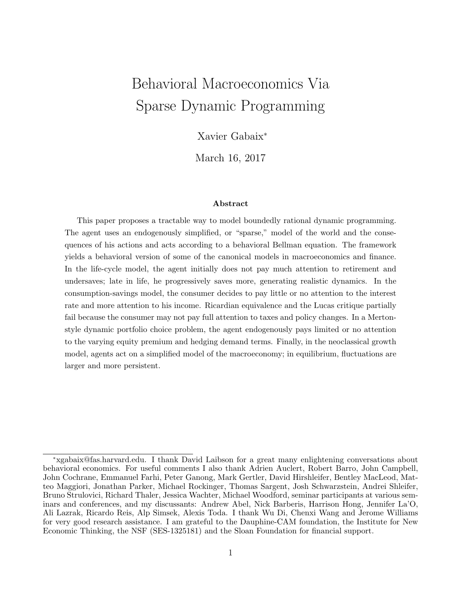# Behavioral Macroeconomics Via Sparse Dynamic Programming

Xavier Gabaix<sup>∗</sup>

March 16, 2017

#### Abstract

This paper proposes a tractable way to model boundedly rational dynamic programming. The agent uses an endogenously simplified, or "sparse," model of the world and the consequences of his actions and acts according to a behavioral Bellman equation. The framework yields a behavioral version of some of the canonical models in macroeconomics and finance. In the life-cycle model, the agent initially does not pay much attention to retirement and undersaves; late in life, he progressively saves more, generating realistic dynamics. In the consumption-savings model, the consumer decides to pay little or no attention to the interest rate and more attention to his income. Ricardian equivalence and the Lucas critique partially fail because the consumer may not pay full attention to taxes and policy changes. In a Mertonstyle dynamic portfolio choice problem, the agent endogenously pays limited or no attention to the varying equity premium and hedging demand terms. Finally, in the neoclassical growth model, agents act on a simplified model of the macroeconomy; in equilibrium, fluctuations are larger and more persistent.

<sup>∗</sup>xgabaix@fas.harvard.edu. I thank David Laibson for a great many enlightening conversations about behavioral economics. For useful comments I also thank Adrien Auclert, Robert Barro, John Campbell, John Cochrane, Emmanuel Farhi, Peter Ganong, Mark Gertler, David Hirshleifer, Bentley MacLeod, Matteo Maggiori, Jonathan Parker, Michael Rockinger, Thomas Sargent, Josh Schwarzstein, Andrei Shleifer, Bruno Strulovici, Richard Thaler, Jessica Wachter, Michael Woodford, seminar participants at various seminars and conferences, and my discussants: Andrew Abel, Nick Barberis, Harrison Hong, Jennifer La'O, Ali Lazrak, Ricardo Reis, Alp Simsek, Alexis Toda. I thank Wu Di, Chenxi Wang and Jerome Williams for very good research assistance. I am grateful to the Dauphine-CAM foundation, the Institute for New Economic Thinking, the NSF (SES-1325181) and the Sloan Foundation for financial support.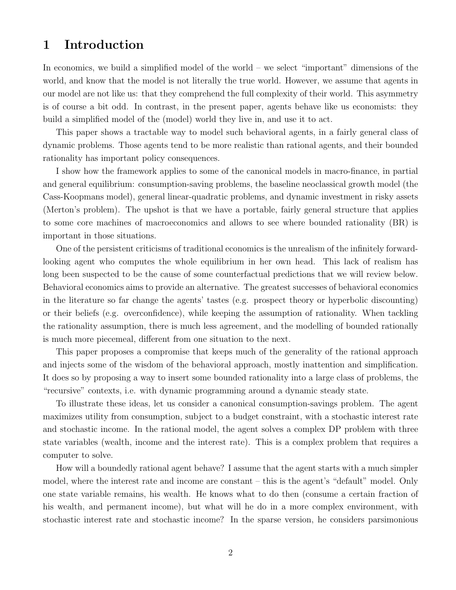# 1 Introduction

In economics, we build a simplified model of the world – we select "important" dimensions of the world, and know that the model is not literally the true world. However, we assume that agents in our model are not like us: that they comprehend the full complexity of their world. This asymmetry is of course a bit odd. In contrast, in the present paper, agents behave like us economists: they build a simplified model of the (model) world they live in, and use it to act.

This paper shows a tractable way to model such behavioral agents, in a fairly general class of dynamic problems. Those agents tend to be more realistic than rational agents, and their bounded rationality has important policy consequences.

I show how the framework applies to some of the canonical models in macro-finance, in partial and general equilibrium: consumption-saving problems, the baseline neoclassical growth model (the Cass-Koopmans model), general linear-quadratic problems, and dynamic investment in risky assets (Merton's problem). The upshot is that we have a portable, fairly general structure that applies to some core machines of macroeconomics and allows to see where bounded rationality (BR) is important in those situations.

One of the persistent criticisms of traditional economics is the unrealism of the infinitely forwardlooking agent who computes the whole equilibrium in her own head. This lack of realism has long been suspected to be the cause of some counterfactual predictions that we will review below. Behavioral economics aims to provide an alternative. The greatest successes of behavioral economics in the literature so far change the agents' tastes (e.g. prospect theory or hyperbolic discounting) or their beliefs (e.g. overconfidence), while keeping the assumption of rationality. When tackling the rationality assumption, there is much less agreement, and the modelling of bounded rationally is much more piecemeal, different from one situation to the next.

This paper proposes a compromise that keeps much of the generality of the rational approach and injects some of the wisdom of the behavioral approach, mostly inattention and simplification. It does so by proposing a way to insert some bounded rationality into a large class of problems, the "recursive" contexts, i.e. with dynamic programming around a dynamic steady state.

To illustrate these ideas, let us consider a canonical consumption-savings problem. The agent maximizes utility from consumption, subject to a budget constraint, with a stochastic interest rate and stochastic income. In the rational model, the agent solves a complex DP problem with three state variables (wealth, income and the interest rate). This is a complex problem that requires a computer to solve.

How will a boundedly rational agent behave? I assume that the agent starts with a much simpler model, where the interest rate and income are constant – this is the agent's "default" model. Only one state variable remains, his wealth. He knows what to do then (consume a certain fraction of his wealth, and permanent income), but what will he do in a more complex environment, with stochastic interest rate and stochastic income? In the sparse version, he considers parsimonious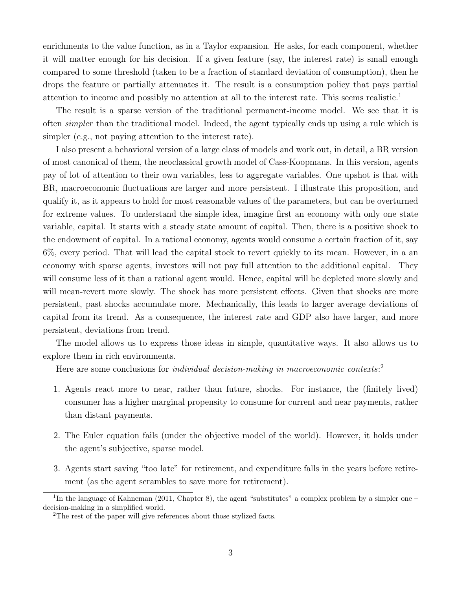enrichments to the value function, as in a Taylor expansion. He asks, for each component, whether it will matter enough for his decision. If a given feature (say, the interest rate) is small enough compared to some threshold (taken to be a fraction of standard deviation of consumption), then he drops the feature or partially attenuates it. The result is a consumption policy that pays partial attention to income and possibly no attention at all to the interest rate. This seems realistic.<sup>1</sup>

The result is a sparse version of the traditional permanent-income model. We see that it is often simpler than the traditional model. Indeed, the agent typically ends up using a rule which is simpler (e.g., not paying attention to the interest rate).

I also present a behavioral version of a large class of models and work out, in detail, a BR version of most canonical of them, the neoclassical growth model of Cass-Koopmans. In this version, agents pay of lot of attention to their own variables, less to aggregate variables. One upshot is that with BR, macroeconomic fluctuations are larger and more persistent. I illustrate this proposition, and qualify it, as it appears to hold for most reasonable values of the parameters, but can be overturned for extreme values. To understand the simple idea, imagine first an economy with only one state variable, capital. It starts with a steady state amount of capital. Then, there is a positive shock to the endowment of capital. In a rational economy, agents would consume a certain fraction of it, say 6%, every period. That will lead the capital stock to revert quickly to its mean. However, in a an economy with sparse agents, investors will not pay full attention to the additional capital. They will consume less of it than a rational agent would. Hence, capital will be depleted more slowly and will mean-revert more slowly. The shock has more persistent effects. Given that shocks are more persistent, past shocks accumulate more. Mechanically, this leads to larger average deviations of capital from its trend. As a consequence, the interest rate and GDP also have larger, and more persistent, deviations from trend.

The model allows us to express those ideas in simple, quantitative ways. It also allows us to explore them in rich environments.

Here are some conclusions for *individual decision-making in macroeconomic contexts*:<sup>2</sup>

- 1. Agents react more to near, rather than future, shocks. For instance, the (finitely lived) consumer has a higher marginal propensity to consume for current and near payments, rather than distant payments.
- 2. The Euler equation fails (under the objective model of the world). However, it holds under the agent's subjective, sparse model.
- 3. Agents start saving "too late" for retirement, and expenditure falls in the years before retirement (as the agent scrambles to save more for retirement).

<sup>&</sup>lt;sup>1</sup>In the language of Kahneman (2011, Chapter 8), the agent "substitutes" a complex problem by a simpler one  $$ decision-making in a simplified world.

<sup>2</sup>The rest of the paper will give references about those stylized facts.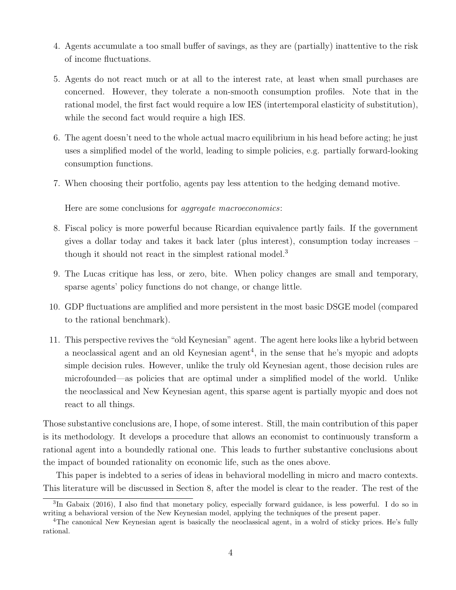- 4. Agents accumulate a too small buffer of savings, as they are (partially) inattentive to the risk of income fluctuations.
- 5. Agents do not react much or at all to the interest rate, at least when small purchases are concerned. However, they tolerate a non-smooth consumption profiles. Note that in the rational model, the first fact would require a low IES (intertemporal elasticity of substitution), while the second fact would require a high IES.
- 6. The agent doesn't need to the whole actual macro equilibrium in his head before acting; he just uses a simplified model of the world, leading to simple policies, e.g. partially forward-looking consumption functions.
- 7. When choosing their portfolio, agents pay less attention to the hedging demand motive.

Here are some conclusions for aggregate macroeconomics:

- 8. Fiscal policy is more powerful because Ricardian equivalence partly fails. If the government gives a dollar today and takes it back later (plus interest), consumption today increases – though it should not react in the simplest rational model.<sup>3</sup>
- 9. The Lucas critique has less, or zero, bite. When policy changes are small and temporary, sparse agents' policy functions do not change, or change little.
- 10. GDP fluctuations are amplified and more persistent in the most basic DSGE model (compared to the rational benchmark).
- 11. This perspective revives the "old Keynesian" agent. The agent here looks like a hybrid between a neoclassical agent and an old Keynesian agent<sup>4</sup>, in the sense that he's myopic and adopts simple decision rules. However, unlike the truly old Keynesian agent, those decision rules are microfounded—as policies that are optimal under a simplified model of the world. Unlike the neoclassical and New Keynesian agent, this sparse agent is partially myopic and does not react to all things.

Those substantive conclusions are, I hope, of some interest. Still, the main contribution of this paper is its methodology. It develops a procedure that allows an economist to continuously transform a rational agent into a boundedly rational one. This leads to further substantive conclusions about the impact of bounded rationality on economic life, such as the ones above.

This paper is indebted to a series of ideas in behavioral modelling in micro and macro contexts. This literature will be discussed in Section 8, after the model is clear to the reader. The rest of the

<sup>&</sup>lt;sup>3</sup>In Gabaix (2016), I also find that monetary policy, especially forward guidance, is less powerful. I do so in writing a behavioral version of the New Keynesian model, applying the techniques of the present paper.

<sup>&</sup>lt;sup>4</sup>The canonical New Keynesian agent is basically the neoclassical agent, in a wolrd of sticky prices. He's fully rational.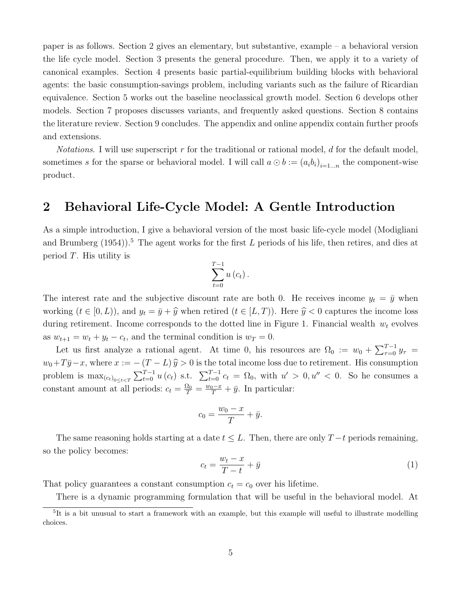paper is as follows. Section 2 gives an elementary, but substantive, example – a behavioral version the life cycle model. Section 3 presents the general procedure. Then, we apply it to a variety of canonical examples. Section 4 presents basic partial-equilibrium building blocks with behavioral agents: the basic consumption-savings problem, including variants such as the failure of Ricardian equivalence. Section 5 works out the baseline neoclassical growth model. Section 6 develops other models. Section 7 proposes discusses variants, and frequently asked questions. Section 8 contains the literature review. Section 9 concludes. The appendix and online appendix contain further proofs and extensions.

*Notations.* I will use superscript r for the traditional or rational model, d for the default model, sometimes s for the sparse or behavioral model. I will call  $a \odot b := (a_i b_i)_{i=1...n}$  the component-wise product.

# 2 Behavioral Life-Cycle Model: A Gentle Introduction

As a simple introduction, I give a behavioral version of the most basic life-cycle model (Modigliani and Brumberg  $(1954)$ .<sup>5</sup> The agent works for the first L periods of his life, then retires, and dies at period  $T$ . His utility is

$$
\sum_{t=0}^{T-1} u\left(c_{t}\right).
$$

The interest rate and the subjective discount rate are both 0. He receives income  $y_t = \bar{y}$  when working  $(t \in [0, L))$ , and  $y_t = \bar{y} + \hat{y}$  when retired  $(t \in [L, T))$ . Here  $\hat{y} < 0$  captures the income loss during retirement. Income corresponds to the dotted line in Figure 1. Financial wealth  $w_t$  evolves as  $w_{t+1} = w_t + y_t - c_t$ , and the terminal condition is  $w_T = 0$ .

Let us first analyze a rational agent. At time 0, his resources are  $\Omega_0 := w_0 + \sum_{\tau=0}^{T-1} y_\tau =$  $w_0 + T\bar{y}-x$ , where  $x := -(T - L)\hat{y} > 0$  is the total income loss due to retirement. His consumption problem is  $\max_{(c_t)_{0\leq t\leq T}} \sum_{t=0}^{T-1} u(c_t)$  s.t.  $\sum_{t=0}^{T-1} c_t = \Omega_0$ , with  $u' > 0, u'' < 0$ . So he consumes a constant amount at all periods:  $c_t = \frac{\Omega_0}{T} = \frac{w_0 - x}{T} + \bar{y}$ . In particular:

$$
c_0 = \frac{w_0 - x}{T} + \bar{y}.
$$

The same reasoning holds starting at a date  $t \leq L$ . Then, there are only  $T-t$  periods remaining, so the policy becomes:

$$
c_t = \frac{w_t - x}{T - t} + \bar{y} \tag{1}
$$

That policy guarantees a constant consumption  $c_t = c_0$  over his lifetime.

There is a dynamic programming formulation that will be useful in the behavioral model. At

<sup>5</sup> It is a bit unusual to start a framework with an example, but this example will useful to illustrate modelling choices.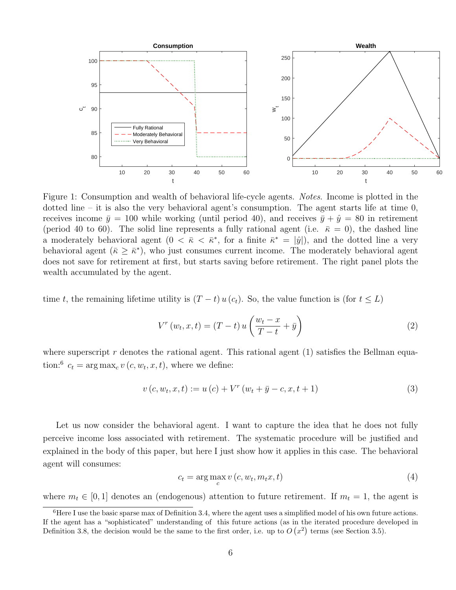

Figure 1: Consumption and wealth of behavioral life-cycle agents. Notes. Income is plotted in the dotted line – it is also the very behavioral agent's consumption. The agent starts life at time  $0$ , receives income  $\bar{y} = 100$  while working (until period 40), and receives  $\bar{y} + \hat{y} = 80$  in retirement (period 40 to 60). The solid line represents a fully rational agent (i.e.  $\bar{\kappa} = 0$ ), the dashed line a moderately behavioral agent  $(0 \lt \bar{\kappa} \lt \bar{\kappa}^*$ , for a finite  $\bar{\kappa}^* = |\hat{y}|$ , and the dotted line a very behavioral agent  $(\bar{\kappa} \geq \bar{\kappa}^*)$ , who just consumes current income. The moderately behavioral agent does not save for retirement at first, but starts saving before retirement. The right panel plots the wealth accumulated by the agent.

time t, the remaining lifetime utility is  $(T - t) u (c_t)$ . So, the value function is (for  $t \leq L$ )

$$
V^{r}(w_{t}, x, t) = (T - t) u\left(\frac{w_{t} - x}{T - t} + \bar{y}\right)
$$
\n(2)

where superscript r denotes the rational agent. This rational agent  $(1)$  satisfies the Bellman equation:<sup>6</sup>  $c_t = \arg \max_c v(c, w_t, x, t)$ , where we define:

$$
v(c, w_t, x, t) := u(c) + V^r(w_t + \bar{y} - c, x, t + 1)
$$
\n(3)

Let us now consider the behavioral agent. I want to capture the idea that he does not fully perceive income loss associated with retirement. The systematic procedure will be justified and explained in the body of this paper, but here I just show how it applies in this case. The behavioral agent will consumes:

$$
c_t = \arg\max_c v(c, w_t, m_t x, t)
$$
\n<sup>(4)</sup>

where  $m_t \in [0,1]$  denotes an (endogenous) attention to future retirement. If  $m_t = 1$ , the agent is

 $6$ Here I use the basic sparse max of Definition 3.4, where the agent uses a simplified model of his own future actions. If the agent has a "sophisticated" understanding of this future actions (as in the iterated procedure developed in Definition 3.8, the decision would be the same to the first order, i.e. up to  $O(x^2)$  terms (see Section 3.5).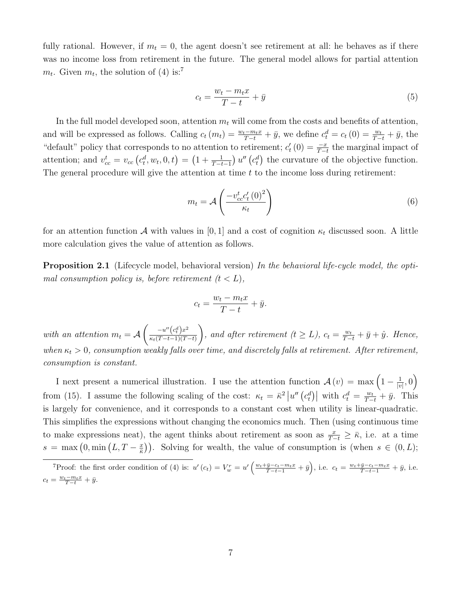fully rational. However, if  $m_t = 0$ , the agent doesn't see retirement at all: he behaves as if there was no income loss from retirement in the future. The general model allows for partial attention  $m_t$ . Given  $m_t$ , the solution of (4) is:<sup>7</sup>

$$
c_t = \frac{w_t - m_t x}{T - t} + \bar{y} \tag{5}
$$

In the full model developed soon, attention  $m_t$  will come from the costs and benefits of attention, and will be expressed as follows. Calling  $c_t(m_t) = \frac{w_t - m_t x}{T - t} + \bar{y}$ , we define  $c_t^d = c_t(0) = \frac{w_t}{T - t} + \bar{y}$ , the "default" policy that corresponds to no attention to retirement;  $c'_t(0) = \frac{-x}{T-t}$  the marginal impact of attention; and  $v_{cc}^t = v_{cc} (c_t^d, w_t, 0, t) = \left(1 + \frac{1}{T-t-1}\right) u'' (c_t^d)$  the curvature of the objective function. The general procedure will give the attention at time  $t$  to the income loss during retirement:

$$
m_t = \mathcal{A}\left(\frac{-v_{cc}^t c_t'(0)^2}{\kappa_t}\right) \tag{6}
$$

for an attention function A with values in [0, 1] and a cost of cognition  $\kappa_t$  discussed soon. A little more calculation gives the value of attention as follows.

**Proposition 2.1** (Lifecycle model, behavioral version) In the behavioral life-cycle model, the optimal consumption policy is, before retirement  $(t < L)$ ,

$$
c_t = \frac{w_t - m_t x}{T - t} + \bar{y}.
$$

with an attention  $m_t = A$  $\int \quad -u''\Big(c_t^d\Big)x^2$  $\kappa_t(T-t-1)(T-t)$  $\setminus$ , and after retirement  $(t \geq L)$ ,  $c_t = \frac{w_t}{T-t} + \bar{y} + \hat{y}$ . Hence, when  $\kappa_t > 0$ , consumption weakly falls over time, and discretely falls at retirement. After retirement, consumption is constant.

I next present a numerical illustration. I use the attention function  $\mathcal{A}(v) = \max\left(1 - \frac{1}{|v|}\right)$  $\frac{1}{|v|},0\Big)$ from (15). I assume the following scaling of the cost:  $\kappa_t = \bar{\kappa}^2 |u''(c_t^d)|$  with  $c_t^d = \frac{w_t}{T-t} + \bar{y}$ . This is largely for convenience, and it corresponds to a constant cost when utility is linear-quadratic. This simplifies the expressions without changing the economics much. Then (using continuous time to make expressions neat), the agent thinks about retirement as soon as  $\frac{x}{T-t} \geq \bar{\kappa}$ , i.e. at a time  $s = \max\left(0, \min\left(L, T - \frac{x}{\bar{\kappa}}\right)\right)$  $(\frac{x}{\overline{k}})$ . Solving for wealth, the value of consumption is (when  $s \in (0, L)$ ;

<sup>&</sup>lt;sup>7</sup>Proof: the first order condition of (4) is:  $u'(c_t) = V_w^r = u'\left(\frac{w_t + \bar{y} - c_t - m_t x}{T - t - 1} + \bar{y}\right)$ , i.e.  $c_t = \frac{w_t + \bar{y} - c_t - m_t x}{T - t - 1} + \bar{y}$ , i.e.  $c_t = \frac{w_t - m_t x}{T - t} + \bar{y}.$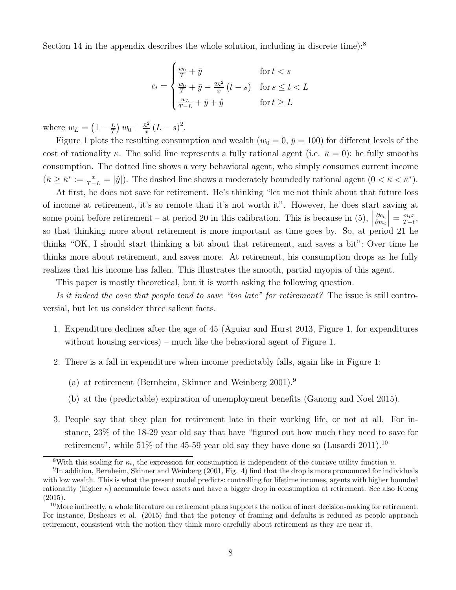Section 14 in the appendix describes the whole solution, including in discrete time):<sup>8</sup>

$$
c_t = \begin{cases} \frac{w_0}{T} + \bar{y} & \text{for } t < s \\ \frac{w_0}{T} + \bar{y} - \frac{2\bar{\kappa}^2}{x} \left( t - s \right) & \text{for } s \le t < L \\ \frac{w_L}{T - L} + \bar{y} + \hat{y} & \text{for } t \ge L \end{cases}
$$

where  $w_L = \left(1 - \frac{L}{T}\right)$  $\frac{L}{T}$ )  $w_0 + \frac{\bar{\kappa}^2}{x}$  $\frac{\bar{x}^2}{x}(L-s)^2$ .

Figure 1 plots the resulting consumption and wealth ( $w_0 = 0$ ,  $\bar{y} = 100$ ) for different levels of the cost of rationality  $\kappa$ . The solid line represents a fully rational agent (i.e.  $\bar{\kappa} = 0$ ): he fully smooths consumption. The dotted line shows a very behavioral agent, who simply consumes current income  $(\bar{\kappa} \geq \bar{\kappa}^* := \frac{x}{T-L} = |\hat{y}|)$ . The dashed line shows a moderately boundedly rational agent  $(0 < \bar{\kappa} < \bar{\kappa}^*)$ .

At first, he does not save for retirement. He's thinking "let me not think about that future loss of income at retirement, it's so remote than it's not worth it". However, he does start saving at some point before retirement – at period 20 in this calibration. This is because in  $(5)$ ,  $\partial c_t$  $\partial m_t$  $= \frac{m_t x}{T-t}$  $\frac{m_tx}{T-t},$ so that thinking more about retirement is more important as time goes by. So, at period 21 he thinks "OK, I should start thinking a bit about that retirement, and saves a bit": Over time he thinks more about retirement, and saves more. At retirement, his consumption drops as he fully realizes that his income has fallen. This illustrates the smooth, partial myopia of this agent.

This paper is mostly theoretical, but it is worth asking the following question.

Is it indeed the case that people tend to save "too late" for retirement? The issue is still controversial, but let us consider three salient facts.

- 1. Expenditure declines after the age of 45 (Aguiar and Hurst 2013, Figure 1, for expenditures without housing services) – much like the behavioral agent of Figure 1.
- 2. There is a fall in expenditure when income predictably falls, again like in Figure 1:
	- (a) at retirement (Bernheim, Skinner and Weinberg 2001).<sup>9</sup>
	- (b) at the (predictable) expiration of unemployment benefits (Ganong and Noel 2015).
- 3. People say that they plan for retirement late in their working life, or not at all. For instance, 23% of the 18-29 year old say that have "figured out how much they need to save for retirement", while  $51\%$  of the 45-59 year old say they have done so (Lusardi 2011).<sup>10</sup>

<sup>&</sup>lt;sup>8</sup>With this scaling for  $\kappa_t$ , the expression for consumption is independent of the concave utility function u.

<sup>&</sup>lt;sup>9</sup>In addition, Bernheim, Skinner and Weinberg (2001, Fig. 4) find that the drop is more pronounced for individuals with low wealth. This is what the present model predicts: controlling for lifetime incomes, agents with higher bounded rationality (higher  $\kappa$ ) accumulate fewer assets and have a bigger drop in consumption at retirement. See also Kueng (2015).

<sup>&</sup>lt;sup>10</sup>More indirectly, a whole literature on retirement plans supports the notion of inert decision-making for retirement. For instance, Beshears et al. (2015) find that the potency of framing and defaults is reduced as people approach retirement, consistent with the notion they think more carefully about retirement as they are near it.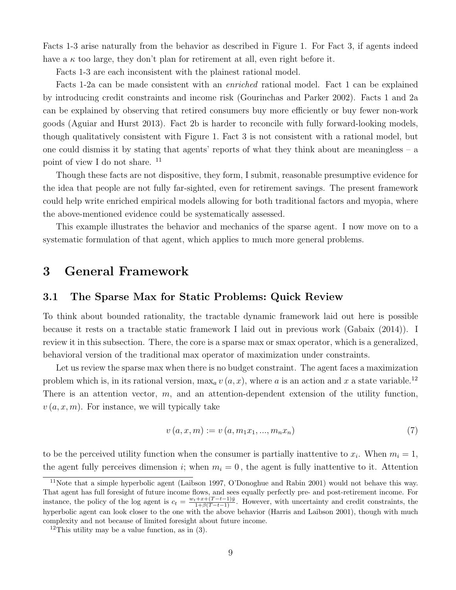Facts 1-3 arise naturally from the behavior as described in Figure 1. For Fact 3, if agents indeed have a  $\kappa$  too large, they don't plan for retirement at all, even right before it.

Facts 1-3 are each inconsistent with the plainest rational model.

Facts 1-2a can be made consistent with an enriched rational model. Fact 1 can be explained by introducing credit constraints and income risk (Gourinchas and Parker 2002). Facts 1 and 2a can be explained by observing that retired consumers buy more efficiently or buy fewer non-work goods (Aguiar and Hurst 2013). Fact 2b is harder to reconcile with fully forward-looking models, though qualitatively consistent with Figure 1. Fact 3 is not consistent with a rational model, but one could dismiss it by stating that agents' reports of what they think about are meaningless – a point of view I do not share. <sup>11</sup>

Though these facts are not dispositive, they form, I submit, reasonable presumptive evidence for the idea that people are not fully far-sighted, even for retirement savings. The present framework could help write enriched empirical models allowing for both traditional factors and myopia, where the above-mentioned evidence could be systematically assessed.

This example illustrates the behavior and mechanics of the sparse agent. I now move on to a systematic formulation of that agent, which applies to much more general problems.

### 3 General Framework

### 3.1 The Sparse Max for Static Problems: Quick Review

To think about bounded rationality, the tractable dynamic framework laid out here is possible because it rests on a tractable static framework I laid out in previous work (Gabaix (2014)). I review it in this subsection. There, the core is a sparse max or smax operator, which is a generalized, behavioral version of the traditional max operator of maximization under constraints.

Let us review the sparse max when there is no budget constraint. The agent faces a maximization problem which is, in its rational version,  $\max_a v(a, x)$ , where a is an action and x a state variable.<sup>12</sup> There is an attention vector,  $m$ , and an attention-dependent extension of the utility function,  $v(a, x, m)$ . For instance, we will typically take

$$
v(a, x, m) := v(a, m_1 x_1, ..., m_n x_n)
$$
\n<sup>(7)</sup>

to be the perceived utility function when the consumer is partially inattentive to  $x_i$ . When  $m_i = 1$ , the agent fully perceives dimension i; when  $m_i = 0$ , the agent is fully inattentive to it. Attention

<sup>11</sup>Note that a simple hyperbolic agent (Laibson 1997, O'Donoghue and Rabin 2001) would not behave this way. That agent has full foresight of future income flows, and sees equally perfectly pre- and post-retirement income. For instance, the policy of the log agent is  $c_t = \frac{w_t + x + (T - t - 1)\bar{y}}{1 + \beta(T - t - 1)}$ . However, with uncertainty and credit constraints, the hyperbolic agent can look closer to the one with the above behavior (Harris and Laibson 2001), though with much complexity and not because of limited foresight about future income.

<sup>&</sup>lt;sup>12</sup>This utility may be a value function, as in  $(3)$ .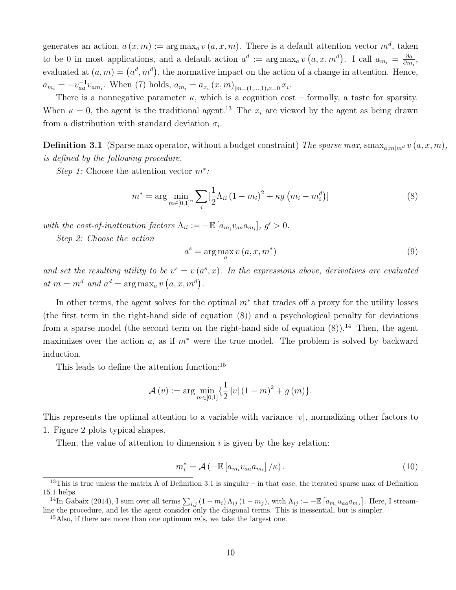generates an action,  $a(x, m) := \arg \max_a v(a, x, m)$ . There is a default attention vector  $m^d$ , taken to be 0 in most applications, and a default action  $a^d := \arg \max_a v(a, x, m^d)$ . I call  $a_{m_i} = \frac{\partial a}{\partial m_i}$  $\frac{\partial a}{\partial m_i},$ evaluated at  $(a, m) = (a^d, m^d)$ , the normative impact on the action of a change in attention. Hence,  $a_{m_i} = -v_{aa}^{-1}v_{am_i}$ . When (7) holds,  $a_{m_i} = a_{x_i}(x, m)_{|m=(1,...,1),x=0}x_i$ .

There is a nonnegative parameter  $\kappa$ , which is a cognition cost – formally, a taste for sparsity. When  $\kappa = 0$ , the agent is the traditional agent.<sup>13</sup> The  $x_i$  are viewed by the agent as being drawn from a distribution with standard deviation  $\sigma_i$ .

**Definition 3.1** (Sparse max operator, without a budget constraint) The sparse max, smax<sub>a;mlm</sub> v  $(a, x, m)$ , is defined by the following procedure.

Step 1: Choose the attention vector  $m^*$ :

$$
m^* = \arg\min_{m \in [0,1]^n} \sum_{i} \left[\frac{1}{2}\Lambda_{ii} \left(1 - m_i\right)^2 + \kappa g \left(m_i - m_i^d\right)\right]
$$
(8)

with the cost-of-inattention factors  $\Lambda_{ii} := -\mathbb{E}\left[a_{m_i}v_{aa}a_{m_i}\right], g' > 0.$ 

Step 2: Choose the action

$$
a^s = \arg\max_a v\left(a, x, m^*\right) \tag{9}
$$

and set the resulting utility to be  $v^s = v(a^s, x)$ . In the expressions above, derivatives are evaluated at  $m = m^d$  and  $a^d = \arg \max_a v(a, x, m^d)$ .

In other terms, the agent solves for the optimal  $m^*$  that trades off a proxy for the utility losses (the first term in the right-hand side of equation (8)) and a psychological penalty for deviations from a sparse model (the second term on the right-hand side of equation  $(8)$ ).<sup>14</sup> Then, the agent maximizes over the action a, as if  $m^*$  were the true model. The problem is solved by backward induction.

This leads to define the attention function:<sup>15</sup>

$$
\mathcal{A}(v) := \arg\min_{m\in[0,1]}\left\{\frac{1}{2}\left|v\right|\left(1-m\right)^2 + g\left(m\right)\right\}.
$$

This represents the optimal attention to a variable with variance  $|v|$ , normalizing other factors to 1. Figure 2 plots typical shapes.

Then, the value of attention to dimension  $i$  is given by the key relation:

$$
m_i^* = \mathcal{A}\left(-\mathbb{E}\left[a_{m_i}v_{aa}a_{m_i}\right]/\kappa\right). \tag{10}
$$

<sup>&</sup>lt;sup>13</sup>This is true unless the matrix  $\Lambda$  of Definition 3.1 is singular – in that case, the iterated sparse max of Definition 15.1 helps.

<sup>&</sup>lt;sup>14</sup>In Gabaix (2014), I sum over all terms  $\sum_{i,j} (1 - m_i) \Lambda_{ij} (1 - m_j)$ , with  $\Lambda_{ij} := -\mathbb{E} [a_{m_i} u_{aa} a_{m_j}]$ . Here, I streamline the procedure, and let the agent consider only the diagonal terms. This is inessential, but is simpler.

<sup>&</sup>lt;sup>15</sup>Also, if there are more than one optimum  $m$ 's, we take the largest one.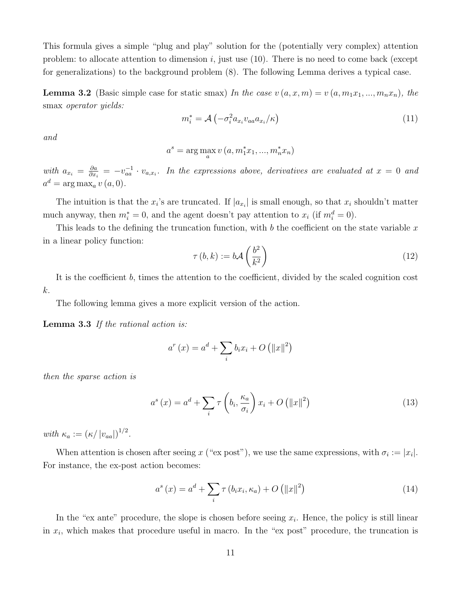This formula gives a simple "plug and play" solution for the (potentially very complex) attention problem: to allocate attention to dimension i, just use  $(10)$ . There is no need to come back (except for generalizations) to the background problem (8). The following Lemma derives a typical case.

**Lemma 3.2** (Basic simple case for static smax) In the case  $v(a, x, m) = v(a, m_1x_1, ..., m_nx_n)$ , the smax *operator* yields:

$$
m_i^* = \mathcal{A}\left(-\sigma_i^2 a_{x_i} v_{aa} a_{x_i}/\kappa\right) \tag{11}
$$

and

$$
a^{s} = \arg\max_{a} v(a, m_{1}^{*}x_{1}, ..., m_{n}^{*}x_{n})
$$

with  $a_{x_i} = \frac{\partial a}{\partial x_i}$  $\frac{\partial a}{\partial x_i} = -v_{aa}^{-1} \cdot v_{a,x_i}$ . In the expressions above, derivatives are evaluated at  $x = 0$  and  $a^d = \arg \max_a v(a, 0).$ 

The intuition is that the  $x_i$ 's are truncated. If  $|a_{x_i}|$  is small enough, so that  $x_i$  shouldn't matter much anyway, then  $m_i^* = 0$ , and the agent doesn't pay attention to  $x_i$  (if  $m_i^d = 0$ ).

This leads to the defining the truncation function, with b the coefficient on the state variable x in a linear policy function:

$$
\tau(b,k) := b\mathcal{A}\left(\frac{b^2}{k^2}\right) \tag{12}
$$

It is the coefficient b, times the attention to the coefficient, divided by the scaled cognition cost k.

The following lemma gives a more explicit version of the action.

Lemma 3.3 If the rational action is:

$$
a^{r}(x) = a^{d} + \sum_{i} b_{i}x_{i} + O(||x||^{2})
$$

then the sparse action is

$$
a^{s}(x) = a^{d} + \sum_{i} \tau \left(b_{i}, \frac{\kappa_{a}}{\sigma_{i}}\right) x_{i} + O\left(\|x\|^{2}\right)
$$
\n(13)

with  $\kappa_a := (\kappa / |v_{aa}|)^{1/2}$ .

When attention is chosen after seeing x ("ex post"), we use the same expressions, with  $\sigma_i := |x_i|$ . For instance, the ex-post action becomes:

$$
a^{s}(x) = a^{d} + \sum_{i} \tau(b_{i}x_{i}, \kappa_{a}) + O\left(\|x\|^{2}\right)
$$
\n
$$
(14)
$$

In the "ex ante" procedure, the slope is chosen before seeing  $x_i$ . Hence, the policy is still linear in  $x_i$ , which makes that procedure useful in macro. In the "ex post" procedure, the truncation is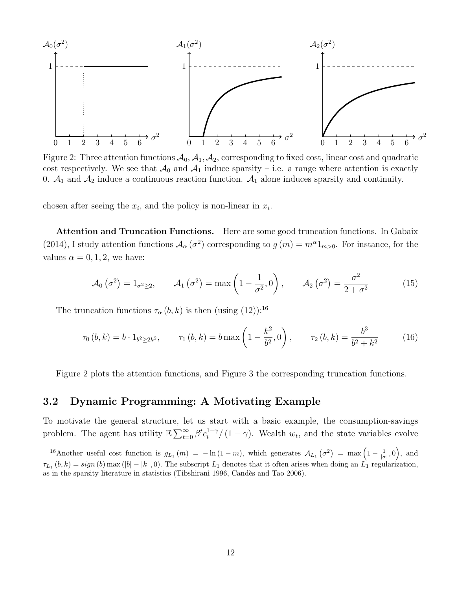

Figure 2: Three attention functions  $A_0$ ,  $A_1$ ,  $A_2$ , corresponding to fixed cost, linear cost and quadratic cost respectively. We see that  $\mathcal{A}_0$  and  $\mathcal{A}_1$  induce sparsity – i.e. a range where attention is exactly 0.  $A_1$  and  $A_2$  induce a continuous reaction function.  $A_1$  alone induces sparsity and continuity.

chosen after seeing the  $x_i$ , and the policy is non-linear in  $x_i$ .

Attention and Truncation Functions. Here are some good truncation functions. In Gabaix (2014), I study attention functions  $A_\alpha(\sigma^2)$  corresponding to  $g(m) = m^\alpha 1_{m>0}$ . For instance, for the values  $\alpha = 0, 1, 2$ , we have:

$$
\mathcal{A}_0\left(\sigma^2\right) = 1_{\sigma^2 \geq 2}, \qquad \mathcal{A}_1\left(\sigma^2\right) = \max\left(1 - \frac{1}{\sigma^2}, 0\right), \qquad \mathcal{A}_2\left(\sigma^2\right) = \frac{\sigma^2}{2 + \sigma^2} \tag{15}
$$

The truncation functions  $\tau_{\alpha}(b, k)$  is then (using  $(12)$ ):<sup>16</sup>

$$
\tau_0(b,k) = b \cdot 1_{b^2 \ge 2k^2}, \qquad \tau_1(b,k) = b \max\left(1 - \frac{k^2}{b^2}, 0\right), \qquad \tau_2(b,k) = \frac{b^3}{b^2 + k^2} \tag{16}
$$

Figure 2 plots the attention functions, and Figure 3 the corresponding truncation functions.

### 3.2 Dynamic Programming: A Motivating Example

To motivate the general structure, let us start with a basic example, the consumption-savings problem. The agent has utility  $\mathbb{E}\sum_{t=0}^{\infty} \beta^{t} c_t^{1-\gamma}/(1-\gamma)$ . Wealth  $w_t$ , and the state variables evolve

<sup>&</sup>lt;sup>16</sup>Another useful cost function is  $g_{L_1}(m) = -\ln(1-m)$ , which generates  $\mathcal{A}_{L_1}(\sigma^2) = \max\left(1 - \frac{1}{|\sigma|}, 0\right)$ , and  $\tau_{L_1}(b, k) = sign(b) \max(|b| - |k|, 0)$ . The subscript  $L_1$  denotes that it often arises when doing an  $L_1$  regularization, as in the sparsity literature in statistics (Tibshirani 1996, Candès and Tao 2006).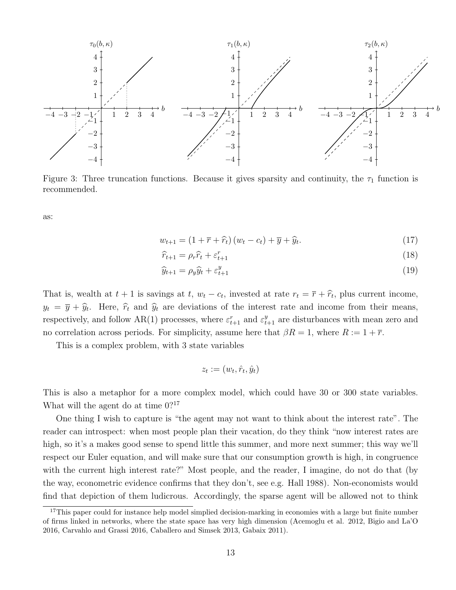

Figure 3: Three truncation functions. Because it gives sparsity and continuity, the  $\tau_1$  function is recommended.

as:

$$
w_{t+1} = \left(1 + \overline{r} + \hat{r}_t\right)\left(w_t - c_t\right) + \overline{y} + \hat{y}_t.
$$
\n
$$
\tag{17}
$$

$$
\hat{r}_{t+1} = \rho_r \hat{r}_t + \varepsilon_{t+1}^r \tag{18}
$$

$$
\widehat{y}_{t+1} = \rho_y \widehat{y}_t + \varepsilon_{t+1}^y \tag{19}
$$

That is, wealth at  $t + 1$  is savings at  $t$ ,  $w_t - c_t$ , invested at rate  $r_t = \overline{r} + \hat{r}_t$ , plus current income,  $y_t = \overline{y} + \hat{y}_t$ . Here,  $\hat{r}_t$  and  $\hat{y}_t$  are deviations of the interest rate and income from their means, respectively, and follow AR(1) processes, where  $\varepsilon_{t+1}^r$  and  $\varepsilon_{t+1}^y$  are disturbances with mean zero and no correlation across periods. For simplicity, assume here that  $\beta R = 1$ , where  $R := 1 + \overline{r}$ .

This is a complex problem, with 3 state variables

$$
z_t := (w_t, \hat{r}_t, \hat{y}_t)
$$

This is also a metaphor for a more complex model, which could have 30 or 300 state variables. What will the agent do at time  $0$ ?<sup>17</sup>

One thing I wish to capture is "the agent may not want to think about the interest rate". The reader can introspect: when most people plan their vacation, do they think "now interest rates are high, so it's a makes good sense to spend little this summer, and more next summer; this way we'll respect our Euler equation, and will make sure that our consumption growth is high, in congruence with the current high interest rate?" Most people, and the reader, I imagine, do not do that (by the way, econometric evidence confirms that they don't, see e.g. Hall 1988). Non-economists would find that depiction of them ludicrous. Accordingly, the sparse agent will be allowed not to think

 $17$ This paper could for instance help model simplied decision-marking in economies with a large but finite number of firms linked in networks, where the state space has very high dimension (Acemoglu et al. 2012, Bigio and La'O 2016, Carvahlo and Grassi 2016, Caballero and Simsek 2013, Gabaix 2011).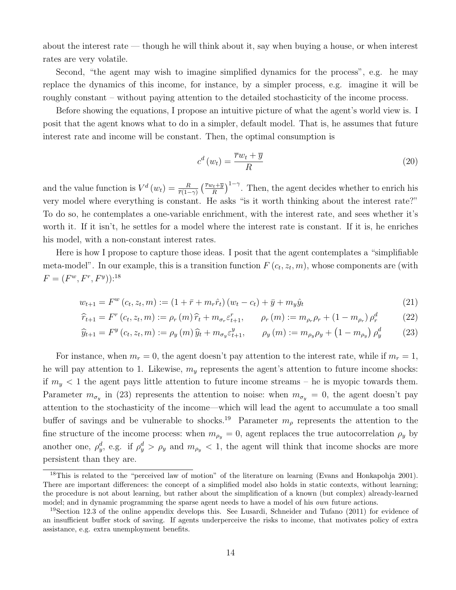about the interest rate — though he will think about it, say when buying a house, or when interest rates are very volatile.

Second, "the agent may wish to imagine simplified dynamics for the process", e.g. he may replace the dynamics of this income, for instance, by a simpler process, e.g. imagine it will be roughly constant – without paying attention to the detailed stochasticity of the income process.

Before showing the equations, I propose an intuitive picture of what the agent's world view is. I posit that the agent knows what to do in a simpler, default model. That is, he assumes that future interest rate and income will be constant. Then, the optimal consumption is

$$
c^d(w_t) = \frac{\overline{r}w_t + \overline{y}}{R} \tag{20}
$$

and the value function is  $V^d(w_t) = \frac{R}{\bar{r}(1-\gamma)} \left( \frac{\bar{r}w_t + \bar{y}}{R} \right)$  $\left(\frac{h_t + \overline{y}}{R}\right)^{1-\gamma}$ . Then, the agent decides whether to enrich his very model where everything is constant. He asks "is it worth thinking about the interest rate?" To do so, he contemplates a one-variable enrichment, with the interest rate, and sees whether it's worth it. If it isn't, he settles for a model where the interest rate is constant. If it is, he enriches his model, with a non-constant interest rates.

Here is how I propose to capture those ideas. I posit that the agent contemplates a "simplifiable meta-model". In our example, this is a transition function  $F(c_t, z_t, m)$ , whose components are (with  $F = (F^w, F^r, F^y)$ :<sup>18</sup>

$$
w_{t+1} = F^w(c_t, z_t, m) := (1 + \bar{r} + m_r \hat{r}_t) (w_t - c_t) + \bar{y} + m_y \hat{y}_t
$$
\n(21)

$$
\hat{r}_{t+1} = F^r(c_t, z_t, m) := \rho_r(m)\,\hat{r}_t + m_{\sigma_r} \varepsilon_{t+1}^r, \qquad \rho_r(m) := m_{\rho_r} \rho_r + (1 - m_{\rho_r}) \rho_r^d \tag{22}
$$

$$
\widehat{y}_{t+1} = F^y(c_t, z_t, m) := \rho_y(m)\widehat{y}_t + m_{\sigma_y} \varepsilon_{t+1}^y, \qquad \rho_y(m) := m_{\rho_y} \rho_y + \left(1 - m_{\rho_y}\right) \rho_y^d \tag{23}
$$

For instance, when  $m_r = 0$ , the agent doesn't pay attention to the interest rate, while if  $m_r = 1$ , he will pay attention to 1. Likewise,  $m<sub>y</sub>$  represents the agent's attention to future income shocks: if  $m_y < 1$  the agent pays little attention to future income streams – he is myopic towards them. Parameter  $m_{\sigma_y}$  in (23) represents the attention to noise: when  $m_{\sigma_y} = 0$ , the agent doesn't pay attention to the stochasticity of the income—which will lead the agent to accumulate a too small buffer of savings and be vulnerable to shocks.<sup>19</sup> Parameter  $m<sub>\rho</sub>$  represents the attention to the fine structure of the income process: when  $m_{\rho_y} = 0$ , agent replaces the true autocorrelation  $\rho_y$  by another one,  $\rho_y^d$ , e.g. if  $\rho_y^d > \rho_y$  and  $m_{\rho_y} < 1$ , the agent will think that income shocks are more persistent than they are.

<sup>&</sup>lt;sup>18</sup>This is related to the "perceived law of motion" of the literature on learning (Evans and Honkapohja 2001). There are important differences: the concept of a simplified model also holds in static contexts, without learning; the procedure is not about learning, but rather about the simplification of a known (but complex) already-learned model; and in dynamic programming the sparse agent needs to have a model of his *own* future actions.

<sup>19</sup>Section 12.3 of the online appendix develops this. See Lusardi, Schneider and Tufano (2011) for evidence of an insufficient buffer stock of saving. If agents underperceive the risks to income, that motivates policy of extra assistance, e.g. extra unemployment benefits.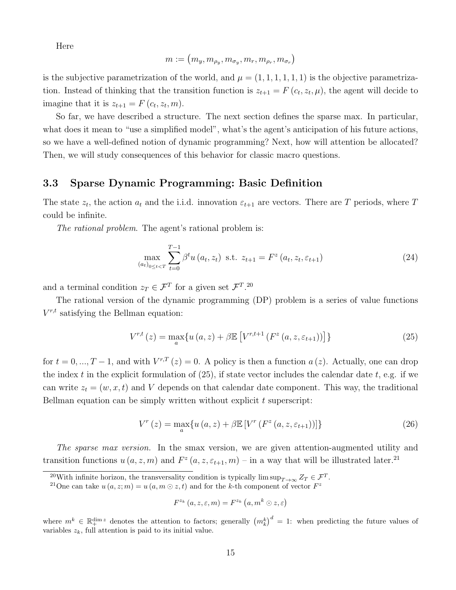Here

$$
m := (m_y, m_{\rho_y}, m_{\sigma_y}, m_r, m_{\rho_r}, m_{\sigma_r})
$$

is the subjective parametrization of the world, and  $\mu = (1, 1, 1, 1, 1, 1)$  is the objective parametrization. Instead of thinking that the transition function is  $z_{t+1} = F(c_t, z_t, \mu)$ , the agent will decide to imagine that it is  $z_{t+1} = F(c_t, z_t, m)$ .

So far, we have described a structure. The next section defines the sparse max. In particular, what does it mean to "use a simplified model", what's the agent's anticipation of his future actions, so we have a well-defined notion of dynamic programming? Next, how will attention be allocated? Then, we will study consequences of this behavior for classic macro questions.

### 3.3 Sparse Dynamic Programming: Basic Definition

The state  $z_t$ , the action  $a_t$  and the i.i.d. innovation  $\varepsilon_{t+1}$  are vectors. There are T periods, where T could be infinite.

The rational problem. The agent's rational problem is:

$$
\max_{(a_t)_{0 \le t < T}} \sum_{t=0}^{T-1} \beta^t u(a_t, z_t) \text{ s.t. } z_{t+1} = F^z(a_t, z_t, \varepsilon_{t+1})
$$
\n(24)

and a terminal condition  $z_T \in \mathcal{F}^T$  for a given set  $\mathcal{F}^T$ .<sup>20</sup>

The rational version of the dynamic programming (DP) problem is a series of value functions  $V^{r,t}$  satisfying the Bellman equation:

$$
V^{r,t}(z) = \max_{a} \{ u(a, z) + \beta \mathbb{E} \left[ V^{r,t+1} \left( F^z \left( a, z, \varepsilon_{t+1} \right) \right) \right] \} \tag{25}
$$

for  $t = 0, ..., T - 1$ , and with  $V^{r,T}(z) = 0$ . A policy is then a function  $a(z)$ . Actually, one can drop the index t in the explicit formulation of  $(25)$ , if state vector includes the calendar date t, e.g. if we can write  $z_t = (w, x, t)$  and V depends on that calendar date component. This way, the traditional Bellman equation can be simply written without explicit  $t$  superscript:

$$
V^{r}(z) = \max_{a} \{ u(a, z) + \beta \mathbb{E} \left[ V^{r} \left( F^{z} \left( a, z, \varepsilon_{t+1} \right) \right) \right] \}
$$
(26)

The sparse max version. In the smax version, we are given attention-augmented utility and transition functions  $u(a, z, m)$  and  $F^z(a, z, \varepsilon_{t+1}, m)$  – in a way that will be illustrated later.<sup>21</sup>

$$
F^{z_k}\left(a,z,\varepsilon,m\right)=F^{z_k}\left(a,m^k\odot z,\varepsilon\right)
$$

where  $m^k \in \mathbb{R}^{\dim z}$  denotes the attention to factors; generally  $\left(m_k^k\right)^d = 1$ : when predicting the future values of variables  $z_k$ , full attention is paid to its initial value.

<sup>&</sup>lt;sup>20</sup>With infinite horizon, the transversality condition is typically lim sup $T \rightarrow \infty Z_T \in \mathcal{F}^T$ .

<sup>&</sup>lt;sup>21</sup>One can take  $u(a, z; m) = u(a, m \odot z, t)$  and for the k-th component of vector  $F^z$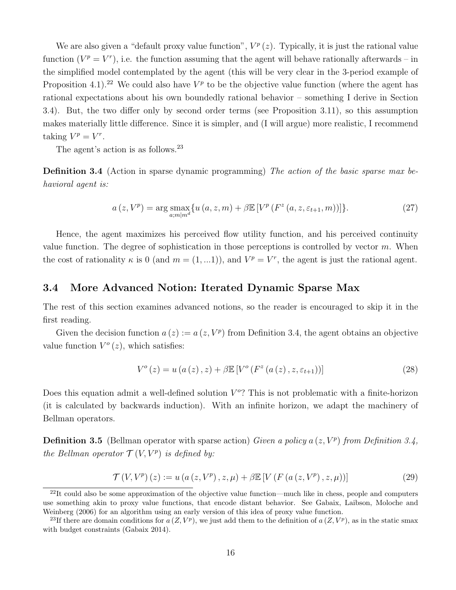We are also given a "default proxy value function",  $V^p(z)$ . Typically, it is just the rational value function  $(V^p = V^r)$ , i.e. the function assuming that the agent will behave rationally afterwards – in the simplified model contemplated by the agent (this will be very clear in the 3-period example of Proposition 4.1).<sup>22</sup> We could also have  $V^p$  to be the objective value function (where the agent has rational expectations about his own boundedly rational behavior – something I derive in Section 3.4). But, the two differ only by second order terms (see Proposition 3.11), so this assumption makes materially little difference. Since it is simpler, and (I will argue) more realistic, I recommend taking  $V^p = V^r$ .

The agent's action is as follows.<sup>23</sup>

Definition 3.4 (Action in sparse dynamic programming) The action of the basic sparse max behavioral agent is:

$$
a(z, V^p) = \arg \max_{a; m|m^d} \{ u(a, z, m) + \beta \mathbb{E} \left[ V^p \left( F^z \left( a, z, \varepsilon_{t+1}, m \right) \right) \right] \}.
$$
 (27)

Hence, the agent maximizes his perceived flow utility function, and his perceived continuity value function. The degree of sophistication in those perceptions is controlled by vector  $m$ . When the cost of rationality  $\kappa$  is 0 (and  $m = (1,...1)$ ), and  $V^p = V^r$ , the agent is just the rational agent.

### 3.4 More Advanced Notion: Iterated Dynamic Sparse Max

The rest of this section examines advanced notions, so the reader is encouraged to skip it in the first reading.

Given the decision function  $a(z) := a(z, V^p)$  from Definition 3.4, the agent obtains an objective value function  $V^{\circ}(z)$ , which satisfies:

$$
V^{o}(z) = u(a(z), z) + \beta \mathbb{E}\left[V^{o}(F^{z}(a(z), z, \varepsilon_{t+1}))\right]
$$
\n(28)

Does this equation admit a well-defined solution  $V^o$ ? This is not problematic with a finite-horizon (it is calculated by backwards induction). With an infinite horizon, we adapt the machinery of Bellman operators.

**Definition 3.5** (Bellman operator with sparse action) Given a policy  $a(z, V^p)$  from Definition 3.4, the Bellman operator  $\mathcal{T}(V,V^p)$  is defined by:

$$
\mathcal{T}(V, V^{p})(z) := u (a (z, V^{p}), z, \mu) + \beta \mathbb{E} [V (F (a (z, V^{p}), z, \mu))]
$$
\n(29)

 $^{22}$ It could also be some approximation of the objective value function—much like in chess, people and computers use something akin to proxy value functions, that encode distant behavior. See Gabaix, Laibson, Moloche and Weinberg (2006) for an algorithm using an early version of this idea of proxy value function.

<sup>&</sup>lt;sup>23</sup>If there are domain conditions for  $a(Z, V^p)$ , we just add them to the definition of  $a(Z, V^p)$ , as in the static smax with budget constraints (Gabaix 2014).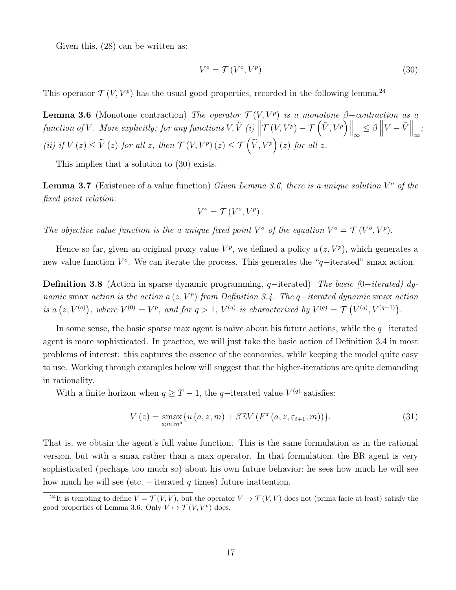Given this, (28) can be written as:

$$
V^o = \mathcal{T}(V^o, V^p) \tag{30}
$$

This operator  $\mathcal{T}(V, V^p)$  has the usual good properties, recorded in the following lemma.<sup>24</sup>

**Lemma 3.6** (Monotone contraction) The operator  $\mathcal{T}(V, V^p)$  is a monotone  $\beta$ -contraction as a  $\left\Vert \mathcal{T}\left(V,V^{p}\right)-\mathcal{T}\left(\tilde{V},V^{p}\right)\right\Vert _{\infty}\leq\beta\left\Vert V-\tilde{V}\right\Vert _{\infty};$  functions  $V,\tilde{V}$  (i)  $\left\Vert \mathcal{T}\left(V,V^{p}\right)-\mathcal{T}\left(\tilde{V},V^{p}\right)\right\Vert _{\infty}\leq\beta\left\Vert V-\tilde{V}\right\Vert _{\infty};$ (ii) if  $V(z) \leq \tilde{V}(z)$  for all z, then  $\mathcal{T}(V,V^p)(z) \leq \mathcal{T}(\tilde{V},V^p)(z)$  for all z.

This implies that a solution to (30) exists.

**Lemma 3.7** (Existence of a value function) Given Lemma 3.6, there is a unique solution  $V^o$  of the fixed point relation:

$$
V^{o} = \mathcal{T}\left(V^{o}, V^{p}\right).
$$

The objective value function is the a unique fixed point  $V^{\circ}$  of the equation  $V^{\circ} = \mathcal{T}(V^{\circ}, V^p)$ .

Hence so far, given an original proxy value  $V^p$ , we defined a policy  $a(z, V^p)$ , which generates a new value function  $V^o$ . We can iterate the process. This generates the "q−iterated" smax action.

Definition 3.8 (Action in sparse dynamic programming, q−iterated) The basic (0−iterated) dynamic smax action is the action a  $(z, V^p)$  from Definition 3.4. The q−iterated dynamic smax action is a  $(z, V^{(q)})$ , where  $V^{(0)} = V^p$ , and for  $q > 1$ ,  $V^{(q)}$  is characterized by  $V^{(q)} = \mathcal{T}(V^{(q)}, V^{(q-1)})$ .

In some sense, the basic sparse max agent is naive about his future actions, while the  $q$ −iterated agent is more sophisticated. In practice, we will just take the basic action of Definition 3.4 in most problems of interest: this captures the essence of the economics, while keeping the model quite easy to use. Working through examples below will suggest that the higher-iterations are quite demanding in rationality.

With a finite horizon when  $q \geq T - 1$ , the q-iterated value  $V^{(q)}$  satisfies:

$$
V(z) = \max_{a;m|m^d} \{ u(a,z,m) + \beta \mathbb{E} V(F^z(a,z,\varepsilon_{t+1},m)) \}.
$$
 (31)

That is, we obtain the agent's full value function. This is the same formulation as in the rational version, but with a smax rather than a max operator. In that formulation, the BR agent is very sophisticated (perhaps too much so) about his own future behavior: he sees how much he will see how much he will see (etc. – iterated q times) future inattention.

<sup>&</sup>lt;sup>24</sup>It is tempting to define  $V = \mathcal{T}(V, V)$ , but the operator  $V \mapsto \mathcal{T}(V, V)$  does not (prima facie at least) satisfy the good properties of Lemma 3.6. Only  $V \mapsto \mathcal{T}(V, V^p)$  does.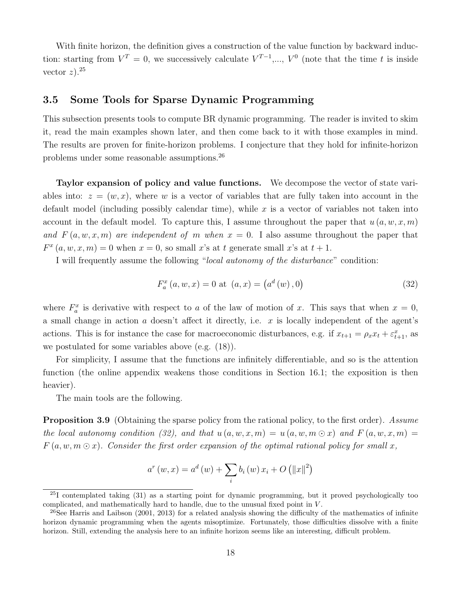With finite horizon, the definition gives a construction of the value function by backward induction: starting from  $V^T = 0$ , we successively calculate  $V^{T-1}, \ldots, V^0$  (note that the time t is inside vector  $z$ ).<sup>25</sup>

### 3.5 Some Tools for Sparse Dynamic Programming

This subsection presents tools to compute BR dynamic programming. The reader is invited to skim it, read the main examples shown later, and then come back to it with those examples in mind. The results are proven for finite-horizon problems. I conjecture that they hold for infinite-horizon problems under some reasonable assumptions.<sup>26</sup>

Taylor expansion of policy and value functions. We decompose the vector of state variables into:  $z = (w, x)$ , where w is a vector of variables that are fully taken into account in the default model (including possibly calendar time), while  $x$  is a vector of variables not taken into account in the default model. To capture this, I assume throughout the paper that  $u(a, w, x, m)$ and  $F(a, w, x, m)$  are independent of m when  $x = 0$ . I also assume throughout the paper that  $F^{x}(a, w, x, m) = 0$  when  $x = 0$ , so small x's at t generate small x's at  $t + 1$ .

I will frequently assume the following "local autonomy of the disturbance" condition:

$$
F_a^x(a, w, x) = 0 \text{ at } (a, x) = (a^d(w), 0)
$$
\n(32)

where  $F_a^x$  is derivative with respect to a of the law of motion of x. This says that when  $x = 0$ , a small change in action  $a$  doesn't affect it directly, i.e.  $x$  is locally independent of the agent's actions. This is for instance the case for macroeconomic disturbances, e.g. if  $x_{t+1} = \rho_x x_t + \varepsilon_{t+1}^x$ , as we postulated for some variables above (e.g. (18)).

For simplicity, I assume that the functions are infinitely differentiable, and so is the attention function (the online appendix weakens those conditions in Section 16.1; the exposition is then heavier).

The main tools are the following.

**Proposition 3.9** (Obtaining the sparse policy from the rational policy, to the first order). Assume the local autonomy condition (32), and that  $u(a, w, x, m) = u(a, w, m \odot x)$  and  $F(a, w, x, m) =$  $F(a, w, m \odot x)$ . Consider the first order expansion of the optimal rational policy for small x,

$$
a^{r}(w, x) = a^{d}(w) + \sum_{i} b_{i}(w) x_{i} + O(|x|^{2})
$$

 $^{25}I$  contemplated taking (31) as a starting point for dynamic programming, but it proved psychologically too complicated, and mathematically hard to handle, due to the unusual fixed point in V.

<sup>&</sup>lt;sup>26</sup>See Harris and Laibson (2001, 2013) for a related analysis showing the difficulty of the mathematics of infinite horizon dynamic programming when the agents misoptimize. Fortunately, those difficulties dissolve with a finite horizon. Still, extending the analysis here to an infinite horizon seems like an interesting, difficult problem.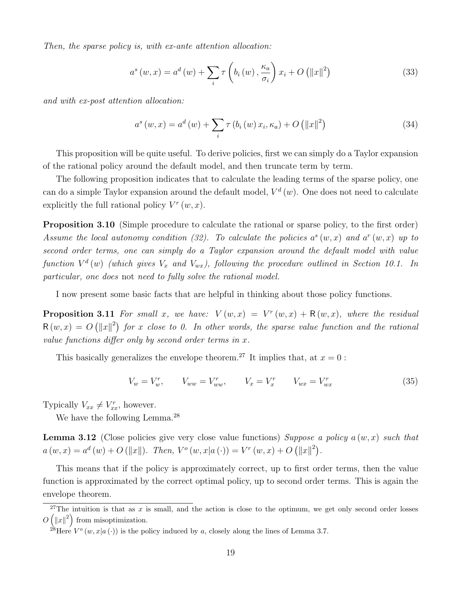Then, the sparse policy is, with ex-ante attention allocation:

$$
a^{s}(w,x) = a^{d}(w) + \sum_{i} \tau \left(b_{i}(w), \frac{\kappa_{a}}{\sigma_{i}}\right) x_{i} + O\left(\|x\|^{2}\right)
$$
\n(33)

and with ex-post attention allocation:

$$
a^{s}(w,x) = a^{d}(w) + \sum_{i} \tau(b_{i}(w) x_{i}, \kappa_{a}) + O(|x|^{2})
$$
\n(34)

This proposition will be quite useful. To derive policies, first we can simply do a Taylor expansion of the rational policy around the default model, and then truncate term by term.

The following proposition indicates that to calculate the leading terms of the sparse policy, one can do a simple Taylor expansion around the default model,  $V^d(w)$ . One does not need to calculate explicitly the full rational policy  $V^r(w, x)$ .

Proposition 3.10 (Simple procedure to calculate the rational or sparse policy, to the first order) Assume the local autonomy condition (32). To calculate the policies  $a^s(w, x)$  and  $a^r(w, x)$  up to second order terms, one can simply do a Taylor expansion around the default model with value function  $V^d(w)$  (which gives  $V_x$  and  $V_{wx}$ ), following the procedure outlined in Section 10.1. In particular, one does not need to fully solve the rational model.

I now present some basic facts that are helpful in thinking about those policy functions.

**Proposition 3.11** For small x, we have:  $V(w, x) = V<sup>r</sup>(w, x) + R(w, x)$ , where the residual  $R(w, x) = O(|x||^2)$  for x close to 0. In other words, the sparse value function and the rational value functions differ only by second order terms in  $x$ .

This basically generalizes the envelope theorem.<sup>27</sup> It implies that, at  $x = 0$ :

$$
V_w = V_w^r, \t V_{ww} = V_{ww}^r, \t V_x = V_x^r \t V_{wx} = V_{wx}^r \t (35)
$$

Typically  $V_{xx} \neq V_{xx}^r$ , however.

We have the following Lemma.<sup>28</sup>

**Lemma 3.12** (Close policies give very close value functions) Suppose a policy  $a(w, x)$  such that  $a(w, x) = a^d(w) + O(||x||)$ . Then,  $V^o(w, x | a(\cdot)) = V^r(w, x) + O(||x||^2)$ .

This means that if the policy is approximately correct, up to first order terms, then the value function is approximated by the correct optimal policy, up to second order terms. This is again the envelope theorem.

<sup>&</sup>lt;sup>27</sup>The intuition is that as x is small, and the action is close to the optimum, we get only second order losses  $O\left(\left\|x\right\|^2\right)$  from misoptimization.

<sup>&</sup>lt;sup>28</sup>Here  $V^o(w, x | a(.))$  is the policy induced by a, closely along the lines of Lemma 3.7.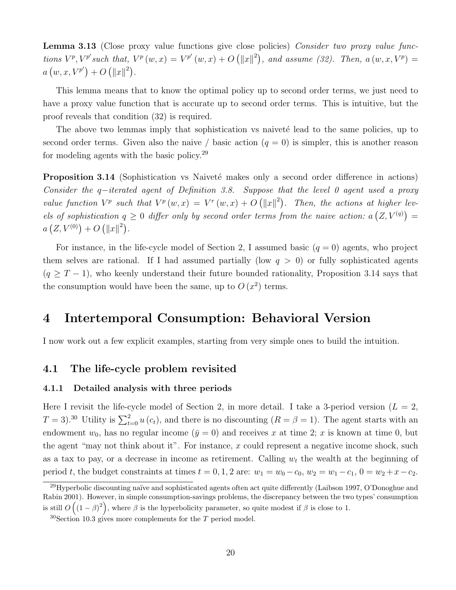Lemma 3.13 (Close proxy value functions give close policies) Consider two proxy value functions  $V^p$ ,  $V^{p'}$  such that,  $V^p(w, x) = V^{p'}(w, x) + O(|x||^2)$ , and assume (32). Then,  $a(w, x, V^p) =$  $a(w, x, V^{p'}) + O (||x||^2).$ 

This lemma means that to know the optimal policy up to second order terms, we just need to have a proxy value function that is accurate up to second order terms. This is intuitive, but the proof reveals that condition (32) is required.

The above two lemmas imply that sophistication vs naiveté lead to the same policies, up to second order terms. Given also the naive / basic action  $(q = 0)$  is simpler, this is another reason for modeling agents with the basic policy.<sup>29</sup>

**Proposition 3.14** (Sophistication vs Naiveté makes only a second order difference in actions) Consider the q−iterated agent of Definition 3.8. Suppose that the level 0 agent used a proxy value function  $V^p$  such that  $V^p(w, x) = V^r(w, x) + O(|x||^2)$ . Then, the actions at higher levels of sophistication  $q \geq 0$  differ only by second order terms from the naive action:  $a(Z, V^{(q)}) =$  $a\left(Z, V^{(0)}\right) + O\left(\|x\|^2\right).$ 

For instance, in the life-cycle model of Section 2, I assumed basic  $(q = 0)$  agents, who project them selves are rational. If I had assumed partially (low  $q > 0$ ) or fully sophisticated agents  $(q \geq T-1)$ , who keenly understand their future bounded rationality, Proposition 3.14 says that the consumption would have been the same, up to  $O(x^2)$  terms.

# 4 Intertemporal Consumption: Behavioral Version

I now work out a few explicit examples, starting from very simple ones to build the intuition.

### 4.1 The life-cycle problem revisited

#### 4.1.1 Detailed analysis with three periods

Here I revisit the life-cycle model of Section 2, in more detail. I take a 3-period version  $(L = 2,$  $T = 3$ .<sup>30</sup> Utility is  $\sum_{t=0}^{2} u(c_t)$ , and there is no discounting  $(R = \beta = 1)$ . The agent starts with an endowment  $w_0$ , has no regular income  $(\bar{y} = 0)$  and receives x at time 2; x is known at time 0, but the agent "may not think about it". For instance,  $x$  could represent a negative income shock, such as a tax to pay, or a decrease in income as retirement. Calling  $w_t$  the wealth at the beginning of period t, the budget constraints at times  $t = 0, 1, 2$  are:  $w_1 = w_0 - c_0$ ,  $w_2 = w_1 - c_1$ ,  $0 = w_2 + x - c_2$ .

<sup>&</sup>lt;sup>29</sup>Hyperbolic discounting naïve and sophisticated agents often act quite differently (Laibson 1997, O'Donoghue and Rabin 2001). However, in simple consumption-savings problems, the discrepancy between the two types' consumption is still  $O((1 - \beta)^2)$ , where  $\beta$  is the hyperbolicity parameter, so quite modest if  $\beta$  is close to 1.

 $30$ Section 10.3 gives more complements for the T period model.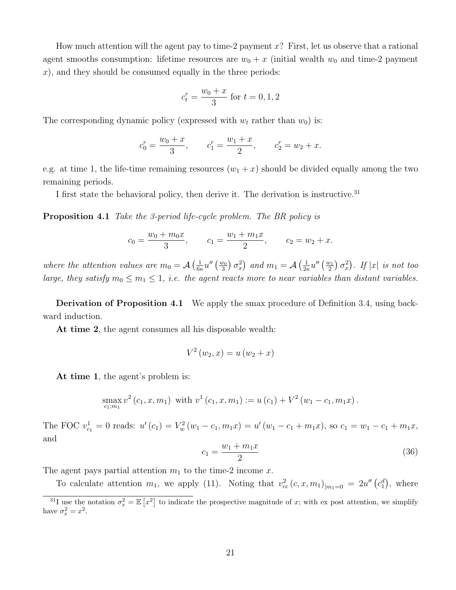How much attention will the agent pay to time-2 payment  $x$ ? First, let us observe that a rational agent smooths consumption: lifetime resources are  $w_0 + x$  (initial wealth  $w_0$  and time-2 payment  $x$ ), and they should be consumed equally in the three periods:

$$
c_t^r = \frac{w_0 + x}{3}
$$
 for  $t = 0, 1, 2$ 

The corresponding dynamic policy (expressed with  $w_t$  rather than  $w_0$ ) is:

$$
c_0^r = \frac{w_0 + x}{3}
$$
,  $c_1^r = \frac{w_1 + x}{2}$ ,  $c_2^r = w_2 + x$ .

e.g. at time 1, the life-time remaining resources  $(w_1 + x)$  should be divided equally among the two remaining periods.

I first state the behavioral policy, then derive it. The derivation is instructive.<sup>31</sup>

Proposition 4.1 Take the 3-period life-cycle problem. The BR policy is

$$
c_0 = \frac{w_0 + m_0 x}{3}
$$
,  $c_1 = \frac{w_1 + m_1 x}{2}$ ,  $c_2 = w_2 + x$ .

where the attention values are  $m_0 = A\left(\frac{1}{6e}\right)$  $\frac{1}{6\kappa}u''\left(\frac{w_0}{3}\right)$  $\left(\frac{v_0}{3}\right)\sigma_x^2$  and  $m_1 = \mathcal{A}\left(\frac{1}{2\kappa}\right)$  $\frac{1}{2\kappa}u''\left(\frac{w_1}{2}\right)$  $\frac{v_1}{2}$   $\sigma_x^2$ ). If  $|x|$  is not too large, they satisfy  $m_0 \leq m_1 \leq 1$ , i.e. the agent reacts more to near variables than distant variables.

Derivation of Proposition 4.1 We apply the smax procedure of Definition 3.4, using backward induction.

At time 2, the agent consumes all his disposable wealth:

$$
V^{2}(w_{2}, x) = u(w_{2} + x)
$$

At time 1, the agent's problem is:

$$
\max_{c_1,m_1} v^2(c_1, x, m_1) \text{ with } v^1(c_1, x, m_1) := u(c_1) + V^2(w_1 - c_1, m_1 x).
$$

The FOC  $v_{c_1}^1 = 0$  reads:  $u'(c_1) = V_w^2(w_1 - c_1, m_1x) = u'(w_1 - c_1 + m_1x)$ , so  $c_1 = w_1 - c_1 + m_1x$ , and

$$
c_1 = \frac{w_1 + m_1 x}{2} \tag{36}
$$

The agent pays partial attention  $m_1$  to the time-2 income x.

To calculate attention  $m_1$ , we apply (11). Noting that  $v_{cc}^2(c, x, m_1)_{|m_1=0} = 2u''(c_1^d)$ , where

<sup>&</sup>lt;sup>31</sup>I use the notation  $\sigma_x^2 = \mathbb{E}[x^2]$  to indicate the prospective magnitude of x; with ex post attention, we simplify have  $\sigma_x^2 = x^2$ .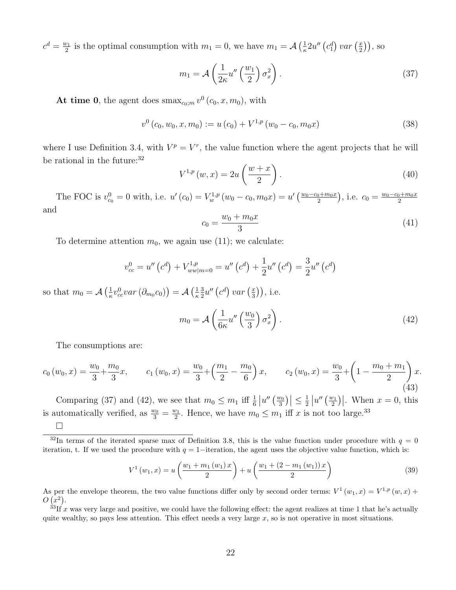$c^d = \frac{w_1}{2}$  $\frac{\nu_1}{2}$  is the optimal consumption with  $m_1 = 0$ , we have  $m_1 = \mathcal{A} \left( \frac{1}{\kappa} \right)$  $\frac{1}{\kappa}2u''\left(c_1^d\right)var\left(\frac{x}{2}\right)$  $(\frac{x}{2})$ , so

$$
m_1 = \mathcal{A}\left(\frac{1}{2\kappa}u''\left(\frac{w_1}{2}\right)\sigma_x^2\right). \tag{37}
$$

At time 0, the agent does  $\max_{c_0,m} v^0(c_0, x, m_0)$ , with

$$
v^{0}\left(c_{0}, w_{0}, x, m_{0}\right) := u\left(c_{0}\right) + V^{1, p}\left(w_{0} - c_{0}, m_{0} x\right) \tag{38}
$$

where I use Definition 3.4, with  $V^p = V^r$ , the value function where the agent projects that he will be rational in the future:<sup>32</sup>

$$
V^{1,p}(w,x) = 2u\left(\frac{w+x}{2}\right). \tag{40}
$$

The FOC is  $v_{c_0}^0 = 0$  with, i.e.  $u'(c_0) = V_w^{1,p}(w_0 - c_0, m_0 x) = u'\left(\frac{w_0 - c_0 + m_0 x}{2}\right)$  $\binom{m_0x}{2}$ , i.e.  $c_0 = \frac{w_0 - c_0 + m_0x}{2}$ 2 and

$$
c_0 = \frac{w_0 + m_0 x}{3} \tag{41}
$$

To determine attention  $m_0$ , we again use (11); we calculate:

$$
v_{cc}^0 = u''(c^d) + V_{ww|m=0}^{1,p} = u''(c^d) + \frac{1}{2}u''(c^d) = \frac{3}{2}u''(c^d)
$$

so that  $m_0 = \mathcal{A} \left( \frac{1}{\kappa} \right)$  $\frac{1}{\kappa}v_{cc}^0var\left(\partial_{m_0}c_0\right)\right)=\mathcal{A}\left(\frac{1}{\kappa}\right)$ κ 3  $\frac{3}{2}u''\left(c^d\right)var\left(\frac{x}{3}\right)$  $(\frac{x}{3})$ , i.e.

$$
m_0 = \mathcal{A}\left(\frac{1}{6\kappa}u''\left(\frac{w_0}{3}\right)\sigma_x^2\right). \tag{42}
$$

The consumptions are:

$$
c_0(w_0, x) = \frac{w_0}{3} + \frac{m_0}{3}x, \qquad c_1(w_0, x) = \frac{w_0}{3} + \left(\frac{m_1}{2} - \frac{m_0}{6}\right)x, \qquad c_2(w_0, x) = \frac{w_0}{3} + \left(1 - \frac{m_0 + m_1}{2}\right)x.
$$
\n
$$
(43)
$$

Comparing (37) and (42), we see that  $m_0 \leq m_1$  iff  $\frac{1}{6} |u''(\frac{w_0}{3})|$  $\left|\frac{v_0}{3}\right|\leq \frac{1}{2}$  $\frac{1}{2}$   $|u''(\frac{w_1}{2})|$  $\left. \frac{v_1}{2} \right)$ . When  $x = 0$ , this is automatically verified, as  $\frac{w_0}{3} = \frac{w_1}{2}$  $\frac{v_1}{2}$ . Hence, we have  $m_0 \leq m_1$  iff x is not too large.<sup>33</sup>  $\Box$ 

$$
V^{1}(w_{1}, x) = u\left(\frac{w_{1} + m_{1}(w_{1})x}{2}\right) + u\left(\frac{w_{1} + (2 - m_{1}(w_{1}))x}{2}\right)
$$
\n(39)

<sup>&</sup>lt;sup>32</sup>In terms of the iterated sparse max of Definition 3.8, this is the value function under procedure with  $q = 0$ iteration, t. If we used the procedure with  $q = 1$ –iteration, the agent uses the objective value function, which is:

As per the envelope theorem, the two value functions differ only by second order terms:  $V^1(w_1, x) = V^{1,p}(w, x) +$  $O(x^2)$ .

 ${}^{33}$ If x was very large and positive, we could have the following effect: the agent realizes at time 1 that he's actually quite wealthy, so pays less attention. This effect needs a very large  $x$ , so is not operative in most situations.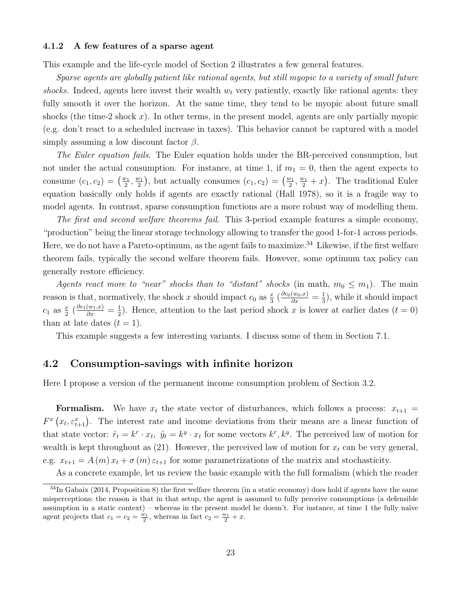#### 4.1.2 A few features of a sparse agent

This example and the life-cycle model of Section 2 illustrates a few general features.

Sparse agents are globally patient like rational agents, but still myopic to a variety of small future shocks. Indeed, agents here invest their wealth  $w_t$  very patiently, exactly like rational agents: they fully smooth it over the horizon. At the same time, they tend to be myopic about future small shocks (the time-2 shock  $x$ ). In other terms, in the present model, agents are only partially myopic (e.g. don't react to a scheduled increase in taxes). This behavior cannot be captured with a model simply assuming a low discount factor  $\beta$ .

The Euler equation fails. The Euler equation holds under the BR-perceived consumption, but not under the actual consumption. For instance, at time 1, if  $m_1 = 0$ , then the agent expects to consume  $(c_1, c_2) = \left(\frac{w_1}{2}\right)$  $\frac{v_1}{2}, \frac{w_1}{2}$  $\left(\frac{v_1}{2}\right)$ , but actually consumes  $(c_1, c_2) = \left(\frac{w_1}{2}\right)$  $\frac{v_1}{2}, \frac{w_1}{2} + x$ . The traditional Euler equation basically only holds if agents are exactly rational (Hall 1978), so it is a fragile way to model agents. In contrast, sparse consumption functions are a more robust way of modelling them.

The first and second welfare theorems fail. This 3-period example features a simple economy, "production" being the linear storage technology allowing to transfer the good 1-for-1 across periods. Here, we do not have a Pareto-optimum, as the agent fails to maximize.<sup>34</sup> Likewise, if the first welfare theorem fails, typically the second welfare theorem fails. However, some optimum tax policy can generally restore efficiency.

Agents react more to "near" shocks than to "distant" shocks (in math,  $m_0 \leq m_1$ ). The main reason is that, normatively, the shock x should impact  $c_0$  as  $\frac{x}{3}$   $\left(\frac{\partial c_0(w_0, x)}{\partial x}\right) = \frac{1}{3}$  $(\frac{1}{3})$ , while it should impact  $c_1$  as  $\frac{x}{2}$   $\left(\frac{\partial c_1(w_1,x)}{\partial x}\right) = \frac{1}{2}$  $\frac{1}{2}$ ). Hence, attention to the last period shock x is lower at earlier dates  $(t = 0)$ than at late dates  $(t = 1)$ .

This example suggests a few interesting variants. I discuss some of them in Section 7.1.

#### 4.2 Consumption-savings with infinite horizon

Here I propose a version of the permanent income consumption problem of Section 3.2.

**Formalism.** We have  $x_t$  the state vector of disturbances, which follows a process:  $x_{t+1}$  =  $F^{x}(x_{t}, \varepsilon_{t+1}^{x})$ . The interest rate and income deviations from their means are a linear function of that state vector:  $\hat{r}_t = k^r \cdot x_t$ ,  $\hat{y}_t = k^y \cdot x_t$  for some vectors  $k^r, k^y$ . The perceived law of motion for wealth is kept throughout as  $(21)$ . However, the perceived law of motion for  $x_t$  can be very general, e.g.  $x_{t+1} = A(m)x_t + \sigma(m)\varepsilon_{t+1}$  for some parametrizations of the matrix and stochasticity.

As a concrete example, let us review the basic example with the full formalism (which the reader

 $34$ In Gabaix (2014, Proposition 8) the first welfare theorem (in a static economy) does hold if agents have the same misperceptions: the reason is that in that setup, the agent is assumed to fully perceive consumptions (a defensible assumption in a static context) – whereas in the present model he doesn't. For instance, at time  $1$  the fully naïve agent projects that  $c_1 = c_2 = \frac{w_1}{2}$ , whereas in fact  $c_2 = \frac{w_1}{2} + x$ .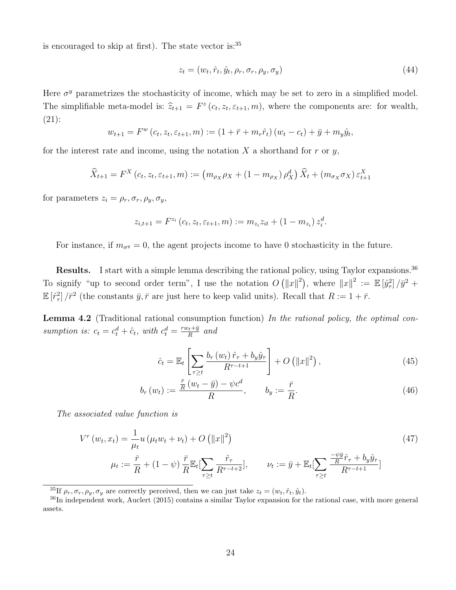is encouraged to skip at first). The state vector is:<sup>35</sup>

$$
z_t = (w_t, \hat{r}_t, \hat{y}_t, \rho_r, \sigma_r, \rho_y, \sigma_y) \tag{44}
$$

Here  $\sigma^y$  parametrizes the stochasticity of income, which may be set to zero in a simplified model. The simplifiable meta-model is:  $\hat{z}_{t+1} = F^z(c_t, z_t, \varepsilon_{t+1}, m)$ , where the components are: for wealth, (21):

$$
w_{t+1} = F^w(c_t, z_t, \varepsilon_{t+1}, m) := (1 + \bar{r} + m_r \hat{r}_t)(w_t - c_t) + \bar{y} + m_y \hat{y}_t,
$$

for the interest rate and income, using the notation  $X$  a shorthand for  $r$  or  $y$ ,

$$
\widehat{X}_{t+1} = F^X(c_t, z_t, \varepsilon_{t+1}, m) := (m_{\rho_X} \rho_X + (1 - m_{\rho_X}) \rho_X^d) \widehat{X}_t + (m_{\sigma_X} \sigma_X) \varepsilon_{t+1}^X
$$

for parameters  $z_i = \rho_r, \sigma_r, \rho_y, \sigma_y,$ 

$$
z_{i,t+1} = F^{z_i} (c_t, z_t, \varepsilon_{t+1}, m) := m_{z_i} z_{it} + (1 - m_{z_i}) z_i^d.
$$

For instance, if  $m_{\sigma y} = 0$ , the agent projects income to have 0 stochasticity in the future.

Results. I start with a simple lemma describing the rational policy, using Taylor expansions.<sup>36</sup> To signify "up to second order term", I use the notation  $O(|x||^2)$ , where  $||x||^2 := \mathbb{E} [\hat{y}_\tau^2]/\bar{y}^2 +$  $\mathbb{E}[\hat{r}_\tau^2]/\bar{r}^2$  (the constants  $\bar{y}, \bar{r}$  are just here to keep valid units). Recall that  $R := 1 + \bar{r}$ .

**Lemma 4.2** (Traditional rational consumption function) In the rational policy, the optimal consumption is:  $c_t = c_t^d + \hat{c}_t$ , with  $c_t^d = \frac{rw_t + \bar{y}}{R}$  $\frac{y_t+y}{R}$  and

$$
\hat{c}_t = \mathbb{E}_t \left[ \sum_{\tau \ge t} \frac{b_r \left( w_t \right) \hat{r}_\tau + b_y \hat{y}_\tau}{R^{\tau - t + 1}} \right] + O\left( \|x\|^2 \right),\tag{45}
$$

$$
b_r(w_t) := \frac{\frac{\bar{r}}{R}(w_t - \bar{y}) - \psi c^d}{R}, \qquad b_y := \frac{\bar{r}}{R}.
$$
 (46)

The associated value function is

$$
V^{r}(w_{t}, x_{t}) = \frac{1}{\mu_{t}} u \left(\mu_{t} w_{t} + \nu_{t}\right) + O\left(\|x\|^{2}\right)
$$
\n
$$
\mu_{t} := \frac{\bar{r}}{R} + (1 - \psi) \frac{\bar{r}}{R} \mathbb{E}_{t} \left[\sum_{\tau \geq t} \frac{\hat{r}_{\tau}}{R^{\tau - t + 2}}\right], \qquad \nu_{t} := \bar{y} + \mathbb{E}_{t} \left[\sum_{\tau \geq t} \frac{\frac{-\psi \bar{y}}{R} \hat{r}_{\tau} + b_{y} \hat{y}_{\tau}}{R^{\tau - t + 1}}\right]
$$
\n
$$
(47)
$$

<sup>&</sup>lt;sup>35</sup>If  $\rho_r$ ,  $\sigma_r$ ,  $\rho_y$ ,  $\sigma_y$  are correctly perceived, then we can just take  $z_t = (w_t, \hat{r}_t, \hat{y}_t)$ .

<sup>36</sup>In independent work, Auclert (2015) contains a similar Taylor expansion for the rational case, with more general assets.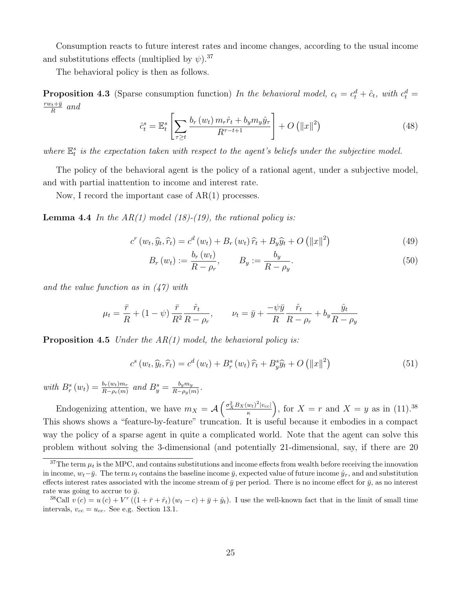Consumption reacts to future interest rates and income changes, according to the usual income and substitutions effects (multiplied by  $\psi$ ).<sup>37</sup>

The behavioral policy is then as follows.

**Proposition 4.3** (Sparse consumption function) In the behavioral model,  $c_t = c_t^d + \hat{c}_t$ , with  $c_t^d = c_t^d$  $rw_t + \bar{y}$  $\frac{y_t + \bar{y}}{R}$  and

$$
\hat{c}_t^s = \mathbb{E}_t^s \left[ \sum_{\tau \ge t} \frac{b_r(w_t) \, m_r \hat{r}_t + b_y m_y \hat{y}_\tau}{R^{\tau - t + 1}} \right] + O\left( \|x\|^2 \right) \tag{48}
$$

where  $\mathbb{E}_{t}^{s}$  is the expectation taken with respect to the agent's beliefs under the subjective model.

The policy of the behavioral agent is the policy of a rational agent, under a subjective model, and with partial inattention to income and interest rate.

Now, I record the important case of AR(1) processes.

**Lemma 4.4** In the  $AR(1)$  model (18)-(19), the rational policy is:

$$
c^{r}(w_{t}, \widehat{y}_{t}, \widehat{r}_{t}) = c^{d}(w_{t}) + B_{r}(w_{t})\,\widehat{r}_{t} + B_{y}\widehat{y}_{t} + O\left(\|x\|^{2}\right)
$$
\n
$$
\tag{49}
$$

$$
B_r(w_t) := \frac{b_r(w_t)}{R - \rho_r}, \qquad B_y := \frac{b_y}{R - \rho_y}.
$$
\n(50)

and the value function as in (47) with

$$
\mu_t = \frac{\bar{r}}{R} + (1 - \psi) \frac{\bar{r}}{R^2} \frac{\hat{r}_t}{R - \rho_r}, \qquad \nu_t = \bar{y} + \frac{-\psi \bar{y}}{R} \frac{\hat{r}_t}{R - \rho_r} + b_y \frac{\hat{y}_t}{R - \rho_y}
$$

**Proposition 4.5** Under the  $AR(1)$  model, the behavioral policy is:

$$
c^{s}(w_{t},\widehat{y}_{t},\widehat{r}_{t}) = c^{d}(w_{t}) + B_{r}^{s}(w_{t})\widehat{r}_{t} + B_{y}^{s}\widehat{y}_{t} + O\left(\|x\|^{2}\right)
$$
\n
$$
(51)
$$

with  $B_r^s(w_t) = \frac{b_r(w_t)m_r}{R-\rho_r(m)}$  and  $B_y^s = \frac{b_ym_y}{R-\rho_y(n)}$  $\frac{b_ym_y}{R-\rho_y(m)}$ .

Endogenizing attention, we have  $m_X = \mathcal{A} \left( \frac{\sigma_X^2 B_X(w_t)^2 |v_{cc}|}{\kappa} \right)$  $\left(\frac{w_t}{\kappa}\right)^2\left|v_{cc}\right|$ , for  $X = r$  and  $X = y$  as in (11).<sup>38</sup> This shows shows a "feature-by-feature" truncation. It is useful because it embodies in a compact way the policy of a sparse agent in quite a complicated world. Note that the agent can solve this problem without solving the 3-dimensional (and potentially 21-dimensional, say, if there are 20

 $37$ The term  $\mu_t$  is the MPC, and contains substitutions and income effects from wealth before receiving the innovation in income,  $w_t-\bar{y}$ . The term  $\nu_t$  contains the baseline income  $\bar{y}$ , expected value of future income  $\hat{y}_\tau$ , and and substitution effects interest rates associated with the income stream of  $\bar{y}$  per period. There is no income effect for  $\bar{y}$ , as no interest rate was going to accrue to  $\bar{y}$ .

<sup>&</sup>lt;sup>38</sup>Call  $v(c) = u(c) + V^r((1 + \bar{r} + \hat{r}_t)(w_t - c) + \bar{y} + \hat{y}_t)$ . I use the well-known fact that in the limit of small time intervals,  $v_{cc} = u_{cc}$ . See e.g. Section 13.1.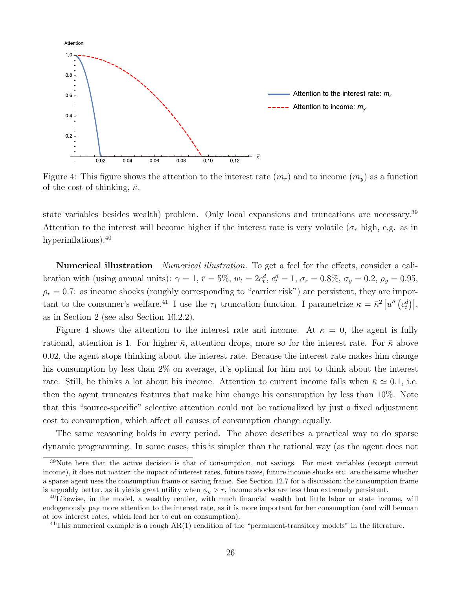

Figure 4: This figure shows the attention to the interest rate  $(m_r)$  and to income  $(m_y)$  as a function of the cost of thinking,  $\bar{\kappa}$ .

state variables besides wealth) problem. Only local expansions and truncations are necessary.<sup>39</sup> Attention to the interest will become higher if the interest rate is very volatile ( $\sigma_r$  high, e.g. as in hyperinflations).<sup>40</sup>

Numerical illustration *Numerical illustration*. To get a feel for the effects, consider a calibration with (using annual units):  $\gamma = 1$ ,  $\bar{r} = 5\%$ ,  $w_t = 2c_t^d$ ,  $c_t^d = 1$ ,  $\sigma_r = 0.8\%$ ,  $\sigma_y = 0.2$ ,  $\rho_y = 0.95$ ,  $\rho_r = 0.7$ : as income shocks (roughly corresponding to "carrier risk") are persistent, they are important to the consumer's welfare.<sup>41</sup> I use the  $\tau_1$  truncation function. I parametrize  $\kappa = \bar{\kappa}^2 |u''(c_t^d)|$ , as in Section 2 (see also Section 10.2.2).

Figure 4 shows the attention to the interest rate and income. At  $\kappa = 0$ , the agent is fully rational, attention is 1. For higher  $\bar{\kappa}$ , attention drops, more so for the interest rate. For  $\bar{\kappa}$  above 0.02, the agent stops thinking about the interest rate. Because the interest rate makes him change his consumption by less than 2% on average, it's optimal for him not to think about the interest rate. Still, he thinks a lot about his income. Attention to current income falls when  $\bar{\kappa} \simeq 0.1$ , i.e. then the agent truncates features that make him change his consumption by less than 10%. Note that this "source-specific" selective attention could not be rationalized by just a fixed adjustment cost to consumption, which affect all causes of consumption change equally.

The same reasoning holds in every period. The above describes a practical way to do sparse dynamic programming. In some cases, this is simpler than the rational way (as the agent does not

<sup>&</sup>lt;sup>39</sup>Note here that the active decision is that of consumption, not savings. For most variables (except current income), it does not matter: the impact of interest rates, future taxes, future income shocks etc. are the same whether a sparse agent uses the consumption frame or saving frame. See Section 12.7 for a discussion: the consumption frame is arguably better, as it yields great utility when  $\phi_y > r$ , income shocks are less than extremely persistent.

<sup>40</sup>Likewise, in the model, a wealthy rentier, with much financial wealth but little labor or state income, will endogenously pay more attention to the interest rate, as it is more important for her consumption (and will bemoan at low interest rates, which lead her to cut on consumption).

<sup>&</sup>lt;sup>41</sup>This numerical example is a rough  $AR(1)$  rendition of the "permanent-transitory models" in the literature.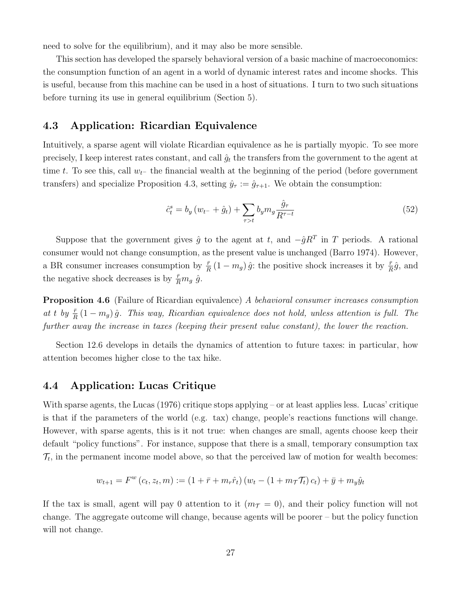need to solve for the equilibrium), and it may also be more sensible.

This section has developed the sparsely behavioral version of a basic machine of macroeconomics: the consumption function of an agent in a world of dynamic interest rates and income shocks. This is useful, because from this machine can be used in a host of situations. I turn to two such situations before turning its use in general equilibrium (Section 5).

### 4.3 Application: Ricardian Equivalence

Intuitively, a sparse agent will violate Ricardian equivalence as he is partially myopic. To see more precisely, I keep interest rates constant, and call  $\hat{g}_t$  the transfers from the government to the agent at time t. To see this, call  $w_{t-}$  the financial wealth at the beginning of the period (before government transfers) and specialize Proposition 4.3, setting  $\hat{y}_{\tau} := \hat{g}_{\tau+1}$ . We obtain the consumption:

$$
\hat{c}_t^s = b_y (w_{t-} + \hat{g}_t) + \sum_{\tau > t} b_y m_g \frac{\hat{g}_\tau}{R^{\tau - t}} \tag{52}
$$

Suppose that the government gives  $\hat{g}$  to the agent at t, and  $-\hat{g}R^{T}$  in T periods. A rational consumer would not change consumption, as the present value is unchanged (Barro 1974). However, a BR consumer increases consumption by  $\frac{\bar{r}}{R}(1 - m_g) \hat{g}$ : the positive shock increases it by  $\frac{\bar{r}}{R}\hat{g}$ , and the negative shock decreases is by  $\frac{\bar{r}}{R}m_g \hat{g}$ .

**Proposition 4.6** (Failure of Ricardian equivalence) A behavioral consumer increases consumption at t by  $\frac{\bar{r}}{R}(1 - m_g)\hat{g}$ . This way, Ricardian equivalence does not hold, unless attention is full. The further away the increase in taxes (keeping their present value constant), the lower the reaction.

Section 12.6 develops in details the dynamics of attention to future taxes: in particular, how attention becomes higher close to the tax hike.

### 4.4 Application: Lucas Critique

With sparse agents, the Lucas (1976) critique stops applying – or at least applies less. Lucas' critique is that if the parameters of the world (e.g. tax) change, people's reactions functions will change. However, with sparse agents, this is it not true: when changes are small, agents choose keep their default "policy functions". For instance, suppose that there is a small, temporary consumption tax  $\mathcal{T}_t$ , in the permanent income model above, so that the perceived law of motion for wealth becomes:

$$
w_{t+1} = F^w(c_t, z_t, m) := (1 + \bar{r} + m_r \hat{r}_t) (w_t - (1 + m_\mathcal{T} \mathcal{T}_t) c_t) + \bar{y} + m_y \hat{y}_t
$$

If the tax is small, agent will pay 0 attention to it  $(m<sub>T</sub> = 0)$ , and their policy function will not change. The aggregate outcome will change, because agents will be poorer – but the policy function will not change.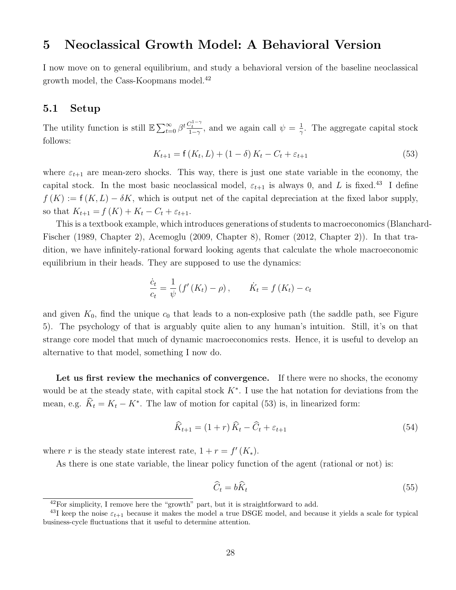### 5 Neoclassical Growth Model: A Behavioral Version

I now move on to general equilibrium, and study a behavioral version of the baseline neoclassical growth model, the Cass-Koopmans model.<sup>42</sup>

### 5.1 Setup

The utility function is still  $\mathbb{E} \sum_{t=0}^{\infty} \beta^t \frac{C_t^{1-\gamma}}{1-\gamma}$ , and we again call  $\psi = \frac{1}{\gamma}$  $\frac{1}{\gamma}$ . The aggregate capital stock follows:

$$
K_{t+1} = f(K_t, L) + (1 - \delta) K_t - C_t + \varepsilon_{t+1}
$$
\n(53)

where  $\varepsilon_{t+1}$  are mean-zero shocks. This way, there is just one state variable in the economy, the capital stock. In the most basic neoclassical model,  $\varepsilon_{t+1}$  is always 0, and L is fixed.<sup>43</sup> I define  $f(K) := f(K, L) - \delta K$ , which is output net of the capital depreciation at the fixed labor supply, so that  $K_{t+1} = f(K) + K_t - C_t + \varepsilon_{t+1}$ .

This is a textbook example, which introduces generations of students to macroeconomics (Blanchard-Fischer (1989, Chapter 2), Acemoglu (2009, Chapter 8), Romer (2012, Chapter 2)). In that tradition, we have infinitely-rational forward looking agents that calculate the whole macroeconomic equilibrium in their heads. They are supposed to use the dynamics:

$$
\frac{\dot{c}_t}{c_t} = \frac{1}{\psi} \left( f'(K_t) - \rho \right), \qquad \dot{K}_t = f(K_t) - c_t
$$

and given  $K_0$ , find the unique  $c_0$  that leads to a non-explosive path (the saddle path, see Figure 5). The psychology of that is arguably quite alien to any human's intuition. Still, it's on that strange core model that much of dynamic macroeconomics rests. Hence, it is useful to develop an alternative to that model, something I now do.

Let us first review the mechanics of convergence. If there were no shocks, the economy would be at the steady state, with capital stock  $K^*$ . I use the hat notation for deviations from the mean, e.g.  $\hat{K}_t = K_t - K^*$ . The law of motion for capital (53) is, in linearized form:

$$
\widehat{K}_{t+1} = (1+r)\widehat{K}_t - \widehat{C}_t + \varepsilon_{t+1}
$$
\n
$$
(54)
$$

where r is the steady state interest rate,  $1 + r = f'(K_*)$ .

As there is one state variable, the linear policy function of the agent (rational or not) is:

$$
\widehat{C}_t = b\widehat{K}_t \tag{55}
$$

 $42$ For simplicity, I remove here the "growth" part, but it is straightforward to add.

<sup>&</sup>lt;sup>43</sup>I keep the noise  $\varepsilon_{t+1}$  because it makes the model a true DSGE model, and because it yields a scale for typical business-cycle fluctuations that it useful to determine attention.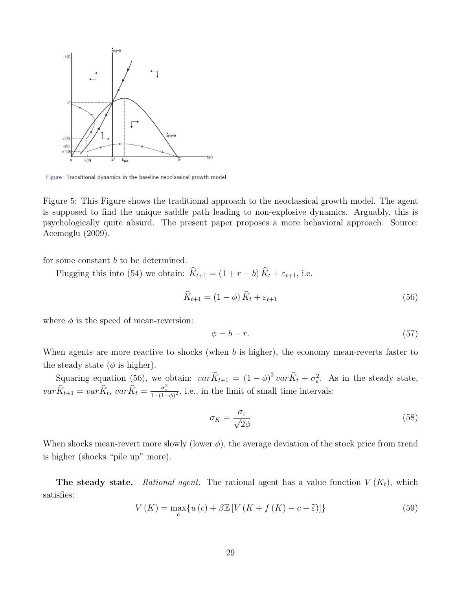

Figure: Transitional dynamics in the baseline neoclassical growth model

Figure 5: This Figure shows the traditional approach to the neoclassical growth model. The agent is supposed to find the unique saddle path leading to non-explosive dynamics. Arguably, this is psychologically quite absurd. The present paper proposes a more behavioral approach. Source: Acemoglu (2009).

for some constant b to be determined.

Plugging this into (54) we obtain:  $\widehat{K}_{t+1} = (1 + r - b) \widehat{K}_t + \varepsilon_{t+1}$ , i.e.

$$
\widehat{K}_{t+1} = (1 - \phi) \widehat{K}_t + \varepsilon_{t+1} \tag{56}
$$

where  $\phi$  is the speed of mean-reversion:

$$
\phi = b - r. \tag{57}
$$

When agents are more reactive to shocks (when  $b$  is higher), the economy mean-reverts faster to the steady state ( $\phi$  is higher).

Squaring equation (56), we obtain:  $var \hat{K}_{t+1} = (1 - \phi)^2 var \hat{K}_t + \sigma_{\varepsilon}^2$ . As in the steady state,  $var \hat{K}_{t+1} = var \hat{K}_t, var \hat{K}_t = \frac{\sigma_{\varepsilon}^2}{1 - (1 - \phi)^2}$ , i.e., in the limit of small time intervals:

$$
\sigma_K = \frac{\sigma_\varepsilon}{\sqrt{2\phi}}\tag{58}
$$

When shocks mean-revert more slowly (lower  $\phi$ ), the average deviation of the stock price from trend is higher (shocks "pile up" more).

**The steady state.** Rational agent. The rational agent has a value function  $V(K_t)$ , which satisfies:

$$
V(K) = \max_{c} \{ u(c) + \beta \mathbb{E} \left[ V(K + f(K) - c + \tilde{\varepsilon}) \right] \}
$$
\n
$$
(59)
$$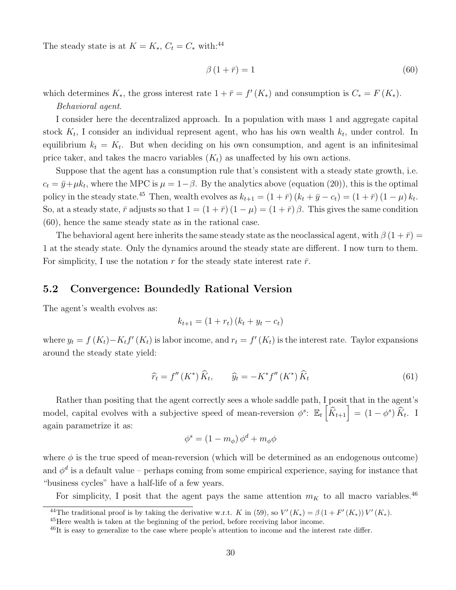The steady state is at  $K = K_*, C_t = C_*$  with:<sup>44</sup>

$$
\beta(1+\bar{r}) = 1\tag{60}
$$

which determines  $K_*$ , the gross interest rate  $1 + \bar{r} = f'(K_*)$  and consumption is  $C_* = F(K_*)$ . Behavioral agent.

I consider here the decentralized approach. In a population with mass 1 and aggregate capital stock  $K_t$ , I consider an individual represent agent, who has his own wealth  $k_t$ , under control. In equilibrium  $k_t = K_t$ . But when deciding on his own consumption, and agent is an infinitesimal price taker, and takes the macro variables  $(K_t)$  as unaffected by his own actions.

Suppose that the agent has a consumption rule that's consistent with a steady state growth, i.e.  $c_t = \bar{y} + \mu k_t$ , where the MPC is  $\mu = 1 - \beta$ . By the analytics above (equation (20)), this is the optimal policy in the steady state.<sup>45</sup> Then, wealth evolves as  $k_{t+1} = (1 + \bar{r}) (k_t + \bar{y} - c_t) = (1 + \bar{r}) (1 - \mu) k_t$ . So, at a steady state,  $\bar{r}$  adjusts so that  $1 = (1 + \bar{r}) (1 - \mu) = (1 + \bar{r}) \beta$ . This gives the same condition (60), hence the same steady state as in the rational case.

The behavioral agent here inherits the same steady state as the neoclassical agent, with  $\beta(1+\bar{r}) =$ 1 at the steady state. Only the dynamics around the steady state are different. I now turn to them. For simplicity, I use the notation r for the steady state interest rate  $\bar{r}$ .

### 5.2 Convergence: Boundedly Rational Version

The agent's wealth evolves as:

$$
k_{t+1} = (1 + r_t) (k_t + y_t - c_t)
$$

where  $y_t = f(K_t) - K_t f'(K_t)$  is labor income, and  $r_t = f'(K_t)$  is the interest rate. Taylor expansions around the steady state yield:

$$
\widehat{r}_t = f''(K^*)\widehat{K}_t, \qquad \widehat{y}_t = -K^*f''(K^*)\widehat{K}_t \tag{61}
$$

Rather than positing that the agent correctly sees a whole saddle path, I posit that in the agent's model, capital evolves with a subjective speed of mean-reversion  $\phi^s$ :  $\mathbb{E}_t\left[\hat{K}_{t+1}\right] = (1 - \phi^s)\,\hat{K}_t$ . I again parametrize it as:

$$
\phi^s = (1 - m_{\phi}) \phi^d + m_{\phi} \phi
$$

where  $\phi$  is the true speed of mean-reversion (which will be determined as an endogenous outcome) and  $\phi^d$  is a default value – perhaps coming from some empirical experience, saying for instance that "business cycles" have a half-life of a few years.

For simplicity, I posit that the agent pays the same attention  $m<sub>K</sub>$  to all macro variables.<sup>46</sup>

<sup>&</sup>lt;sup>44</sup>The traditional proof is by taking the derivative w.r.t. K in (59), so  $V'(K_*) = \beta (1 + F'(K_*)) V'(K_*)$ .

<sup>&</sup>lt;sup>45</sup>Here wealth is taken at the beginning of the period, before receiving labor income.

 $^{46}$ It is easy to generalize to the case where people's attention to income and the interest rate differ.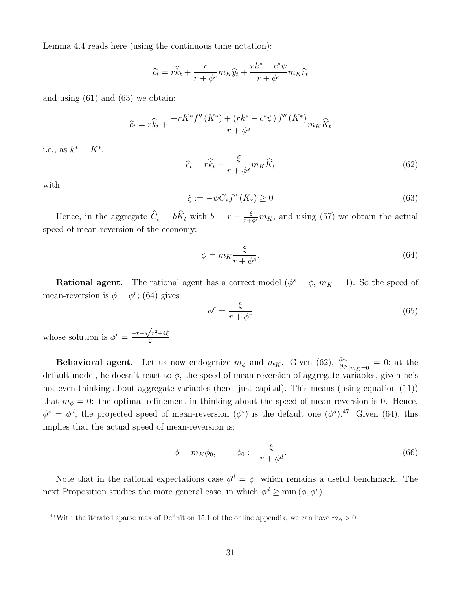Lemma 4.4 reads here (using the continuous time notation):

$$
\widehat{c}_t = r\widehat{k}_t + \frac{r}{r + \phi^s}m_K\widehat{y}_t + \frac{rk^* - c^*\psi}{r + \phi^s}m_K\widehat{r}_t
$$

and using (61) and (63) we obtain:

$$
\widehat{c}_{t} = r\widehat{k}_{t} + \frac{-rK^{*}f''\left(K^{*}\right) + \left(rk^{*} - c^{*}\psi\right)f''\left(K^{*}\right)}{r + \phi^{s}}m_{K}\widehat{K}_{t}
$$

i.e., as  $k^* = K^*$ ,

$$
\widehat{c}_t = r\widehat{k}_t + \frac{\xi}{r + \phi^s} m_K \widehat{K}_t \tag{62}
$$

with

$$
\xi := -\psi C_* f''(K_*) \ge 0 \tag{63}
$$

Hence, in the aggregate  $\hat{C}_t = b\hat{K}_t$  with  $b = r + \frac{\xi}{r+\phi^s}m_K$ , and using (57) we obtain the actual speed of mean-reversion of the economy:

$$
\phi = m_K \frac{\xi}{r + \phi^s}.\tag{64}
$$

**Rational agent.** The rational agent has a correct model ( $\phi^s = \phi$ ,  $m_K = 1$ ). So the speed of mean-reversion is  $\phi = \phi^r$ ; (64) gives

$$
\phi^r = \frac{\xi}{r + \phi^r} \tag{65}
$$

whose solution is  $\phi^r = \frac{-r + \sqrt{r^2 + 4\xi}}{2}$  $\frac{77+4\zeta}{2}$ .

**Behavioral agent.** Let us now endogenize  $m_{\phi}$  and  $m_K$ . Given (62),  $\frac{\partial \hat{c}_t}{\partial \phi}|_{m_K=0} = 0$ : at the default model, he doesn't react to  $\phi$ , the speed of mean reversion of aggregate variables, given he's not even thinking about aggregate variables (here, just capital). This means (using equation (11)) that  $m_{\phi} = 0$ : the optimal refinement in thinking about the speed of mean reversion is 0. Hence,  $\phi^s = \phi^d$ , the projected speed of mean-reversion  $(\phi^s)$  is the default one  $(\phi^d)$ .<sup>47</sup> Given (64), this implies that the actual speed of mean-reversion is:

$$
\phi = m_K \phi_0, \qquad \phi_0 := \frac{\xi}{r + \phi^d}.
$$
\n(66)

Note that in the rational expectations case  $\phi^d = \phi$ , which remains a useful benchmark. The next Proposition studies the more general case, in which  $\phi^d \ge \min(\phi, \phi^r)$ .

<sup>&</sup>lt;sup>47</sup>With the iterated sparse max of Definition 15.1 of the online appendix, we can have  $m_{\phi} > 0$ .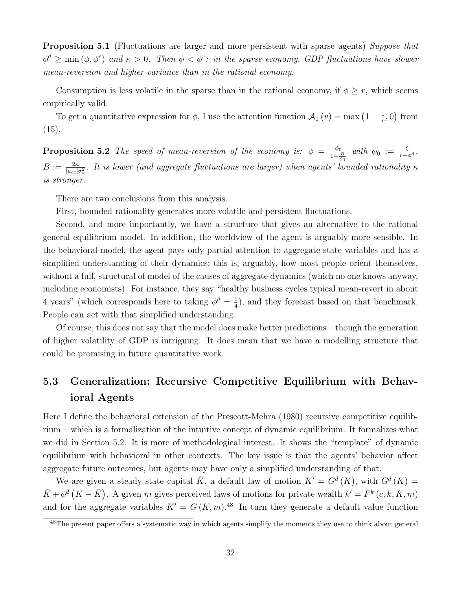Proposition 5.1 (Fluctuations are larger and more persistent with sparse agents) Suppose that  $\phi^d \ge \min(\phi, \phi^r)$  and  $\kappa > 0$ . Then  $\phi < \phi^r$ : in the sparse economy, GDP fluctuations have slower mean-reversion and higher variance than in the rational economy.

Consumption is less volatile in the sparse than in the rational economy, if  $\phi \geq r$ , which seems empirically valid.

To get a quantitative expression for  $\phi$ , I use the attention function  $\mathcal{A}_1(v) = \max\left(1 - \frac{1}{v}\right)$  $(\frac{1}{v}, 0)$  from  $(15).$ 

**Proposition 5.2** The speed of mean-reversion of the economy is:  $\phi = \frac{\phi_0}{1+\phi}$  $\frac{\phi_0}{1+\frac{B}{\phi_0}}$  with  $\phi_0 := \frac{\xi}{r+\phi^d}$ ,  $B:=\frac{2\kappa}{|u_{cc}|\sigma_{\varepsilon}^2}$ . It is lower (and aggregate fluctuations are larger) when agents' bounded rationality  $\kappa$ is stronger.

There are two conclusions from this analysis.

First, bounded rationality generates more volatile and persistent fluctuations.

Second, and more importantly, we have a structure that gives an alternative to the rational general equilibrium model. In addition, the worldview of the agent is arguably more sensible. In the behavioral model, the agent pays only partial attention to aggregate state variables and has a simplified understanding of their dynamics: this is, arguably, how most people orient themselves, without a full, structural of model of the causes of aggregate dynamics (which no one knows anyway, including economists). For instance, they say "healthy business cycles typical mean-revert in about 4 years" (which corresponds here to taking  $\phi^d = \frac{1}{4}$  $\frac{1}{4}$ , and they forecast based on that benchmark. People can act with that simplified understanding.

Of course, this does not say that the model does make better predictions – though the generation of higher volatility of GDP is intriguing. It does mean that we have a modelling structure that could be promising in future quantitative work.

# 5.3 Generalization: Recursive Competitive Equilibrium with Behavioral Agents

Here I define the behavioral extension of the Prescott-Mehra (1980) recursive competitive equilibrium – which is a formalization of the intuitive concept of dynamic equilibrium. It formalizes what we did in Section 5.2. It is more of methodological interest. It shows the "template" of dynamic equilibrium with behavioral in other contexts. The key issue is that the agents' behavior affect aggregate future outcomes, but agents may have only a simplified understanding of that.

We are given a steady state capital  $\overline{K}$ , a default law of motion  $K' = G^d(K)$ , with  $G^d(K) =$  $\bar{K} + \phi^d (K - \bar{K})$ . A given m gives perceived laws of motions for private wealth  $k' = F^k(c, k, K, m)$ and for the aggregate variables  $K' = G(K, m)$ .<sup>48</sup> In turn they generate a default value function

<sup>&</sup>lt;sup>48</sup>The present paper offers a systematic way in which agents simplify the moments they use to think about general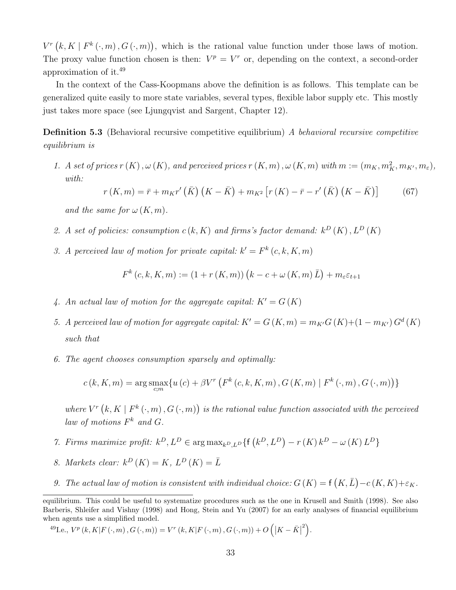$V^{r}(k,K | F^{k}(\cdot,m), G(\cdot,m))$ , which is the rational value function under those laws of motion. The proxy value function chosen is then:  $V^p = V^r$  or, depending on the context, a second-order approximation of it.<sup>49</sup>

In the context of the Cass-Koopmans above the definition is as follows. This template can be generalized quite easily to more state variables, several types, flexible labor supply etc. This mostly just takes more space (see Ljungqvist and Sargent, Chapter 12).

Definition 5.3 (Behavioral recursive competitive equilibrium) A behavioral recursive competitive equilibrium is

1. A set of prices  $r(K), \omega(K)$ , and perceived prices  $r(K, m), \omega(K, m)$  with  $m := (m_K, m_K^2, m_{K'}, m_{\varepsilon}),$ with:

$$
r(K,m) = \bar{r} + m_K r'(\bar{K}) (K - \bar{K}) + m_{K^2} [r(K) - \bar{r} - r'(\bar{K}) (K - \bar{K})]
$$
(67)

and the same for  $\omega(K, m)$ .

- 2. A set of policies: consumption  $c(k, K)$  and firms's factor demand:  $k^D(K)$ ,  $L^D(K)$
- 3. A perceived law of motion for private capital:  $k' = F^k(c, k, K, m)$

$$
F^{k}(c, k, K, m) := (1 + r(K, m))(k - c + \omega(K, m) \bar{L}) + m_{\varepsilon} \varepsilon_{t+1}
$$

- 4. An actual law of motion for the aggregate capital:  $K' = G(K)$
- 5. A perceived law of motion for aggregate capital:  $K' = G(K, m) = m_{K'}G(K)+(1 m_{K'}) G^d(K)$ such that
- 6. The agent chooses consumption sparsely and optimally:

$$
c(k, K, m) = \arg \max_{c, m} \{ u(c) + \beta V^r \left( F^k(c, k, K, m), G(K, m) \mid F^k(\cdot, m), G(\cdot, m) \right) \}
$$

where  $V^r\left(k,K\mid F^k\left(\cdot,m\right),G\left(\cdot,m\right)\right)$  is the rational value function associated with the perceived law of motions  $F^k$  and  $G$ .

- 7. Firms maximize profit:  $k^D$ ,  $L^D \in \arg \max_{k^D, L^D} \{ f(k^D, L^D) r(K)k^D \omega(K)L^D \}$
- 8. Markets clear:  $k^D(K) = K$ ,  $L^D(K) = \overline{L}$
- 9. The actual law of motion is consistent with individual choice:  $G(K) = f(K, \overline{L}) c(K, K) + \varepsilon_K$ .

$$
^{49}\text{I.e., }V^p\left(k,K|F\left(\cdot,m\right),G\left(\cdot,m\right)\right)=V^r\left(k,K|F\left(\cdot,m\right),G\left(\cdot,m\right)\right)+O\left(\left|K-\bar{K}\right|^2\right).
$$

equilibrium. This could be useful to systematize procedures such as the one in Krusell and Smith (1998). See also Barberis, Shleifer and Vishny (1998) and Hong, Stein and Yu (2007) for an early analyses of financial equilibrium when agents use a simplified model.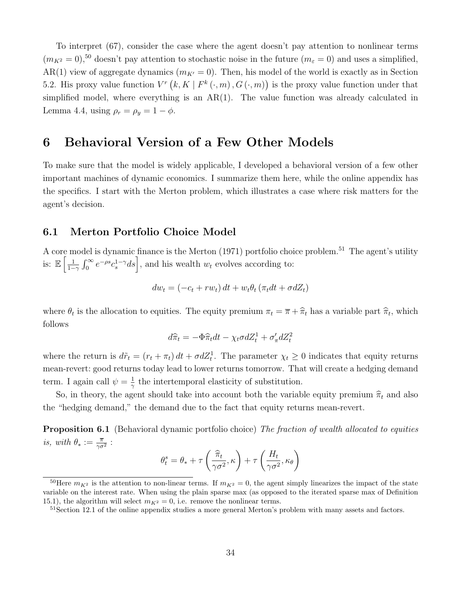To interpret (67), consider the case where the agent doesn't pay attention to nonlinear terms  $(m_{K^2} = 0)$ ,<sup>50</sup> doesn't pay attention to stochastic noise in the future  $(m_{\varepsilon} = 0)$  and uses a simplified, AR(1) view of aggregate dynamics ( $m_{K'} = 0$ ). Then, his model of the world is exactly as in Section 5.2. His proxy value function  $V^r(k, K | F^k(:, m), G(:, m))$  is the proxy value function under that simplified model, where everything is an  $AR(1)$ . The value function was already calculated in Lemma 4.4, using  $\rho_r = \rho_y = 1 - \phi$ .

### 6 Behavioral Version of a Few Other Models

To make sure that the model is widely applicable, I developed a behavioral version of a few other important machines of dynamic economics. I summarize them here, while the online appendix has the specifics. I start with the Merton problem, which illustrates a case where risk matters for the agent's decision.

### 6.1 Merton Portfolio Choice Model

A core model is dynamic finance is the Merton  $(1971)$  portfolio choice problem.<sup>51</sup> The agent's utility is:  $\mathbb{E}\left[\frac{1}{1-\epsilon}\right]$  $\frac{1}{1-\gamma} \int_0^\infty e^{-\rho s} c_s^{1-\gamma} ds$ , and his wealth  $w_t$  evolves according to:

$$
dw_t = (-c_t + rw_t) dt + w_t \theta_t (\pi_t dt + \sigma dZ_t)
$$

where  $\theta_t$  is the allocation to equities. The equity premium  $\pi_t = \overline{\pi} + \hat{\pi}_t$  has a variable part  $\hat{\pi}_t$ , which follows

$$
d\widehat{\pi}_t = -\Phi \widehat{\pi}_t dt - \chi_t \sigma dZ_t^1 + \sigma'_\pi dZ_t^2
$$

where the return is  $d\tilde{r}_t = (r_t + \pi_t) dt + \sigma dZ_t^1$ . The parameter  $\chi_t \geq 0$  indicates that equity returns mean-revert: good returns today lead to lower returns tomorrow. That will create a hedging demand term. I again call  $\psi = \frac{1}{\infty}$  $\frac{1}{\gamma}$  the intertemporal elasticity of substitution.

So, in theory, the agent should take into account both the variable equity premium  $\hat{\pi}_t$  and also the "hedging demand," the demand due to the fact that equity returns mean-revert.

**Proposition 6.1** (Behavioral dynamic portfolio choice) The fraction of wealth allocated to equities is, with  $\theta_* := \frac{\overline{\pi}}{\gamma \sigma^2}$ :

$$
\theta_t^s = \theta_* + \tau \left( \frac{\hat{\pi}_t}{\gamma \sigma^2}, \kappa \right) + \tau \left( \frac{H_t}{\gamma \sigma^2}, \kappa_{\theta} \right)
$$

<sup>&</sup>lt;sup>50</sup>Here  $m_{K^2}$  is the attention to non-linear terms. If  $m_{K^2} = 0$ , the agent simply linearizes the impact of the state variable on the interest rate. When using the plain sparse max (as opposed to the iterated sparse max of Definition 15.1), the algorithm will select  $m_{K^2} = 0$ , i.e. remove the nonlinear terms.

 $51$  Section 12.1 of the online appendix studies a more general Merton's problem with many assets and factors.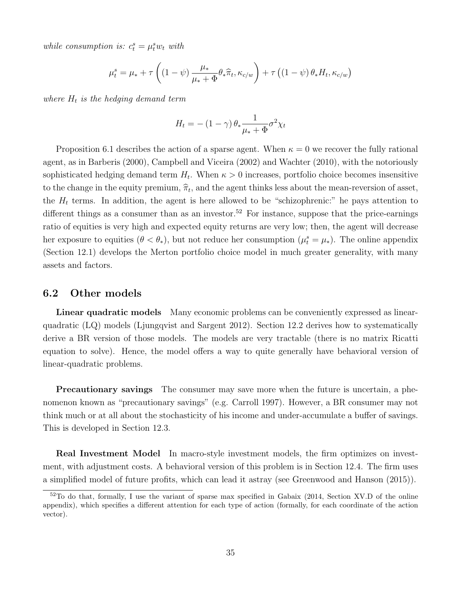while consumption is:  $c_t^s = \mu_t^s w_t$  with

$$
\mu_t^s = \mu_* + \tau \left( (1 - \psi) \frac{\mu_*}{\mu_* + \Phi} \theta_* \widehat{\pi}_t, \kappa_{c/w} \right) + \tau \left( (1 - \psi) \theta_* H_t, \kappa_{c/w} \right)
$$

where  $H_t$  is the hedging demand term

$$
H_t = -\left(1 - \gamma\right)\theta_* \frac{1}{\mu_* + \Phi} \sigma^2 \chi_t
$$

Proposition 6.1 describes the action of a sparse agent. When  $\kappa = 0$  we recover the fully rational agent, as in Barberis (2000), Campbell and Viceira (2002) and Wachter (2010), with the notoriously sophisticated hedging demand term  $H_t$ . When  $\kappa > 0$  increases, portfolio choice becomes insensitive to the change in the equity premium,  $\hat{\pi}_t$ , and the agent thinks less about the mean-reversion of asset, the  $H_t$  terms. In addition, the agent is here allowed to be "schizophrenic:" he pays attention to different things as a consumer than as an investor.<sup>52</sup> For instance, suppose that the price-earnings ratio of equities is very high and expected equity returns are very low; then, the agent will decrease her exposure to equities  $(\theta < \theta_*)$ , but not reduce her consumption  $(\mu_t^s = \mu_*)$ . The online appendix (Section 12.1) develops the Merton portfolio choice model in much greater generality, with many assets and factors.

#### 6.2 Other models

Linear quadratic models Many economic problems can be conveniently expressed as linearquadratic (LQ) models (Ljungqvist and Sargent 2012). Section 12.2 derives how to systematically derive a BR version of those models. The models are very tractable (there is no matrix Ricatti equation to solve). Hence, the model offers a way to quite generally have behavioral version of linear-quadratic problems.

**Precautionary savings** The consumer may save more when the future is uncertain, a phenomenon known as "precautionary savings" (e.g. Carroll 1997). However, a BR consumer may not think much or at all about the stochasticity of his income and under-accumulate a buffer of savings. This is developed in Section 12.3.

Real Investment Model In macro-style investment models, the firm optimizes on investment, with adjustment costs. A behavioral version of this problem is in Section 12.4. The firm uses a simplified model of future profits, which can lead it astray (see Greenwood and Hanson (2015)).

<sup>&</sup>lt;sup>52</sup>To do that, formally, I use the variant of sparse max specified in Gabaix (2014, Section XV.D of the online appendix), which specifies a different attention for each type of action (formally, for each coordinate of the action vector).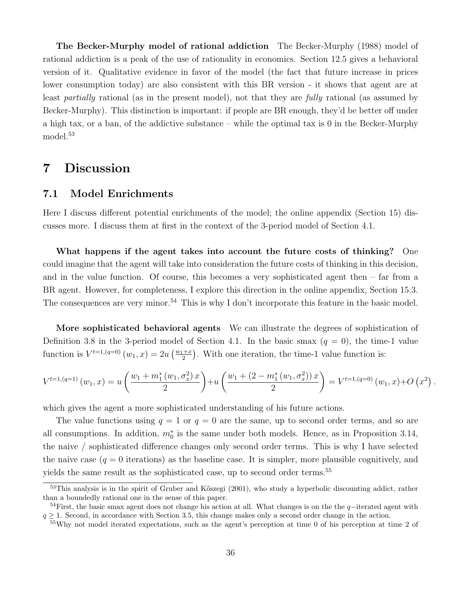The Becker-Murphy model of rational addiction The Becker-Murphy (1988) model of rational addiction is a peak of the use of rationality in economics. Section 12.5 gives a behavioral version of it. Qualitative evidence in favor of the model (the fact that future increase in prices lower consumption today) are also consistent with this BR version - it shows that agent are at least *partially* rational (as in the present model), not that they are *fully* rational (as assumed by Becker-Murphy). This distinction is important: if people are BR enough, they'd be better off under a high tax, or a ban, of the addictive substance – while the optimal tax is 0 in the Becker-Murphy model.<sup>53</sup>

# 7 Discussion

### 7.1 Model Enrichments

Here I discuss different potential enrichments of the model; the online appendix (Section 15) discusses more. I discuss them at first in the context of the 3-period model of Section 4.1.

What happens if the agent takes into account the future costs of thinking? One could imagine that the agent will take into consideration the future costs of thinking in this decision, and in the value function. Of course, this becomes a very sophisticated agent then – far from a BR agent. However, for completeness, I explore this direction in the online appendix, Section 15.3. The consequences are very minor.<sup>54</sup> This is why I don't incorporate this feature in the basic model.

More sophisticated behavioral agents We can illustrate the degrees of sophistication of Definition 3.8 in the 3-period model of Section 4.1. In the basic smax  $(q = 0)$ , the time-1 value function is  $V^{t=1,(q=0)}(w_1,x)=2u\left(\frac{w_1+x}{2}\right)$  $\frac{1+x}{2}$ . With one iteration, the time-1 value function is:

$$
V^{t=1,(q=1)}(w_1,x) = u\left(\frac{w_1 + m_1^*(w_1,\sigma_x^2)x}{2}\right) + u\left(\frac{w_1 + (2 - m_1^*(w_1,\sigma_x^2))x}{2}\right) = V^{t=1,(q=0)}(w_1,x) + O(x^2).
$$

which gives the agent a more sophisticated understanding of his future actions.

The value functions using  $q = 1$  or  $q = 0$  are the same, up to second order terms, and so are all consumptions. In addition,  $m_0^*$  is the same under both models. Hence, as in Proposition 3.14, the naive / sophisticated difference changes only second order terms. This is why I have selected the naive case  $(q = 0$  iterations) as the baseline case. It is simpler, more plausible cognitively, and yields the same result as the sophisticated case, up to second order terms.<sup>55</sup>

 $53$ This analysis is in the spirit of Gruber and Kőszegi (2001), who study a hyperbolic discounting addict, rather than a boundedly rational one in the sense of this paper.

 $54$ First, the basic smax agent does not change his action at all. What changes is on the the q−iterated agent with  $q \geq 1$ . Second, in accordance with Section 3.5, this change makes only a second order change in the action.

<sup>55</sup>Why not model iterated expectations, such as the agent's perception at time 0 of his perception at time 2 of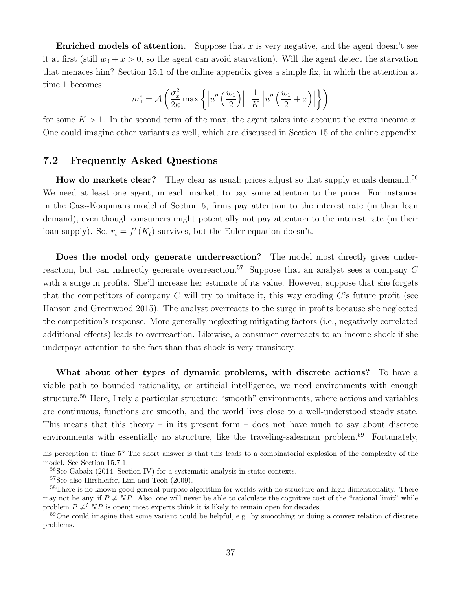**Enriched models of attention.** Suppose that x is very negative, and the agent doesn't see it at first (still  $w_0 + x > 0$ , so the agent can avoid starvation). Will the agent detect the starvation that menaces him? Section 15.1 of the online appendix gives a simple fix, in which the attention at time 1 becomes:

$$
m_1^* = \mathcal{A}\left(\frac{\sigma_x^2}{2\kappa} \max\left\{ \left| u''\left(\frac{w_1}{2}\right) \right|, \frac{1}{K} \left| u''\left(\frac{w_1}{2} + x\right) \right| \right\} \right)
$$

for some  $K > 1$ . In the second term of the max, the agent takes into account the extra income x. One could imagine other variants as well, which are discussed in Section 15 of the online appendix.

### 7.2 Frequently Asked Questions

How do markets clear? They clear as usual: prices adjust so that supply equals demand.<sup>56</sup> We need at least one agent, in each market, to pay some attention to the price. For instance, in the Cass-Koopmans model of Section 5, firms pay attention to the interest rate (in their loan demand), even though consumers might potentially not pay attention to the interest rate (in their loan supply). So,  $r_t = f'(K_t)$  survives, but the Euler equation doesn't.

Does the model only generate underreaction? The model most directly gives underreaction, but can indirectly generate overreaction.<sup>57</sup> Suppose that an analyst sees a company  $C$ with a surge in profits. She'll increase her estimate of its value. However, suppose that she forgets that the competitors of company C will try to imitate it, this way eroding  $C$ 's future profit (see Hanson and Greenwood 2015). The analyst overreacts to the surge in profits because she neglected the competition's response. More generally neglecting mitigating factors (i.e., negatively correlated additional effects) leads to overreaction. Likewise, a consumer overreacts to an income shock if she underpays attention to the fact than that shock is very transitory.

What about other types of dynamic problems, with discrete actions? To have a viable path to bounded rationality, or artificial intelligence, we need environments with enough structure.<sup>58</sup> Here, I rely a particular structure: "smooth" environments, where actions and variables are continuous, functions are smooth, and the world lives close to a well-understood steady state. This means that this theory – in its present form – does not have much to say about discrete environments with essentially no structure, like the traveling-salesman problem.<sup>59</sup> Fortunately,

his perception at time 5? The short answer is that this leads to a combinatorial explosion of the complexity of the model. See Section 15.7.1.

<sup>56</sup>See Gabaix (2014, Section IV) for a systematic analysis in static contexts.

<sup>57</sup>See also Hirshleifer, Lim and Teoh (2009).

<sup>&</sup>lt;sup>58</sup>There is no known good general-purpose algorithm for worlds with no structure and high dimensionality. There may not be any, if  $P \neq NP$ . Also, one will never be able to calculate the cognitive cost of the "rational limit" while problem  $P \neq^? NP$  is open; most experts think it is likely to remain open for decades.

<sup>&</sup>lt;sup>59</sup>One could imagine that some variant could be helpful, e.g. by smoothing or doing a convex relation of discrete problems.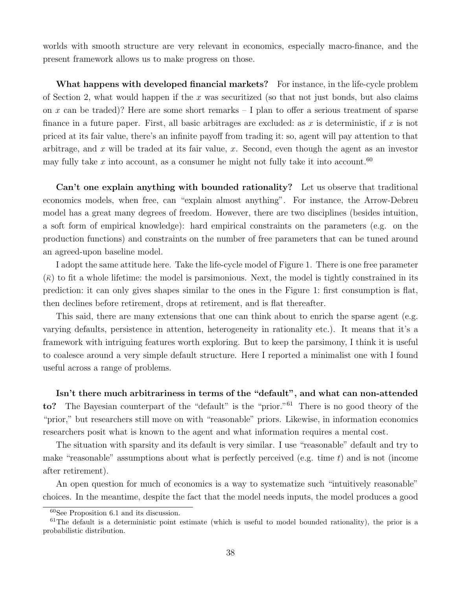worlds with smooth structure are very relevant in economics, especially macro-finance, and the present framework allows us to make progress on those.

What happens with developed financial markets? For instance, in the life-cycle problem of Section 2, what would happen if the x was securitized (so that not just bonds, but also claims on x can be traded)? Here are some short remarks  $-1$  plan to offer a serious treatment of sparse finance in a future paper. First, all basic arbitrages are excluded: as x is deterministic, if x is not priced at its fair value, there's an infinite payoff from trading it: so, agent will pay attention to that arbitrage, and x will be traded at its fair value, x. Second, even though the agent as an investor may fully take  $x$  into account, as a consumer he might not fully take it into account.<sup>60</sup>

Can't one explain anything with bounded rationality? Let us observe that traditional economics models, when free, can "explain almost anything". For instance, the Arrow-Debreu model has a great many degrees of freedom. However, there are two disciplines (besides intuition, a soft form of empirical knowledge): hard empirical constraints on the parameters (e.g. on the production functions) and constraints on the number of free parameters that can be tuned around an agreed-upon baseline model.

I adopt the same attitude here. Take the life-cycle model of Figure 1. There is one free parameter  $(\bar{\kappa})$  to fit a whole lifetime: the model is parsimonious. Next, the model is tightly constrained in its prediction: it can only gives shapes similar to the ones in the Figure 1: first consumption is flat, then declines before retirement, drops at retirement, and is flat thereafter.

This said, there are many extensions that one can think about to enrich the sparse agent (e.g. varying defaults, persistence in attention, heterogeneity in rationality etc.). It means that it's a framework with intriguing features worth exploring. But to keep the parsimony, I think it is useful to coalesce around a very simple default structure. Here I reported a minimalist one with I found useful across a range of problems.

Isn't there much arbitrariness in terms of the "default", and what can non-attended to? The Bayesian counterpart of the "default" is the "prior."<sup>61</sup> There is no good theory of the "prior," but researchers still move on with "reasonable" priors. Likewise, in information economics researchers posit what is known to the agent and what information requires a mental cost.

The situation with sparsity and its default is very similar. I use "reasonable" default and try to make "reasonable" assumptions about what is perfectly perceived (e.g. time  $t$ ) and is not (income after retirement).

An open question for much of economics is a way to systematize such "intuitively reasonable" choices. In the meantime, despite the fact that the model needs inputs, the model produces a good

<sup>60</sup>See Proposition 6.1 and its discussion.

 $61$ The default is a deterministic point estimate (which is useful to model bounded rationality), the prior is a probabilistic distribution.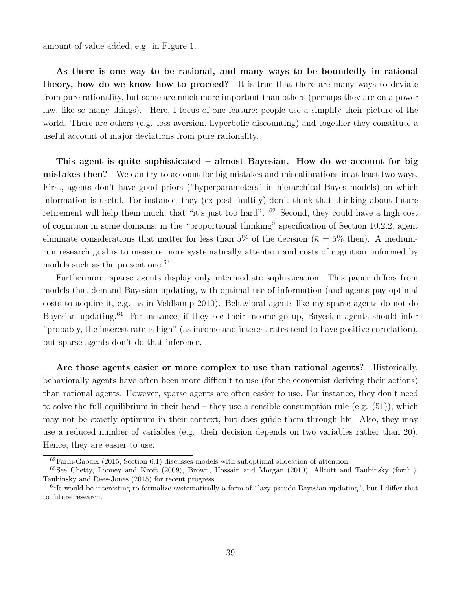amount of value added, e.g. in Figure 1.

As there is one way to be rational, and many ways to be boundedly in rational theory, how do we know how to proceed? It is true that there are many ways to deviate from pure rationality, but some are much more important than others (perhaps they are on a power law, like so many things). Here, I focus of one feature: people use a simplify their picture of the world. There are others (e.g. loss aversion, hyperbolic discounting) and together they constitute a useful account of major deviations from pure rationality.

This agent is quite sophisticated – almost Bayesian. How do we account for big mistakes then? We can try to account for big mistakes and miscalibrations in at least two ways. First, agents don't have good priors ("hyperparameters" in hierarchical Bayes models) on which information is useful. For instance, they (ex post faultily) don't think that thinking about future retirement will help them much, that "it's just too hard". <sup>62</sup> Second, they could have a high cost of cognition in some domains: in the "proportional thinking" specification of Section 10.2.2, agent eliminate considerations that matter for less than 5% of the decision ( $\bar{\kappa} = 5\%$  then). A mediumrun research goal is to measure more systematically attention and costs of cognition, informed by models such as the present one.<sup>63</sup>

Furthermore, sparse agents display only intermediate sophistication. This paper differs from models that demand Bayesian updating, with optimal use of information (and agents pay optimal costs to acquire it, e.g. as in Veldkamp 2010). Behavioral agents like my sparse agents do not do Bayesian updating.<sup>64</sup> For instance, if they see their income go up, Bayesian agents should infer "probably, the interest rate is high" (as income and interest rates tend to have positive correlation), but sparse agents don't do that inference.

Are those agents easier or more complex to use than rational agents? Historically, behaviorally agents have often been more difficult to use (for the economist deriving their actions) than rational agents. However, sparse agents are often easier to use. For instance, they don't need to solve the full equilibrium in their head – they use a sensible consumption rule (e.g.  $(51)$ ), which may not be exactly optimum in their context, but does guide them through life. Also, they may use a reduced number of variables (e.g. their decision depends on two variables rather than 20). Hence, they are easier to use.

 $62$ Farhi-Gabaix (2015, Section 6.1) discusses models with suboptimal allocation of attention.

<sup>63</sup>See Chetty, Looney and Kroft (2009), Brown, Hossain and Morgan (2010), Allcott and Taubinsky (forth.), Taubinsky and Rees-Jones (2015) for recent progress.

 $64$ It would be interesting to formalize systematically a form of "lazy pseudo-Bayesian updating", but I differ that to future research.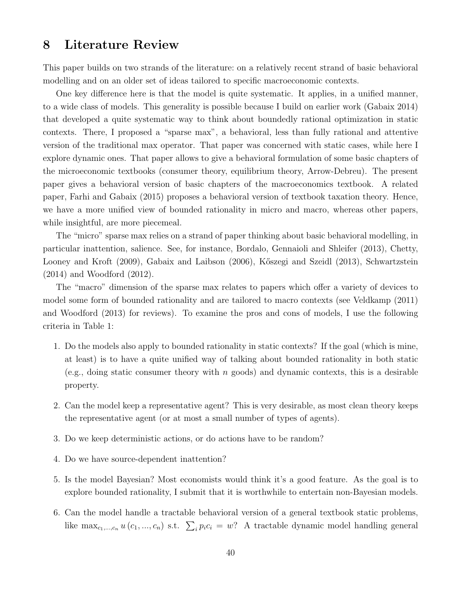### 8 Literature Review

This paper builds on two strands of the literature: on a relatively recent strand of basic behavioral modelling and on an older set of ideas tailored to specific macroeconomic contexts.

One key difference here is that the model is quite systematic. It applies, in a unified manner, to a wide class of models. This generality is possible because I build on earlier work (Gabaix 2014) that developed a quite systematic way to think about boundedly rational optimization in static contexts. There, I proposed a "sparse max", a behavioral, less than fully rational and attentive version of the traditional max operator. That paper was concerned with static cases, while here I explore dynamic ones. That paper allows to give a behavioral formulation of some basic chapters of the microeconomic textbooks (consumer theory, equilibrium theory, Arrow-Debreu). The present paper gives a behavioral version of basic chapters of the macroeconomics textbook. A related paper, Farhi and Gabaix (2015) proposes a behavioral version of textbook taxation theory. Hence, we have a more unified view of bounded rationality in micro and macro, whereas other papers, while insightful, are more piecemeal.

The "micro" sparse max relies on a strand of paper thinking about basic behavioral modelling, in particular inattention, salience. See, for instance, Bordalo, Gennaioli and Shleifer (2013), Chetty, Looney and Kroft (2009), Gabaix and Laibson (2006), Kőszegi and Szeidl (2013), Schwartzstein (2014) and Woodford (2012).

The "macro" dimension of the sparse max relates to papers which offer a variety of devices to model some form of bounded rationality and are tailored to macro contexts (see Veldkamp (2011) and Woodford (2013) for reviews). To examine the pros and cons of models, I use the following criteria in Table 1:

- 1. Do the models also apply to bounded rationality in static contexts? If the goal (which is mine, at least) is to have a quite unified way of talking about bounded rationality in both static (e.g., doing static consumer theory with n goods) and dynamic contexts, this is a desirable property.
- 2. Can the model keep a representative agent? This is very desirable, as most clean theory keeps the representative agent (or at most a small number of types of agents).
- 3. Do we keep deterministic actions, or do actions have to be random?
- 4. Do we have source-dependent inattention?
- 5. Is the model Bayesian? Most economists would think it's a good feature. As the goal is to explore bounded rationality, I submit that it is worthwhile to entertain non-Bayesian models.
- 6. Can the model handle a tractable behavioral version of a general textbook static problems, like max<sub>c<sub>1</sub>,...,c<sub>n</sub> u(c<sub>1</sub>, ...,c<sub>n</sub>) s.t.  $\sum_{i} p_i c_i = w$ ? A tractable dynamic model handling general</sub>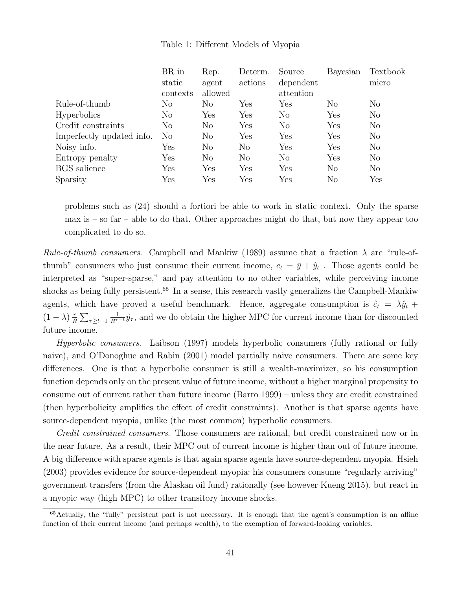#### Table 1: Different Models of Myopia

|                           | BR in    | Rep.           | Determ.        | Source               | Bayesian       | Textbook       |
|---------------------------|----------|----------------|----------------|----------------------|----------------|----------------|
|                           | static   | agent          | actions        | dependent            |                | micro          |
|                           | contexts | allowed        |                | attention            |                |                |
| Rule-of-thumb             | No       | N <sub>o</sub> | ${\rm Yes}$    | Yes                  | N <sub>o</sub> | $\rm No$       |
| <b>Hyperbolics</b>        | $\rm No$ | Yes            | Yes            | $\rm No$             | Yes            | N <sub>o</sub> |
| Credit constraints        | $\rm No$ | $\rm No$       | Yes            | No                   | Yes            | N <sub>o</sub> |
| Imperfectly updated info. | $\rm No$ | $\rm No$       | Yes            | $\operatorname{Yes}$ | Yes            | $\rm No$       |
| Noisy info.               | Yes      | $\rm No$       | N <sub>o</sub> | Yes                  | Yes            | $\rm No$       |
| Entropy penalty           | Yes      | No.            | $\rm No$       | N <sub>o</sub>       | Yes            | $\rm No$       |
| <b>BGS</b> salience       | Yes      | Yes            | Yes            | Yes                  | $\rm No$       | N <sub>o</sub> |
| Sparsity                  | Yes      | Yes            | Yes            | Yes                  | No             | Yes            |

problems such as (24) should a fortiori be able to work in static context. Only the sparse max is – so far – able to do that. Other approaches might do that, but now they appear too complicated to do so.

*Rule-of-thumb consumers.* Campbell and Mankiw (1989) assume that a fraction  $\lambda$  are "rule-ofthumb" consumers who just consume their current income,  $c_t = \bar{y} + \hat{y}_t$ . Those agents could be interpreted as "super-sparse," and pay attention to no other variables, while perceiving income shocks as being fully persistent.<sup>65</sup> In a sense, this research vastly generalizes the Campbell-Mankiw agents, which have proved a useful benchmark. Hence, aggregate consumption is  $\hat{c}_t = \lambda \hat{y}_t + \hat{y}_t$  $(1-\lambda)\frac{\bar{r}}{R}$  $\frac{\bar{r}}{R}\sum_{\tau\geq t+1}$  $\frac{1}{R^{\tau-t}}\hat{y}_{\tau}$ , and we do obtain the higher MPC for current income than for discounted future income.

Hyperbolic consumers. Laibson (1997) models hyperbolic consumers (fully rational or fully naive), and O'Donoghue and Rabin (2001) model partially naive consumers. There are some key differences. One is that a hyperbolic consumer is still a wealth-maximizer, so his consumption function depends only on the present value of future income, without a higher marginal propensity to consume out of current rather than future income (Barro 1999) – unless they are credit constrained (then hyperbolicity amplifies the effect of credit constraints). Another is that sparse agents have source-dependent myopia, unlike (the most common) hyperbolic consumers.

Credit constrained consumers. Those consumers are rational, but credit constrained now or in the near future. As a result, their MPC out of current income is higher than out of future income. A big difference with sparse agents is that again sparse agents have source-dependent myopia. Hsieh (2003) provides evidence for source-dependent myopia: his consumers consume "regularly arriving" government transfers (from the Alaskan oil fund) rationally (see however Kueng 2015), but react in a myopic way (high MPC) to other transitory income shocks.

<sup>65</sup>Actually, the "fully" persistent part is not necessary. It is enough that the agent's consumption is an affine function of their current income (and perhaps wealth), to the exemption of forward-looking variables.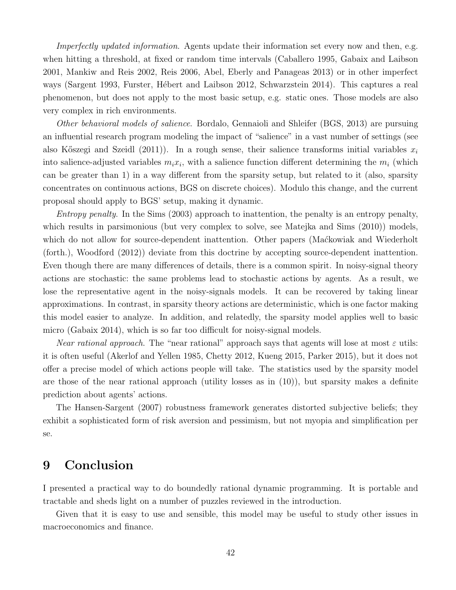Imperfectly updated information. Agents update their information set every now and then, e.g. when hitting a threshold, at fixed or random time intervals (Caballero 1995, Gabaix and Laibson 2001, Mankiw and Reis 2002, Reis 2006, Abel, Eberly and Panageas 2013) or in other imperfect ways (Sargent 1993, Furster, Hébert and Laibson 2012, Schwarzstein 2014). This captures a real phenomenon, but does not apply to the most basic setup, e.g. static ones. Those models are also very complex in rich environments.

Other behavioral models of salience. Bordalo, Gennaioli and Shleifer (BGS, 2013) are pursuing an influential research program modeling the impact of "salience" in a vast number of settings (see also Kőszegi and Szeidl (2011)). In a rough sense, their salience transforms initial variables  $x_i$ into salience-adjusted variables  $m_i x_i$ , with a salience function different determining the  $m_i$  (which can be greater than 1) in a way different from the sparsity setup, but related to it (also, sparsity concentrates on continuous actions, BGS on discrete choices). Modulo this change, and the current proposal should apply to BGS' setup, making it dynamic.

Entropy penalty. In the Sims (2003) approach to inattention, the penalty is an entropy penalty, which results in parsimonious (but very complex to solve, see Matejka and Sims  $(2010)$ ) models, which do not allow for source-dependent inattention. Other papers (Mackowiak and Wiederholt (forth.), Woodford (2012)) deviate from this doctrine by accepting source-dependent inattention. Even though there are many differences of details, there is a common spirit. In noisy-signal theory actions are stochastic: the same problems lead to stochastic actions by agents. As a result, we lose the representative agent in the noisy-signals models. It can be recovered by taking linear approximations. In contrast, in sparsity theory actions are deterministic, which is one factor making this model easier to analyze. In addition, and relatedly, the sparsity model applies well to basic micro (Gabaix 2014), which is so far too difficult for noisy-signal models.

Near rational approach. The "near rational" approach says that agents will lose at most  $\varepsilon$  utils: it is often useful (Akerlof and Yellen 1985, Chetty 2012, Kueng 2015, Parker 2015), but it does not offer a precise model of which actions people will take. The statistics used by the sparsity model are those of the near rational approach (utility losses as in  $(10)$ ), but sparsity makes a definite prediction about agents' actions.

The Hansen-Sargent (2007) robustness framework generates distorted subjective beliefs; they exhibit a sophisticated form of risk aversion and pessimism, but not myopia and simplification per se.

# 9 Conclusion

I presented a practical way to do boundedly rational dynamic programming. It is portable and tractable and sheds light on a number of puzzles reviewed in the introduction.

Given that it is easy to use and sensible, this model may be useful to study other issues in macroeconomics and finance.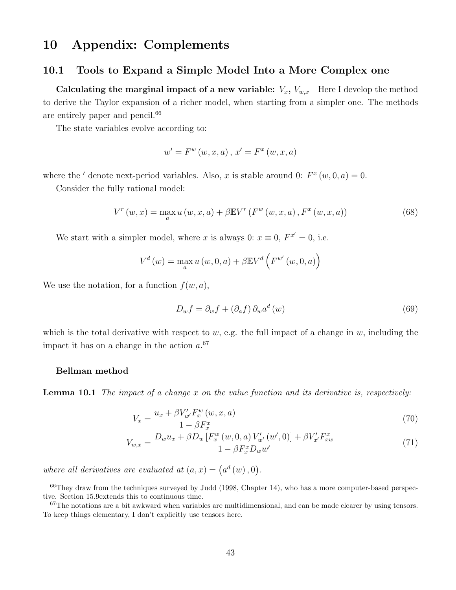# 10 Appendix: Complements

#### 10.1 Tools to Expand a Simple Model Into a More Complex one

Calculating the marginal impact of a new variable:  $V_x$ ,  $V_{w,x}$  Here I develop the method to derive the Taylor expansion of a richer model, when starting from a simpler one. The methods are entirely paper and pencil.<sup>66</sup>

The state variables evolve according to:

$$
w' = F^{w}(w, x, a), x' = F^{x}(w, x, a)
$$

where the ' denote next-period variables. Also, x is stable around 0:  $F^x(w, 0, a) = 0$ .

Consider the fully rational model:

$$
V^{r}(w,x) = \max_{a} u(w,x,a) + \beta \mathbb{E} V^{r}(F^{w}(w,x,a), F^{x}(w,x,a))
$$
 (68)

We start with a simpler model, where x is always 0:  $x \equiv 0$ ,  $F^{x'} = 0$ , i.e.

$$
V^d(w) = \max_{a} u(w, 0, a) + \beta \mathbb{E} V^d \left( F^{w'}(w, 0, a) \right)
$$

We use the notation, for a function  $f(w, a)$ ,

$$
D_w f = \partial_w f + (\partial_a f) \partial_w a^d(w) \tag{69}
$$

which is the total derivative with respect to  $w$ , e.g. the full impact of a change in  $w$ , including the impact it has on a change in the action  $a^{0.67}$ 

#### Bellman method

**Lemma 10.1** The impact of a change x on the value function and its derivative is, respectively:

$$
V_x = \frac{u_x + \beta V'_{w'} F_x^w(w, x, a)}{1 - \beta F_x^x}
$$
\n(70)

$$
V_{w,x} = \frac{D_w u_x + \beta D_w \left[ F_x^w \left( w, 0, a \right) V_{w'}'(w', 0) \right] + \beta V_{x'}' F_{xw}^x}{1 - \beta F_x^x D_w w'}
$$
(71)

where all derivatives are evaluated at  $(a, x) = (a^d(w), 0)$ .

 $^{66}$ They draw from the techniques surveyed by Judd (1998, Chapter 14), who has a more computer-based perspective. Section 15.9extends this to continuous time.

 $67$ The notations are a bit awkward when variables are multidimensional, and can be made clearer by using tensors. To keep things elementary, I don't explicitly use tensors here.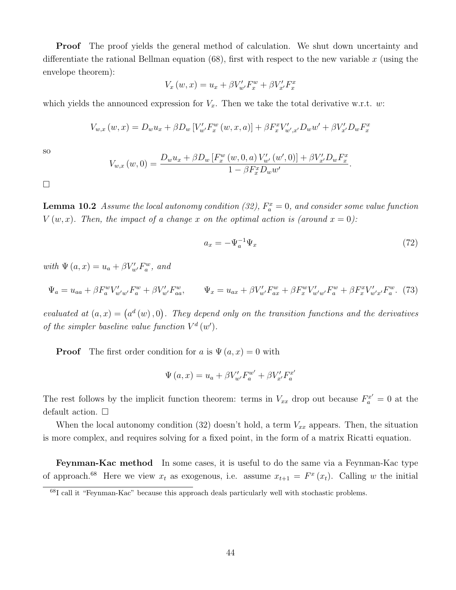**Proof** The proof yields the general method of calculation. We shut down uncertainty and differentiate the rational Bellman equation  $(68)$ , first with respect to the new variable x (using the envelope theorem):

$$
V_x(w, x) = u_x + \beta V'_{w'} F_x^w + \beta V'_{x'} F_x^x
$$

which yields the announced expression for  $V_x$ . Then we take the total derivative w.r.t. w:

$$
V_{w,x}(w,x) = D_w u_x + \beta D_w [V'_{w'} F_x^w(w,x,a)] + \beta F_x^x V'_{w',x'} D_w w' + \beta V'_{x'} D_w F_x^x
$$

so

$$
V_{w,x}(w,0) = \frac{D_w u_x + \beta D_w [F_x^w(w,0,a) V'_{w'}(w',0)] + \beta V'_{x'} D_w F_x^x}{1 - \beta F_x^x D_w w'}
$$

 $\Box$ 

**Lemma 10.2** Assume the local autonomy condition (32),  $F_a^x = 0$ , and consider some value function  $V(w, x)$ . Then, the impact of a change x on the optimal action is (around  $x = 0$ ):

$$
a_x = -\Psi_a^{-1} \Psi_x \tag{72}
$$

.

with  $\Psi(a, x) = u_a + \beta V'_{w'} F_a^w$ , and

$$
\Psi_a = u_{aa} + \beta F_a^w V'_{w'w'} F_a^w + \beta V'_{w'} F_{aa}^w, \qquad \Psi_x = u_{ax} + \beta V'_{w'} F_{ax}^w + \beta F_x^w V'_{w'w'} F_a^w + \beta F_x^w V'_{w'x'} F_a^w. \tag{73}
$$

evaluated at  $(a, x) = (a^d(w), 0)$ . They depend only on the transition functions and the derivatives of the simpler baseline value function  $V^d(w')$ .

**Proof** The first order condition for a is  $\Psi(a, x) = 0$  with

$$
\Psi (a, x) = u_a + \beta V'_{w'} F_a^{w'} + \beta V'_{x'} F_a^{x'}
$$

The rest follows by the implicit function theorem: terms in  $V_{xx}$  drop out because  $F_a^{x'} = 0$  at the default action.  $\square$ 

When the local autonomy condition (32) doesn't hold, a term  $V_{xx}$  appears. Then, the situation is more complex, and requires solving for a fixed point, in the form of a matrix Ricatti equation.

Feynman-Kac method In some cases, it is useful to do the same via a Feynman-Kac type of approach.<sup>68</sup> Here we view  $x_t$  as exogenous, i.e. assume  $x_{t+1} = F^x(x_t)$ . Calling w the initial

<sup>68</sup>I call it "Feynman-Kac" because this approach deals particularly well with stochastic problems.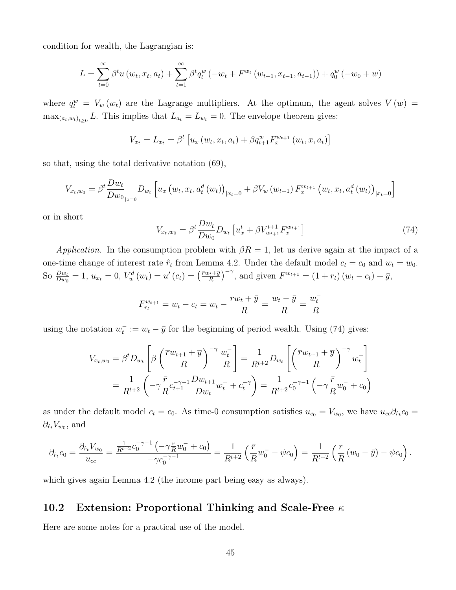condition for wealth, the Lagrangian is:

$$
L = \sum_{t=0}^{\infty} \beta^t u(w_t, x_t, a_t) + \sum_{t=1}^{\infty} \beta^t q_t^w (-w_t + F^{w_t}(w_{t-1}, x_{t-1}, a_{t-1})) + q_0^w (-w_0 + w)
$$

where  $q_t^w = V_w(w_t)$  are the Lagrange multipliers. At the optimum, the agent solves  $V(w)$  =  $\max_{(a_t, w_t)_{t \geq 0}} L$ . This implies that  $L_{a_t} = L_{w_t} = 0$ . The envelope theorem gives:

$$
V_{x_t} = L_{x_t} = \beta^t \left[ u_x \left( w_t, x_t, a_t \right) + \beta q_{t+1}^w F_x^{w_{t+1}} \left( w_t, x, a_t \right) \right]
$$

so that, using the total derivative notation (69),

$$
V_{x_t, w_0} = \beta^t \frac{D w_t}{D w_0}_{|x=0} D_{w_t} \left[ u_x \left( w_t, x_t, a_t^d \left( w_t \right) \right)_{|x_t=0} + \beta V_w \left( w_{t+1} \right) F_x^{w_{t+1}} \left( w_t, x_t, a_t^d \left( w_t \right) \right)_{|x_t=0} \right]
$$

or in short

$$
V_{x_t, w_0} = \beta^t \frac{D w_t}{D w_0} D_{w_t} \left[ u_x^t + \beta V_{w_{t+1}}^{t+1} F_x^{w_{t+1}} \right]
$$
\n(74)

Application. In the consumption problem with  $\beta R = 1$ , let us derive again at the impact of a one-time change of interest rate  $\hat{r}_t$  from Lemma 4.2. Under the default model  $c_t = c_0$  and  $w_t = w_0$ . So  $\frac{Dw_t}{Dw_0} = 1$ ,  $u_{x_t} = 0$ ,  $V_w^d(w_t) = u'(c_t) = \left(\frac{\bar{r}w_t + \bar{y}}{R}\right)$  $\left(\frac{v_t + \overline{y}}{R}\right)^{-\gamma}$ , and given  $F^{w_{t+1}} = (1 + r_t)(w_t - c_t) + \overline{y}$ ,

$$
F_{r_t}^{w_{t+1}} = w_t - c_t = w_t - \frac{rw_t + \bar{y}}{R} = \frac{w_t - \bar{y}}{R} = \frac{w_t^-}{R}
$$

using the notation  $w_t^- := w_t - \bar{y}$  for the beginning of period wealth. Using (74) gives:

$$
V_{x_t, w_0} = \beta^t D_{w_t} \left[ \beta \left( \frac{\overline{r} w_{t+1} + \overline{y}}{R} \right)^{-\gamma} \frac{w_t^-}{R} \right] = \frac{1}{R^{t+2}} D_{w_t} \left[ \left( \frac{\overline{r} w_{t+1} + \overline{y}}{R} \right)^{-\gamma} w_t^- \right]
$$
  
=  $\frac{1}{R^{t+2}} \left( -\gamma \frac{\overline{r}}{R} c_{t+1}^{-\gamma-1} \frac{D w_{t+1}}{D w_t} w_t^- + c_t^{-\gamma} \right) = \frac{1}{R^{t+2}} c_0^{-\gamma-1} \left( -\gamma \frac{\overline{r}}{R} w_0^- + c_0 \right)$ 

as under the default model  $c_t = c_0$ . As time-0 consumption satisfies  $u_{c_0} = V_{w_0}$ , we have  $u_{cc}\partial_{\hat{r}_t}c_0 =$  $\partial_{\hat{r}_t} V_{w_0}$ , and

$$
\partial_{\hat{r}_t} c_0 = \frac{\partial_{\hat{r}_t} V_{w_0}}{u_{cc}} = \frac{\frac{1}{R^{t+2}} c_0^{-\gamma-1} \left( -\gamma \frac{\bar{r}}{R} w_0^- + c_0 \right)}{-\gamma c_0^{-\gamma-1}} = \frac{1}{R^{t+2}} \left( \frac{\bar{r}}{R} w_0^- - \psi c_0 \right) = \frac{1}{R^{t+2}} \left( \frac{r}{R} \left( w_0 - \bar{y} \right) - \psi c_0 \right).
$$

which gives again Lemma 4.2 (the income part being easy as always).

### 10.2 Extension: Proportional Thinking and Scale-Free  $\kappa$

Here are some notes for a practical use of the model.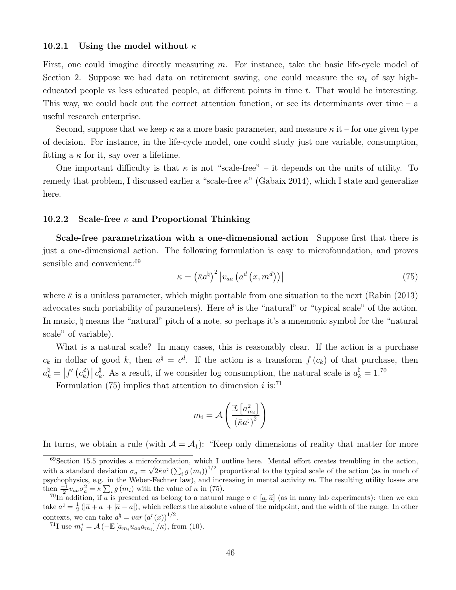#### 10.2.1 Using the model without  $\kappa$

First, one could imagine directly measuring  $m$ . For instance, take the basic life-cycle model of Section 2. Suppose we had data on retirement saving, one could measure the  $m_t$  of say higheducated people vs less educated people, at different points in time  $t$ . That would be interesting. This way, we could back out the correct attention function, or see its determinants over time – a useful research enterprise.

Second, suppose that we keep  $\kappa$  as a more basic parameter, and measure  $\kappa$  it – for one given type of decision. For instance, in the life-cycle model, one could study just one variable, consumption, fitting a  $\kappa$  for it, say over a lifetime.

One important difficulty is that  $\kappa$  is not "scale-free" – it depends on the units of utility. To remedy that problem, I discussed earlier a "scale-free  $\kappa$ " (Gabaix 2014), which I state and generalize here.

#### 10.2.2 Scale-free  $\kappa$  and Proportional Thinking

Scale-free parametrization with a one-dimensional action Suppose first that there is just a one-dimensional action. The following formulation is easy to microfoundation, and proves sensible and convenient:<sup>69</sup>

$$
\kappa = \left(\bar{\kappa}a^{\sharp}\right)^{2}\left|v_{aa}\left(a^{d}\left(x,m^{d}\right)\right)\right| \tag{75}
$$

where  $\bar{\kappa}$  is a unitless parameter, which might portable from one situation to the next (Rabin (2013) advocates such portability of parameters). Here  $a^{\dagger}$  is the "natural" or "typical scale" of the action. In music, \ means the "natural" pitch of a note, so perhaps it's a mnemonic symbol for the "natural scale" of variable).

What is a natural scale? In many cases, this is reasonably clear. If the action is a purchase  $c_k$  in dollar of good k, then  $a^{\dagger} = c^d$ . If the action is a transform  $f(c_k)$  of that purchase, then  $a_k^{\natural} = \left|f'\left(c_k^d\right)\right|c_k^{\natural}$ <sup> $\frac{\hbar}{k}$ </sup>. As a result, if we consider log consumption, the natural scale is  $a_k^{\dagger} = 1$ .<sup>70</sup>

Formulation (75) implies that attention to dimension i is:<sup>71</sup>

$$
m_i = \mathcal{A}\left(\frac{\mathbb{E}\left[a_{m_i}^2\right]}{\left(\bar{\kappa}a^\natural\right)^2}\right)
$$

In turns, we obtain a rule (with  $A = A_1$ ): "Keep only dimensions of reality that matter for more

<sup>69</sup>Section 15.5 provides a microfoundation, which I outline here. Mental effort creates trembling in the action, with a standard deviation  $\sigma_a = \sqrt{2\kappa}a^{\dagger} \left(\sum_i g(m_i)\right)^{1/2}$  proportional to the typical scale of the action (as in much of psychophysics, e.g. in the Weber-Fechner law), and increasing in mental activity  $m$ . The resulting utility losses are then  $\frac{-1}{2}v_{aa}\sigma_a^2 = \kappa \sum_i g(m_i)$  with the value of  $\kappa$  in (75).

<sup>&</sup>lt;sup>70</sup>In addition, if a is presented as belong to a natural range  $a \in [a, \overline{a}]$  (as in many lab experiments): then we can take  $a^{\dagger} = \frac{1}{2}(|\overline{a} + \underline{a}| + |\overline{a} - \underline{a}|)$ , which reflects the absolute value of the midpoint, and the width of the range. In other contexts, we can take  $a^{\dagger} = var (a^r(x))^{1/2}$ .

<sup>&</sup>lt;sup>71</sup>I use  $m_i^* = \mathcal{A}(-\mathbb{E}[a_{m_i}u_{aa}a_{m_i}]/\kappa)$ , from (10).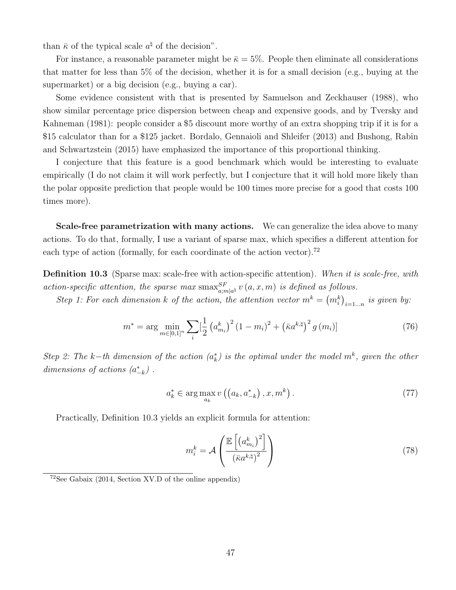than  $\bar{\kappa}$  of the typical scale  $a^{\dagger}$  of the decision".

For instance, a reasonable parameter might be  $\bar{\kappa} = 5\%$ . People then eliminate all considerations that matter for less than 5% of the decision, whether it is for a small decision (e.g., buying at the supermarket) or a big decision (e.g., buying a car).

Some evidence consistent with that is presented by Samuelson and Zeckhauser (1988), who show similar percentage price dispersion between cheap and expensive goods, and by Tversky and Kahneman (1981): people consider a \$5 discount more worthy of an extra shopping trip if it is for a \$15 calculator than for a \$125 jacket. Bordalo, Gennaioli and Shleifer (2013) and Bushong, Rabin and Schwartzstein (2015) have emphasized the importance of this proportional thinking.

I conjecture that this feature is a good benchmark which would be interesting to evaluate empirically (I do not claim it will work perfectly, but I conjecture that it will hold more likely than the polar opposite prediction that people would be 100 times more precise for a good that costs 100 times more).

Scale-free parametrization with many actions. We can generalize the idea above to many actions. To do that, formally, I use a variant of sparse max, which specifies a different attention for each type of action (formally, for each coordinate of the action vector).<sup>72</sup>

**Definition 10.3** (Sparse max: scale-free with action-specific attention). When it is scale-free, with action-specific attention, the sparse max  $\max_{a,m|a^{k}}^{SF} v(a,x,m)$  is defined as follows.

Step 1: For each dimension k of the action, the attention vector  $m^k = (m_i^k)_{i=1...n}$  is given by:

$$
m^* = \arg\min_{m \in [0,1]^n} \sum_{i} \left[\frac{1}{2} \left(a_{m_i}^k\right)^2 (1 - m_i)^2 + \left(\bar{\kappa} a^{k, \sharp}\right)^2 g(m_i)\right]
$$
(76)

Step 2: The k-th dimension of the action  $(a_k^*)$  is the optimal under the model  $m^k$ , given the other dimensions of actions  $(a_{-k}^*)$ .

$$
a_k^* \in \arg\max_{a_k} v\left(\left(a_k, a_{-k}^*\right), x, m^k\right). \tag{77}
$$

Practically, Definition 10.3 yields an explicit formula for attention:

$$
m_i^k = \mathcal{A}\left(\frac{\mathbb{E}\left[\left(a_{m_i}^k\right)^2\right]}{\left(\bar{\kappa}a^{k,\natural}\right)^2}\right) \tag{78}
$$

 $72$ See Gabaix (2014, Section XV.D of the online appendix)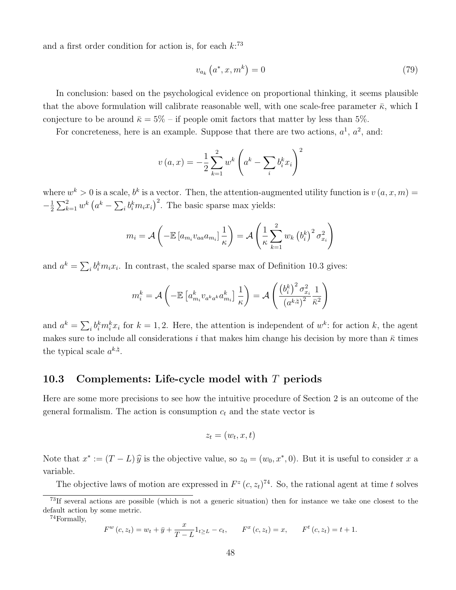and a first order condition for action is, for each  $k:^{73}$ 

$$
v_{a_k}\left(a^*,x,m^k\right) = 0\tag{79}
$$

In conclusion: based on the psychological evidence on proportional thinking, it seems plausible that the above formulation will calibrate reasonable well, with one scale-free parameter  $\bar{\kappa}$ , which I conjecture to be around  $\bar{\kappa} = 5\%$  – if people omit factors that matter by less than 5%.

For concreteness, here is an example. Suppose that there are two actions,  $a^1$ ,  $a^2$ , and:

$$
v(a,x) = -\frac{1}{2} \sum_{k=1}^{2} w^{k} \left( a^{k} - \sum_{i} b_{i}^{k} x_{i} \right)^{2}
$$

where  $w^k > 0$  is a scale,  $b^k$  is a vector. Then, the attention-augmented utility function is  $v(a, x, m) =$  $-\frac{1}{2}$  $\frac{1}{2}\sum_{k=1}^{2} w^k (a^k - \sum_i b_i^k m_i x_i)^2$ . The basic sparse max yields:

$$
m_i = \mathcal{A}\left(-\mathbb{E}\left[a_{m_i}v_{aa}a_{m_i}\right]\frac{1}{\kappa}\right) = \mathcal{A}\left(\frac{1}{\kappa}\sum_{k=1}^2 w_k \left(b_i^k\right)^2 \sigma_{x_i}^2\right)
$$

and  $a^k = \sum_i b_i^k m_i x_i$ . In contrast, the scaled sparse max of Definition 10.3 gives:

$$
m_i^k = \mathcal{A}\left(-\mathbb{E}\left[a_{m_i}^k v_{a^k a^k} a_{m_i}^k\right] \frac{1}{\kappa}\right) = \mathcal{A}\left(\frac{\left(b_i^k\right)^2 \sigma_{x_i}^2}{\left(a^{k, \natural}\right)^2} \frac{1}{\kappa^2}\right)
$$

and  $a^k = \sum_i b_i^k m_i^k x_i$  for  $k = 1, 2$ . Here, the attention is independent of  $w^k$ : for action k, the agent makes sure to include all considerations i that makes him change his decision by more than  $\bar{\kappa}$  times the typical scale  $a^{k,\natural}$ .

#### 10.3 Complements: Life-cycle model with  $T$  periods

Here are some more precisions to see how the intuitive procedure of Section 2 is an outcome of the general formalism. The action is consumption  $c_t$  and the state vector is

$$
z_t = (w_t, x, t)
$$

Note that  $x^* := (T - L)\hat{y}$  is the objective value, so  $z_0 = (w_0, x^*, 0)$ . But it is useful to consider x a variable.

The objective laws of motion are expressed in  $F^z(c, z_t)^{74}$ . So, the rational agent at time t solves

<sup>74</sup>Formally,

$$
F^{w}(c, z_{t}) = w_{t} + \bar{y} + \frac{x}{T - L} 1_{t \geq L} - c_{t}, \qquad F^{x}(c, z_{t}) = x, \qquad F^{t}(c, z_{t}) = t + 1.
$$

<sup>73</sup>If several actions are possible (which is not a generic situation) then for instance we take one closest to the default action by some metric.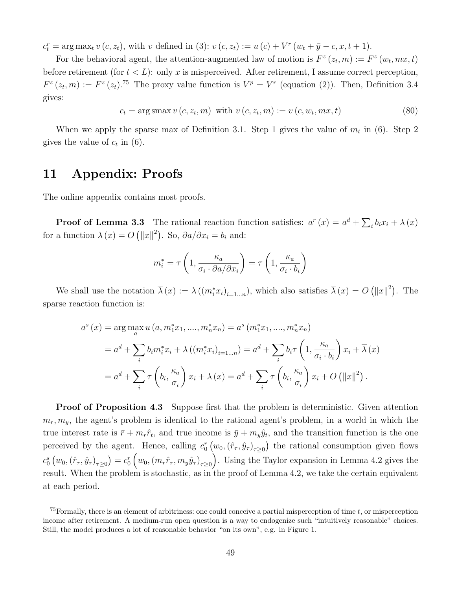$c_t^r = \arg \max_t v(c, z_t)$ , with v defined in (3):  $v(c, z_t) := u(c) + V^r(w_t + \bar{y} - c, x, t + 1)$ .

For the behavioral agent, the attention-augmented law of motion is  $F^z(z_t, m) := F^z(w_t, mx, t)$ before retirement (for  $t < L$ ): only x is misperceived. After retirement, I assume correct perception,  $F^{z}(z_t,m) := F^{z}(z_t).$ <sup>75</sup> The proxy value function is  $V^{p} = V^{r}$  (equation (2)). Then, Definition 3.4 gives:

$$
c_t = \arg\max v(c, z_t, m) \text{ with } v(c, z_t, m) := v(c, w_t, mx, t)
$$
\n
$$
(80)
$$

When we apply the sparse max of Definition 3.1. Step 1 gives the value of  $m_t$  in (6). Step 2 gives the value of  $c_t$  in (6).

## 11 Appendix: Proofs

The online appendix contains most proofs.

**Proof of Lemma 3.3** The rational reaction function satisfies:  $a^r(x) = a^d + \sum_i b_i x_i + \lambda(x)$ for a function  $\lambda(x) = O(|x||^2)$ . So,  $\partial a/\partial x_i = b_i$  and:

$$
m_i^* = \tau \left( 1, \frac{\kappa_a}{\sigma_i \cdot \partial a / \partial x_i} \right) = \tau \left( 1, \frac{\kappa_a}{\sigma_i \cdot b_i} \right)
$$

We shall use the notation  $\overline{\lambda}(x) := \lambda ((m_i^* x_i)_{i=1...n})$ , which also satisfies  $\overline{\lambda}(x) = O(|x||^2)$ . The sparse reaction function is:

$$
a^{s}(x) = \arg\max_{a} u(a, m_{1}^{*}x_{1}, ..., m_{n}^{*}x_{n}) = a^{s}(m_{1}^{*}x_{1}, ..., m_{n}^{*}x_{n})
$$
  

$$
= a^{d} + \sum_{i} b_{i}m_{i}^{*}x_{i} + \lambda ((m_{i}^{*}x_{i})_{i=1...n}) = a^{d} + \sum_{i} b_{i}\tau \left(1, \frac{\kappa_{a}}{\sigma_{i} \cdot b_{i}}\right)x_{i} + \overline{\lambda}(x)
$$
  

$$
= a^{d} + \sum_{i} \tau \left(b_{i}, \frac{\kappa_{a}}{\sigma_{i}}\right)x_{i} + \overline{\lambda}(x) = a^{d} + \sum_{i} \tau \left(b_{i}, \frac{\kappa_{a}}{\sigma_{i}}\right)x_{i} + O\left(\|x\|^{2}\right).
$$

**Proof of Proposition 4.3** Suppose first that the problem is deterministic. Given attention  $m_r, m_y$ , the agent's problem is identical to the rational agent's problem, in a world in which the true interest rate is  $\bar{r} + m_r \hat{r}_t$ , and true income is  $\bar{y} + m_y \hat{y}_t$ , and the transition function is the one perceived by the agent. Hence, calling  $c_0^r(w_0, (\hat{r}_{\tau}, \hat{y}_{\tau})_{\tau \geq 0})$  the rational consumption given flows  $c_0^s(w_0, (\hat{r}_{\tau}, \hat{y}_{\tau})_{\tau \geq 0}) = c_0^r(w_0, (m_r\hat{r}_{\tau}, m_y\hat{y}_{\tau})_{\tau \geq 0}).$  Using the Taylor expansion in Lemma 4.2 gives the result. When the problem is stochastic, as in the proof of Lemma 4.2, we take the certain equivalent at each period.

 $^{75}$ Formally, there is an element of arbitriness: one could conceive a partial misperception of time t, or misperception income after retirement. A medium-run open question is a way to endogenize such "intuitively reasonable" choices. Still, the model produces a lot of reasonable behavior "on its own", e.g. in Figure 1.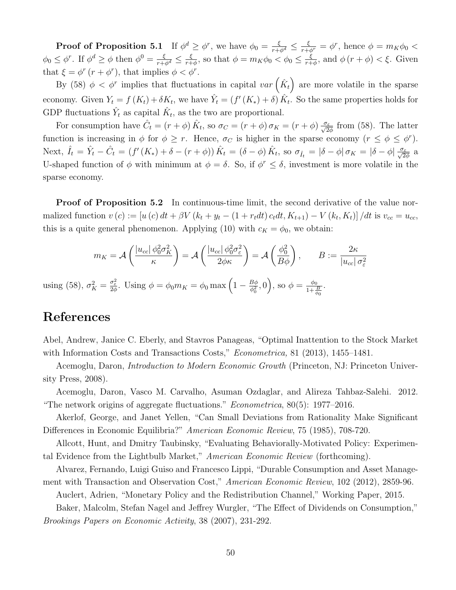**Proof of Proposition 5.1** If  $\phi^d \geq \phi^r$ , we have  $\phi_0 = \frac{\xi}{r + \phi^d} \leq \frac{\xi}{r + \phi^r} = \phi^r$ , hence  $\phi = m_K \phi_0 <$  $\phi_0 \leq \phi^r$ . If  $\phi^d \geq \phi$  then  $\phi^0 = \frac{\xi}{r + \phi^d} \leq \frac{\xi}{r + \xi}$  $\frac{\xi}{r+\phi}$ , so that  $\phi = m_K \phi_0 < \phi_0 \leq \frac{\xi}{r+\phi}$  $\frac{\xi}{r+\phi}$ , and  $\phi(r+\phi) < \xi$ . Given that  $\xi = \phi^r (r + \phi^r)$ , that implies  $\phi < \phi^r$ .

By (58)  $\phi < \phi^r$  implies that fluctuations in capital  $var\left(\hat{K}_t\right)$  are more volatile in the sparse economy. Given  $Y_t = f(K_t) + \delta K_t$ , we have  $\hat{Y}_t = (f'(K_*) + \delta) \hat{K}_t$ . So the same properties holds for GDP fluctuations  $\hat{Y}_t$  as capital  $\hat{K}_t$ , as the two are proportional.

For consumption have  $\hat{C}_t = (r + \phi) \hat{K}_t$ , so  $\sigma_C = (r + \phi) \sigma_K = (r + \phi) \frac{\sigma_{\varepsilon}}{\sqrt{2\phi}}$  from (58). The latter function is increasing in  $\phi$  for  $\phi \geq r$ . Hence,  $\sigma_C$  is higher in the sparse economy  $(r \leq \phi \leq \phi^r)$ . Next,  $\hat{I}_t = \hat{Y}_t - \hat{C}_t = (f'(K_*) + \delta - (r + \phi)) \hat{K}_t = (\delta - \phi) \hat{K}_t$ , so  $\sigma_{\hat{I}_t} = |\delta - \phi| \sigma_K = |\delta - \phi| \frac{\sigma_{\varepsilon}}{\sqrt{2\phi}}$  a U-shaped function of  $\phi$  with minimum at  $\phi = \delta$ . So, if  $\phi^r \leq \delta$ , investment is more volatile in the sparse economy.

**Proof of Proposition 5.2** In continuous-time limit, the second derivative of the value normalized function  $v(c) := [u(c) dt + \beta V (k_t + y_t - (1 + r_t dt) c_t dt, K_{t+1}) - V (k_t, K_t)] / dt$  is  $v_{cc} = u_{cc}$ , this is a quite general phenomenon. Applying (10) with  $c_K = \phi_0$ , we obtain:

$$
m_K = \mathcal{A}\left(\frac{|u_{cc}| \phi_0^2 \sigma_K^2}{\kappa}\right) = \mathcal{A}\left(\frac{|u_{cc}| \phi_0^2 \sigma_\varepsilon^2}{2\phi \kappa}\right) = \mathcal{A}\left(\frac{\phi_0^2}{B\phi}\right), \qquad B := \frac{2\kappa}{|u_{cc}| \sigma_\varepsilon^2}
$$

using (58),  $\sigma_K^2 = \frac{\sigma_{\varepsilon}^2}{2\phi}$ . Using  $\phi = \phi_0 m_K = \phi_0 \max\left(1 - \frac{B\phi_0}{\phi_0^2}\right)$  $\left(\frac{B\phi}{\phi_0^2},0\right)$ , so  $\phi = \frac{\phi_0}{1+\frac{1}{d}}$  $1+\frac{B}{\phi_0}$ .

# References

Abel, Andrew, Janice C. Eberly, and Stavros Panageas, "Optimal Inattention to the Stock Market with Information Costs and Transactions Costs," *Econometrica*, 81 (2013), 1455–1481.

Acemoglu, Daron, Introduction to Modern Economic Growth (Princeton, NJ: Princeton University Press, 2008).

Acemoglu, Daron, Vasco M. Carvalho, Asuman Ozdaglar, and Alireza Tahbaz-Salehi. 2012. "The network origins of aggregate fluctuations." *Econometrica*,  $80(5)$ : 1977–2016.

Akerlof, George, and Janet Yellen, "Can Small Deviations from Rationality Make Significant Differences in Economic Equilibria?" American Economic Review, 75 (1985), 708-720.

Allcott, Hunt, and Dmitry Taubinsky, "Evaluating Behaviorally-Motivated Policy: Experimental Evidence from the Lightbulb Market," American Economic Review (forthcoming).

Alvarez, Fernando, Luigi Guiso and Francesco Lippi, "Durable Consumption and Asset Management with Transaction and Observation Cost," American Economic Review, 102 (2012), 2859-96.

Auclert, Adrien, "Monetary Policy and the Redistribution Channel," Working Paper, 2015.

Baker, Malcolm, Stefan Nagel and Jeffrey Wurgler, "The Effect of Dividends on Consumption," Brookings Papers on Economic Activity, 38 (2007), 231-292.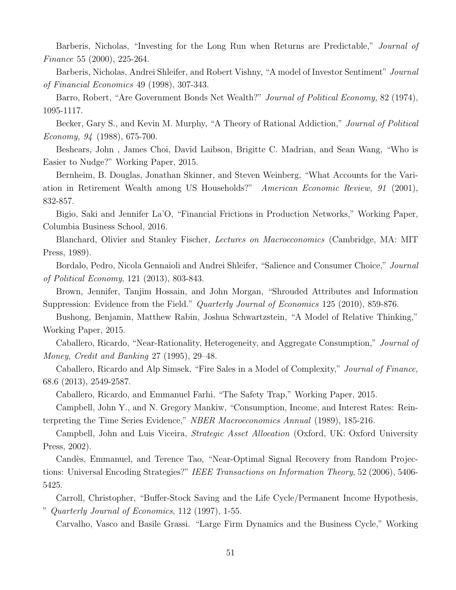Barberis, Nicholas, "Investing for the Long Run when Returns are Predictable," Journal of Finance 55 (2000), 225-264.

Barberis, Nicholas, Andrei Shleifer, and Robert Vishny, "A model of Investor Sentiment" Journal of Financial Economics 49 (1998), 307-343.

Barro, Robert, "Are Government Bonds Net Wealth?" Journal of Political Economy, 82 (1974), 1095-1117.

Becker, Gary S., and Kevin M. Murphy, "A Theory of Rational Addiction," Journal of Political Economy, 94 (1988), 675-700.

Beshears, John , James Choi, David Laibson, Brigitte C. Madrian, and Sean Wang, "Who is Easier to Nudge?" Working Paper, 2015.

Bernheim, B. Douglas, Jonathan Skinner, and Steven Weinberg, "What Accounts for the Variation in Retirement Wealth among US Households?" American Economic Review, 91 (2001), 832-857.

Bigio, Saki and Jennifer La'O, "Financial Frictions in Production Networks," Working Paper, Columbia Business School, 2016.

Blanchard, Olivier and Stanley Fischer, Lectures on Macroeconomics (Cambridge, MA: MIT Press, 1989).

Bordalo, Pedro, Nicola Gennaioli and Andrei Shleifer, "Salience and Consumer Choice," Journal of Political Economy, 121 (2013), 803-843.

Brown, Jennifer, Tanjim Hossain, and John Morgan, "Shrouded Attributes and Information Suppression: Evidence from the Field." *Quarterly Journal of Economics* 125 (2010), 859-876.

Bushong, Benjamin, Matthew Rabin, Joshua Schwartzstein, "A Model of Relative Thinking," Working Paper, 2015.

Caballero, Ricardo, "Near-Rationality, Heterogeneity, and Aggregate Consumption," Journal of Money, Credit and Banking 27 (1995), 29–48.

Caballero, Ricardo and Alp Simsek, "Fire Sales in a Model of Complexity," Journal of Finance, 68.6 (2013), 2549-2587.

Caballero, Ricardo, and Emmanuel Farhi, "The Safety Trap," Working Paper, 2015.

Campbell, John Y., and N. Gregory Mankiw, "Consumption, Income, and Interest Rates: Reinterpreting the Time Series Evidence," NBER Macroeconomics Annual (1989), 185-216.

Campbell, John and Luis Viceira, Strategic Asset Allocation (Oxford, UK: Oxford University Press, 2002).

Candès, Emmanuel, and Terence Tao, "Near-Optimal Signal Recovery from Random Projections: Universal Encoding Strategies?" IEEE Transactions on Information Theory, 52 (2006), 5406- 5425.

Carroll, Christopher, "Buffer-Stock Saving and the Life Cycle/Permanent Income Hypothesis, " Quarterly Journal of Economics, 112 (1997), 1-55.

Carvalho, Vasco and Basile Grassi. "Large Firm Dynamics and the Business Cycle," Working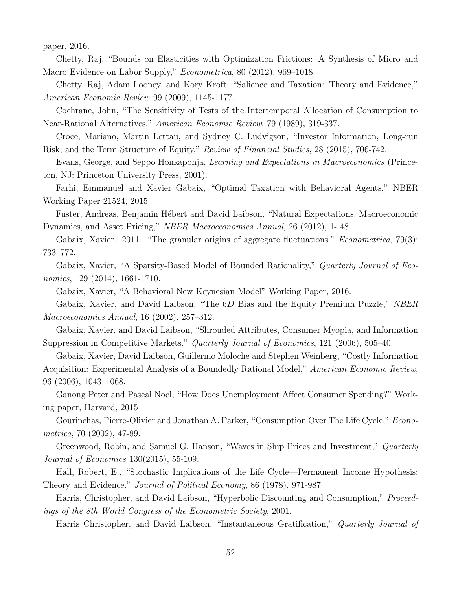paper, 2016.

Chetty, Raj, "Bounds on Elasticities with Optimization Frictions: A Synthesis of Micro and Macro Evidence on Labor Supply," Econometrica, 80 (2012), 969–1018.

Chetty, Raj, Adam Looney, and Kory Kroft, "Salience and Taxation: Theory and Evidence," American Economic Review 99 (2009), 1145-1177.

Cochrane, John, "The Sensitivity of Tests of the Intertemporal Allocation of Consumption to Near-Rational Alternatives," American Economic Review, 79 (1989), 319-337.

Croce, Mariano, Martin Lettau, and Sydney C. Ludvigson, "Investor Information, Long-run Risk, and the Term Structure of Equity," Review of Financial Studies, 28 (2015), 706-742.

Evans, George, and Seppo Honkapohja, Learning and Expectations in Macroeconomics (Princeton, NJ: Princeton University Press, 2001).

Farhi, Emmanuel and Xavier Gabaix, "Optimal Taxation with Behavioral Agents," NBER Working Paper 21524, 2015.

Fuster, Andreas, Benjamin Hébert and David Laibson, "Natural Expectations, Macroeconomic Dynamics, and Asset Pricing," NBER Macroeconomics Annual, 26 (2012), 1- 48.

Gabaix, Xavier. 2011. "The granular origins of aggregate fluctuations." *Econometrica*, 79(3): 733–772.

Gabaix, Xavier, "A Sparsity-Based Model of Bounded Rationality," *Quarterly Journal of Eco*nomics, 129 (2014), 1661-1710.

Gabaix, Xavier, "A Behavioral New Keynesian Model" Working Paper, 2016.

Gabaix, Xavier, and David Laibson, "The 6D Bias and the Equity Premium Puzzle," NBER Macroeconomics Annual, 16 (2002), 257–312.

Gabaix, Xavier, and David Laibson, "Shrouded Attributes, Consumer Myopia, and Information Suppression in Competitive Markets," Quarterly Journal of Economics, 121 (2006), 505–40.

Gabaix, Xavier, David Laibson, Guillermo Moloche and Stephen Weinberg, "Costly Information Acquisition: Experimental Analysis of a Boundedly Rational Model," American Economic Review, 96 (2006), 1043–1068.

Ganong Peter and Pascal Noel, "How Does Unemployment Affect Consumer Spending?" Working paper, Harvard, 2015

Gourinchas, Pierre-Olivier and Jonathan A. Parker, "Consumption Over The Life Cycle," Econometrica, 70 (2002), 47-89.

Greenwood, Robin, and Samuel G. Hanson, "Waves in Ship Prices and Investment," *Quarterly* Journal of Economics 130(2015), 55-109.

Hall, Robert, E., "Stochastic Implications of the Life Cycle—Permanent Income Hypothesis: Theory and Evidence," Journal of Political Economy, 86 (1978), 971-987.

Harris, Christopher, and David Laibson, "Hyperbolic Discounting and Consumption," Proceedings of the 8th World Congress of the Econometric Society, 2001.

Harris Christopher, and David Laibson, "Instantaneous Gratification," Quarterly Journal of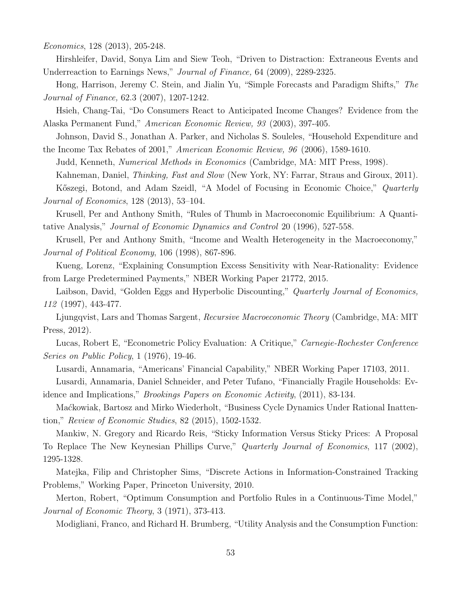Economics, 128 (2013), 205-248.

Hirshleifer, David, Sonya Lim and Siew Teoh, "Driven to Distraction: Extraneous Events and Underreaction to Earnings News," Journal of Finance, 64 (2009), 2289-2325.

Hong, Harrison, Jeremy C. Stein, and Jialin Yu, "Simple Forecasts and Paradigm Shifts," The Journal of Finance, 62.3 (2007), 1207-1242.

Hsieh, Chang-Tai, "Do Consumers React to Anticipated Income Changes? Evidence from the Alaska Permanent Fund," American Economic Review, 93 (2003), 397-405.

Johnson, David S., Jonathan A. Parker, and Nicholas S. Souleles, "Household Expenditure and the Income Tax Rebates of 2001," American Economic Review, 96 (2006), 1589-1610.

Judd, Kenneth, Numerical Methods in Economics (Cambridge, MA: MIT Press, 1998).

Kahneman, Daniel, Thinking, Fast and Slow (New York, NY: Farrar, Straus and Giroux, 2011).

Kőszegi, Botond, and Adam Szeidl, "A Model of Focusing in Economic Choice," Quarterly Journal of Economics, 128 (2013), 53–104.

Krusell, Per and Anthony Smith, "Rules of Thumb in Macroeconomic Equilibrium: A Quantitative Analysis," Journal of Economic Dynamics and Control 20 (1996), 527-558.

Krusell, Per and Anthony Smith, "Income and Wealth Heterogeneity in the Macroeconomy," Journal of Political Economy, 106 (1998), 867-896.

Kueng, Lorenz, "Explaining Consumption Excess Sensitivity with Near-Rationality: Evidence from Large Predetermined Payments," NBER Working Paper 21772, 2015.

Laibson, David, "Golden Eggs and Hyperbolic Discounting," Quarterly Journal of Economics, 112 (1997), 443-477.

Ljungqvist, Lars and Thomas Sargent, Recursive Macroeconomic Theory (Cambridge, MA: MIT Press, 2012).

Lucas, Robert E, "Econometric Policy Evaluation: A Critique," Carnegie-Rochester Conference Series on Public Policy, 1 (1976), 19-46.

Lusardi, Annamaria, "Americans' Financial Capability," NBER Working Paper 17103, 2011.

Lusardi, Annamaria, Daniel Schneider, and Peter Tufano, "Financially Fragile Households: Evidence and Implications," Brookings Papers on Economic Activity, (2011), 83-134.

Ma´ckowiak, Bartosz and Mirko Wiederholt, "Business Cycle Dynamics Under Rational Inattention," Review of Economic Studies, 82 (2015), 1502-1532.

Mankiw, N. Gregory and Ricardo Reis, "Sticky Information Versus Sticky Prices: A Proposal To Replace The New Keynesian Phillips Curve," Quarterly Journal of Economics, 117 (2002), 1295-1328.

Matejka, Filip and Christopher Sims, "Discrete Actions in Information-Constrained Tracking Problems," Working Paper, Princeton University, 2010.

Merton, Robert, "Optimum Consumption and Portfolio Rules in a Continuous-Time Model," Journal of Economic Theory, 3 (1971), 373-413.

Modigliani, Franco, and Richard H. Brumberg, "Utility Analysis and the Consumption Function: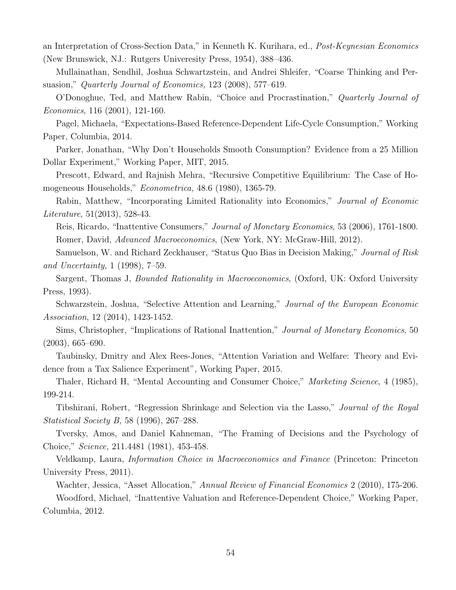an Interpretation of Cross-Section Data," in Kenneth K. Kurihara, ed., Post-Keynesian Economics (New Brunswick, NJ.: Rutgers Univeresity Press, 1954), 388–436.

Mullainathan, Sendhil, Joshua Schwartzstein, and Andrei Shleifer, "Coarse Thinking and Persuasion," Quarterly Journal of Economics, 123 (2008), 577–619.

O'Donoghue, Ted, and Matthew Rabin, "Choice and Procrastination," Quarterly Journal of Economics, 116 (2001), 121-160.

Pagel, Michaela, "Expectations-Based Reference-Dependent Life-Cycle Consumption," Working Paper, Columbia, 2014.

Parker, Jonathan, "Why Don't Households Smooth Consumption? Evidence from a 25 Million Dollar Experiment," Working Paper, MIT, 2015.

Prescott, Edward, and Rajnish Mehra, "Recursive Competitive Equilibrium: The Case of Homogeneous Households," Econometrica, 48.6 (1980), 1365-79.

Rabin, Matthew, "Incorporating Limited Rationality into Economics," Journal of Economic Literature, 51(2013), 528-43.

Reis, Ricardo, "Inattentive Consumers," Journal of Monetary Economics, 53 (2006), 1761-1800. Romer, David, Advanced Macroeconomics, (New York, NY: McGraw-Hill, 2012).

Samuelson, W. and Richard Zeckhauser, "Status Quo Bias in Decision Making," Journal of Risk and Uncertainty, 1 (1998), 7–59.

Sargent, Thomas J, *Bounded Rationality in Macroeconomics*, (Oxford, UK: Oxford University Press, 1993).

Schwarzstein, Joshua, "Selective Attention and Learning," Journal of the European Economic Association, 12 (2014), 1423-1452.

Sims, Christopher, "Implications of Rational Inattention," Journal of Monetary Economics, 50 (2003), 665–690.

Taubinsky, Dmitry and Alex Rees-Jones, "Attention Variation and Welfare: Theory and Evidence from a Tax Salience Experiment", Working Paper, 2015.

Thaler, Richard H, "Mental Accounting and Consumer Choice," *Marketing Science*, 4 (1985), 199-214.

Tibshirani, Robert, "Regression Shrinkage and Selection via the Lasso," Journal of the Royal Statistical Society B, 58 (1996), 267–288.

Tversky, Amos, and Daniel Kahneman, "The Framing of Decisions and the Psychology of Choice," Science, 211.4481 (1981), 453-458.

Veldkamp, Laura, Information Choice in Macroeconomics and Finance (Princeton: Princeton University Press, 2011).

Wachter, Jessica, "Asset Allocation," Annual Review of Financial Economics 2 (2010), 175-206.

Woodford, Michael, "Inattentive Valuation and Reference-Dependent Choice," Working Paper, Columbia, 2012.